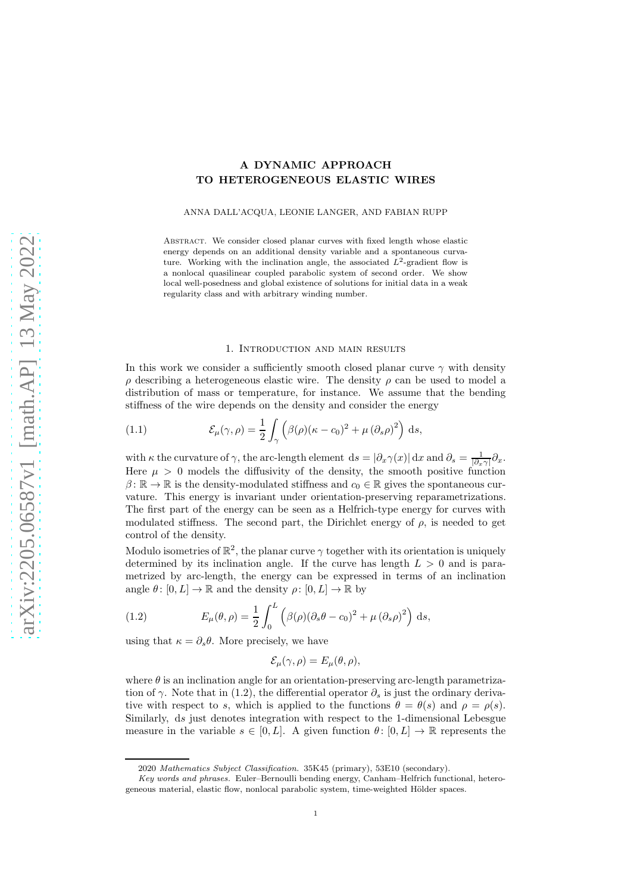# A DYNAMIC APPROACH TO HETEROGENEOUS ELASTIC WIRES

ANNA DALL'ACQUA, LEONIE LANGER, AND FABIAN RUPP

ABSTRACT. We consider closed planar curves with fixed length whose elastic energy depends on an additional density variable and a spontaneous curvature. Working with the inclination angle, the associated  $L^2$ -gradient flow is a nonlocal quasilinear coupled parabolic system of second order. We show local well-posedness and global existence of solutions for initial data in a weak regularity class and with arbitrary winding number.

#### 1. Introduction and main results

In this work we consider a sufficiently smooth closed planar curve  $\gamma$  with density ρ describing a heterogeneous elastic wire. The density ρ can be used to model a distribution of mass or temperature, for instance. We assume that the bending stiffness of the wire depends on the density and consider the energy

<span id="page-0-1"></span>(1.1) 
$$
\mathcal{E}_{\mu}(\gamma,\rho) = \frac{1}{2} \int_{\gamma} \left( \beta(\rho)(\kappa - c_0)^2 + \mu (\partial_s \rho)^2 \right) ds,
$$

with  $\kappa$  the curvature of  $\gamma$ , the arc-length element  $ds = |\partial_x \gamma(x)| dx$  and  $\partial_s = \frac{1}{|\partial_x \gamma|} \partial_x$ . Here  $\mu > 0$  models the diffusivity of the density, the smooth positive function  $\beta: \mathbb{R} \to \mathbb{R}$  is the density-modulated stiffness and  $c_0 \in \mathbb{R}$  gives the spontaneous curvature. This energy is invariant under orientation-preserving reparametrizations. The first part of the energy can be seen as a Helfrich-type energy for curves with modulated stiffness. The second part, the Dirichlet energy of  $\rho$ , is needed to get control of the density.

Modulo isometries of  $\mathbb{R}^2$ , the planar curve  $\gamma$  together with its orientation is uniquely determined by its inclination angle. If the curve has length  $L > 0$  and is parametrized by arc-length, the energy can be expressed in terms of an inclination angle  $\theta: [0, L] \to \mathbb{R}$  and the density  $\rho: [0, L] \to \mathbb{R}$  by

<span id="page-0-0"></span>(1.2) 
$$
E_{\mu}(\theta,\rho) = \frac{1}{2} \int_0^L \left( \beta(\rho)(\partial_s \theta - c_0)^2 + \mu (\partial_s \rho)^2 \right) ds,
$$

using that  $\kappa = \partial_s \theta$ . More precisely, we have

$$
\mathcal{E}_{\mu}(\gamma,\rho)=E_{\mu}(\theta,\rho),
$$

where  $\theta$  is an inclination angle for an orientation-preserving arc-length parametrization of  $\gamma$ . Note that in [\(1.2\)](#page-0-0), the differential operator  $\partial_s$  is just the ordinary derivative with respect to s, which is applied to the functions  $\theta = \theta(s)$  and  $\rho = \rho(s)$ . Similarly, ds just denotes integration with respect to the 1-dimensional Lebesgue measure in the variable  $s \in [0, L]$ . A given function  $\theta : [0, L] \to \mathbb{R}$  represents the

<sup>2020</sup> Mathematics Subject Classification. 35K45 (primary), 53E10 (secondary).

Key words and phrases. Euler–Bernoulli bending energy, Canham–Helfrich functional, heterogeneous material, elastic flow, nonlocal parabolic system, time-weighted Hölder spaces.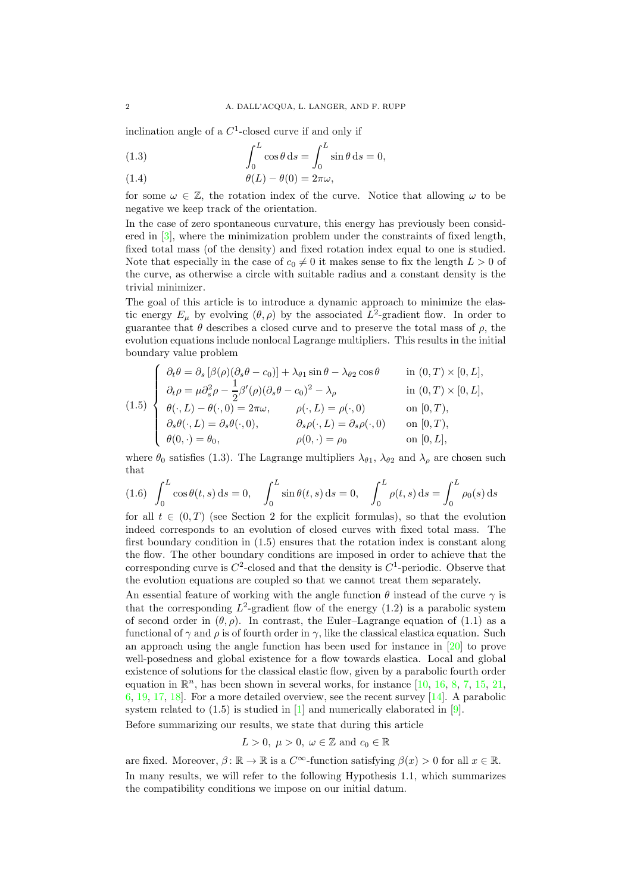inclination angle of a  $C<sup>1</sup>$ -closed curve if and only if

<span id="page-1-0"></span>(1.3) 
$$
\int_0^L \cos \theta \, ds = \int_0^L \sin \theta \, ds = 0,
$$

<span id="page-1-3"></span>(1.4) 
$$
\theta(L) - \theta(0) = 2\pi\omega,
$$

for some  $\omega \in \mathbb{Z}$ , the rotation index of the curve. Notice that allowing  $\omega$  to be negative we keep track of the orientation.

In the case of zero spontaneous curvature, this energy has previously been considered in [\[3\]](#page-27-0), where the minimization problem under the constraints of fixed length, fixed total mass (of the density) and fixed rotation index equal to one is studied. Note that especially in the case of  $c_0 \neq 0$  it makes sense to fix the length  $L > 0$  of the curve, as otherwise a circle with suitable radius and a constant density is the trivial minimizer.

The goal of this article is to introduce a dynamic approach to minimize the elastic energy  $E_{\mu}$  by evolving  $(\theta, \rho)$  by the associated  $L^2$ -gradient flow. In order to guarantee that  $\theta$  describes a closed curve and to preserve the total mass of  $\rho$ , the evolution equations include nonlocal Lagrange multipliers. This results in the initial boundary value problem

<span id="page-1-1"></span>(1.5)  
\n
$$
\begin{cases}\n\partial_t \theta = \partial_s [\beta(\rho)(\partial_s \theta - c_0)] + \lambda_{\theta 1} \sin \theta - \lambda_{\theta 2} \cos \theta & \text{in } (0, T) \times [0, L], \\
\partial_t \rho = \mu \partial_s^2 \rho - \frac{1}{2} \beta'(\rho)(\partial_s \theta - c_0)^2 - \lambda_\rho & \text{in } (0, T) \times [0, L], \\
\theta(\cdot, L) - \theta(\cdot, 0) = 2\pi \omega, & \rho(\cdot, L) = \rho(\cdot, 0) & \text{on } [0, T), \\
\partial_s \theta(\cdot, L) = \partial_s \theta(\cdot, 0), & \partial_s \rho(\cdot, L) = \partial_s \rho(\cdot, 0) & \text{on } [0, T), \\
\theta(0, \cdot) = \theta_0, & \rho(0, \cdot) = \rho_0 & \text{on } [0, L],\n\end{cases}
$$

where  $\theta_0$  satisfies [\(1.3\)](#page-1-0). The Lagrange multipliers  $\lambda_{\theta_1}$ ,  $\lambda_{\theta_2}$  and  $\lambda_\rho$  are chosen such that

<span id="page-1-2"></span>(1.6) 
$$
\int_0^L \cos \theta(t, s) ds = 0, \quad \int_0^L \sin \theta(t, s) ds = 0, \quad \int_0^L \rho(t, s) ds = \int_0^L \rho_0(s) ds
$$

for all  $t \in (0,T)$  (see Section [2](#page-3-0) for the explicit formulas), so that the evolution indeed corresponds to an evolution of closed curves with fixed total mass. The first boundary condition in [\(1.5\)](#page-1-1) ensures that the rotation index is constant along the flow. The other boundary conditions are imposed in order to achieve that the corresponding curve is  $C^2$ -closed and that the density is  $C^1$ -periodic. Observe that the evolution equations are coupled so that we cannot treat them separately.

An essential feature of working with the angle function  $\theta$  instead of the curve  $\gamma$  is that the corresponding  $L^2$ -gradient flow of the energy  $(1.2)$  is a parabolic system of second order in  $(\theta, \rho)$ . In contrast, the Euler–Lagrange equation of [\(1.1\)](#page-0-1) as a functional of  $\gamma$  and  $\rho$  is of fourth order in  $\gamma$ , like the classical elastica equation. Such an approach using the angle function has been used for instance in [\[20\]](#page-28-0) to prove well-posedness and global existence for a flow towards elastica. Local and global existence of solutions for the classical elastic flow, given by a parabolic fourth order equation in  $\mathbb{R}^n$ , has been shown in several works, for instance [\[10,](#page-27-1) [16,](#page-27-2) [8,](#page-27-3) [7,](#page-27-4) [15,](#page-27-5) [21,](#page-28-1) [6,](#page-27-6) [19,](#page-28-2) [17,](#page-27-7) [18\]](#page-27-8). For a more detailed overview, see the recent survey [\[14\]](#page-27-9). A parabolic system related to  $(1.5)$  is studied in  $[1]$  and numerically elaborated in  $[9]$ .

Before summarizing our results, we state that during this article

$$
L>0, \ \mu>0, \ \omega\in\mathbb{Z} \ \text{and} \ c_0\in\mathbb{R}
$$

are fixed. Moreover,  $\beta: \mathbb{R} \to \mathbb{R}$  is a  $C^{\infty}$ -function satisfying  $\beta(x) > 0$  for all  $x \in \mathbb{R}$ . In many results, we will refer to the following Hypothesis [1.1,](#page-2-0) which summarizes the compatibility conditions we impose on our initial datum.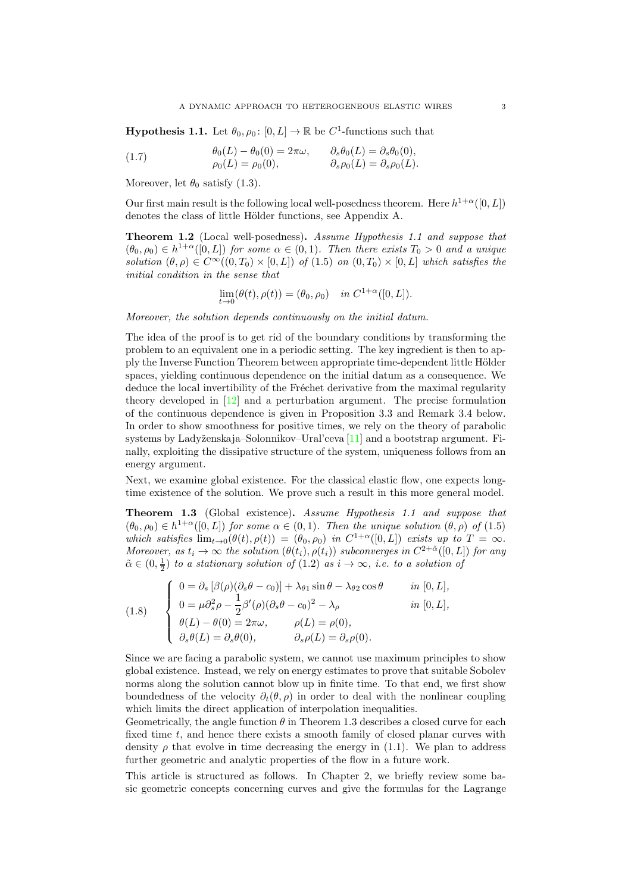<span id="page-2-0"></span>**Hypothesis 1.1.** Let  $\theta_0$ ,  $\rho_0$ :  $[0, L] \to \mathbb{R}$  be  $C^1$ -functions such that

<span id="page-2-3"></span>(1.7) 
$$
\begin{aligned}\n\theta_0(L) - \theta_0(0) &= 2\pi\omega, & \partial_s \theta_0(L) &= \partial_s \theta_0(0), \\
\rho_0(L) &= \rho_0(0), & \partial_s \rho_0(L) &= \partial_s \rho_0(L).\n\end{aligned}
$$

Moreover, let  $\theta_0$  satisfy [\(1.3\)](#page-1-0).

Our first main result is the following local well-posedness theorem. Here  $h^{1+\alpha}([0,L])$ denotes the class of little Hölder functions, see Appendix [A.](#page-18-0)

<span id="page-2-2"></span>Theorem 1.2 (Local well-posedness). Assume Hypothesis [1.1](#page-2-0) and suppose that  $(\theta_0, \rho_0) \in h^{1+\alpha}([0, L])$  for some  $\alpha \in (0, 1)$ . Then there exists  $T_0 > 0$  and a unique solution  $(\theta, \rho) \in C^{\infty}((0, T_0) \times [0, L])$  of  $(1.5)$  on  $(0, T_0) \times [0, L]$  which satisfies the initial condition in the sense that

$$
\lim_{t \to 0} (\theta(t), \rho(t)) = (\theta_0, \rho_0) \quad in \ C^{1+\alpha}([0, L]).
$$

Moreover, the solution depends continuously on the initial datum.

The idea of the proof is to get rid of the boundary conditions by transforming the problem to an equivalent one in a periodic setting. The key ingredient is then to apply the Inverse Function Theorem between appropriate time-dependent little Hölder spaces, yielding continuous dependence on the initial datum as a consequence. We deduce the local invertibility of the Fréchet derivative from the maximal regularity theory developed in [\[12\]](#page-27-12) and a perturbation argument. The precise formulation of the continuous dependence is given in Proposition [3.3](#page-6-0) and Remark [3.4](#page-7-0) below. In order to show smoothness for positive times, we rely on the theory of parabolic systems by Ladyženskaja–Solonnikov–Ural'ceva  $[11]$  and a bootstrap argument. Finally, exploiting the dissipative structure of the system, uniqueness follows from an energy argument.

Next, we examine global existence. For the classical elastic flow, one expects longtime existence of the solution. We prove such a result in this more general model.

<span id="page-2-1"></span>Theorem 1.3 (Global existence). Assume Hypothesis [1.1](#page-2-0) and suppose that  $(\theta_0, \rho_0) \in h^{1+\alpha}([0, L])$  for some  $\alpha \in (0, 1)$ . Then the unique solution  $(\theta, \rho)$  of  $(1.5)$ which satisfies  $\lim_{t\to 0}(\theta(t), \rho(t)) = (\theta_0, \rho_0)$  in  $C^{1+\alpha}([0, L])$  exists up to  $T = \infty$ . Moreover, as  $t_i \to \infty$  the solution  $(\theta(t_i), \rho(t_i))$  subconverges in  $C^{2+\tilde{\alpha}}([0, L])$  for any  $\tilde{\alpha} \in (0, \frac{1}{2})$  to a stationary solution of  $(1.2)$  as  $i \to \infty$ , i.e. to a solution of

<span id="page-2-4"></span>(1.8)  
\n
$$
\begin{cases}\n0 = \partial_s [\beta(\rho)(\partial_s \theta - c_0)] + \lambda_{\theta 1} \sin \theta - \lambda_{\theta 2} \cos \theta & \text{in } [0, L], \\
0 = \mu \partial_s^2 \rho - \frac{1}{2} \beta'(\rho)(\partial_s \theta - c_0)^2 - \lambda_{\rho} & \text{in } [0, L], \\
\theta(L) - \theta(0) = 2\pi \omega, & \rho(L) = \rho(0), \\
\partial_s \theta(L) = \partial_s \theta(0), & \partial_s \rho(L) = \partial_s \rho(0).\n\end{cases}
$$

Since we are facing a parabolic system, we cannot use maximum principles to show global existence. Instead, we rely on energy estimates to prove that suitable Sobolev norms along the solution cannot blow up in finite time. To that end, we first show boundedness of the velocity  $\partial_t(\theta, \rho)$  in order to deal with the nonlinear coupling which limits the direct application of interpolation inequalities.

Geometrically, the angle function  $\theta$  in Theorem [1.3](#page-2-1) describes a closed curve for each fixed time  $t$ , and hence there exists a smooth family of closed planar curves with density  $\rho$  that evolve in time decreasing the energy in [\(1.1\)](#page-0-1). We plan to address further geometric and analytic properties of the flow in a future work.

This article is structured as follows. In Chapter [2,](#page-3-0) we briefly review some basic geometric concepts concerning curves and give the formulas for the Lagrange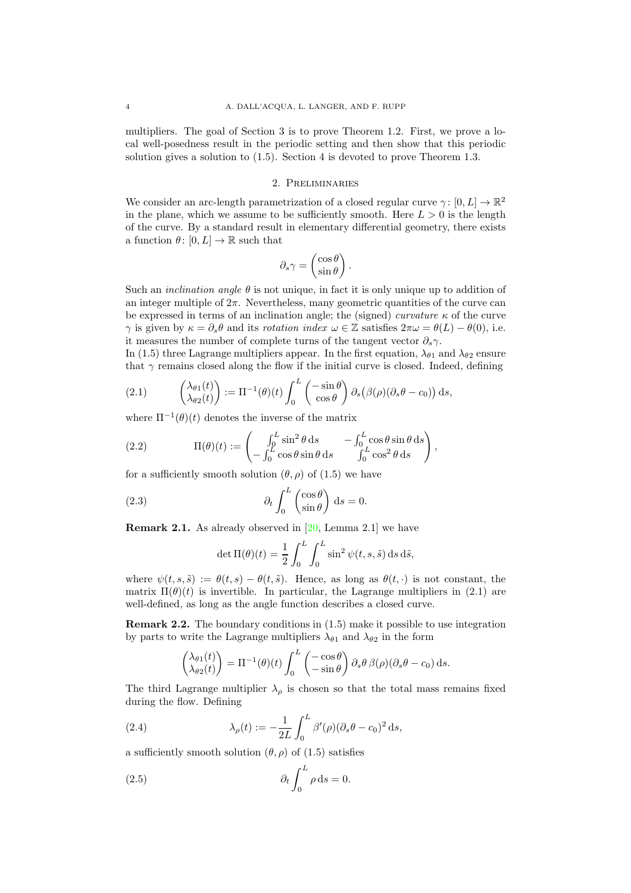multipliers. The goal of Section [3](#page-4-0) is to prove Theorem [1.2.](#page-2-2) First, we prove a local well-posedness result in the periodic setting and then show that this periodic solution gives a solution to [\(1.5\)](#page-1-1). Section [4](#page-11-0) is devoted to prove Theorem [1.3.](#page-2-1)

### 2. Preliminaries

<span id="page-3-0"></span>We consider an arc-length parametrization of a closed regular curve  $\gamma: [0, L] \to \mathbb{R}^2$ in the plane, which we assume to be sufficiently smooth. Here  $L > 0$  is the length of the curve. By a standard result in elementary differential geometry, there exists a function  $\theta: [0, L] \to \mathbb{R}$  such that

$$
\partial_s \gamma = \begin{pmatrix} \cos \theta \\ \sin \theta \end{pmatrix}.
$$

Such an *inclination angle*  $\theta$  is not unique, in fact it is only unique up to addition of an integer multiple of  $2\pi$ . Nevertheless, many geometric quantities of the curve can be expressed in terms of an inclination angle; the (signed) curvature  $\kappa$  of the curve  $\gamma$  is given by  $\kappa = \partial_s \theta$  and its rotation index  $\omega \in \mathbb{Z}$  satisfies  $2\pi \omega = \theta(L) - \theta(0)$ , i.e. it measures the number of complete turns of the tangent vector  $\partial_s \gamma$ .

In [\(1.5\)](#page-1-1) three Lagrange multipliers appear. In the first equation,  $\lambda_{\theta_1}$  and  $\lambda_{\theta_2}$  ensure that  $\gamma$  remains closed along the flow if the initial curve is closed. Indeed, defining

<span id="page-3-1"></span>(2.1) 
$$
\begin{pmatrix} \lambda_{\theta 1}(t) \\ \lambda_{\theta 2}(t) \end{pmatrix} := \Pi^{-1}(\theta)(t) \int_0^L \begin{pmatrix} -\sin \theta \\ \cos \theta \end{pmatrix} \partial_s (\beta(\rho) (\partial_s \theta - c_0)) ds,
$$

where  $\Pi^{-1}(\theta)(t)$  denotes the inverse of the matrix

<span id="page-3-6"></span>(2.2) 
$$
\Pi(\theta)(t) := \begin{pmatrix} \int_0^L \sin^2 \theta \, ds & -\int_0^L \cos \theta \sin \theta \, ds \\ -\int_0^L \cos \theta \sin \theta \, ds & \int_0^L \cos^2 \theta \, ds \end{pmatrix},
$$

for a sufficiently smooth solution  $(\theta, \rho)$  of [\(1.5\)](#page-1-1) we have

<span id="page-3-7"></span>(2.3) 
$$
\partial_t \int_0^L \begin{pmatrix} \cos \theta \\ \sin \theta \end{pmatrix} ds = 0.
$$

<span id="page-3-4"></span>**Remark 2.1.** As already observed in  $[20, \text{Lemma } 2.1]$  we have

$$
\det \Pi(\theta)(t) = \frac{1}{2} \int_0^L \int_0^L \sin^2 \psi(t, s, \tilde{s}) \, ds \, d\tilde{s},
$$

where  $\psi(t, s, \tilde{s}) := \theta(t, s) - \theta(t, \tilde{s})$ . Hence, as long as  $\theta(t, \cdot)$  is not constant, the matrix  $\Pi(\theta)(t)$  is invertible. In particular, the Lagrange multipliers in [\(2.1\)](#page-3-1) are well-defined, as long as the angle function describes a closed curve.

<span id="page-3-2"></span>Remark 2.2. The boundary conditions in [\(1.5\)](#page-1-1) make it possible to use integration by parts to write the Lagrange multipliers  $\lambda_{\theta_1}$  and  $\lambda_{\theta_2}$  in the form

$$
\begin{pmatrix} \lambda_{\theta 1}(t) \\ \lambda_{\theta 2}(t) \end{pmatrix} = \Pi^{-1}(\theta)(t) \int_0^L \begin{pmatrix} -\cos \theta \\ -\sin \theta \end{pmatrix} \partial_s \theta \beta(\rho) (\partial_s \theta - c_0) \,ds.
$$

The third Lagrange multiplier  $\lambda_{\rho}$  is chosen so that the total mass remains fixed during the flow. Defining

<span id="page-3-3"></span>(2.4) 
$$
\lambda_{\rho}(t) := -\frac{1}{2L} \int_0^L \beta'(\rho) (\partial_s \theta - c_0)^2 ds,
$$

a sufficiently smooth solution  $(\theta, \rho)$  of  $(1.5)$  satisfies

<span id="page-3-5"></span>(2.5) 
$$
\partial_t \int_0^L \rho \, ds = 0.
$$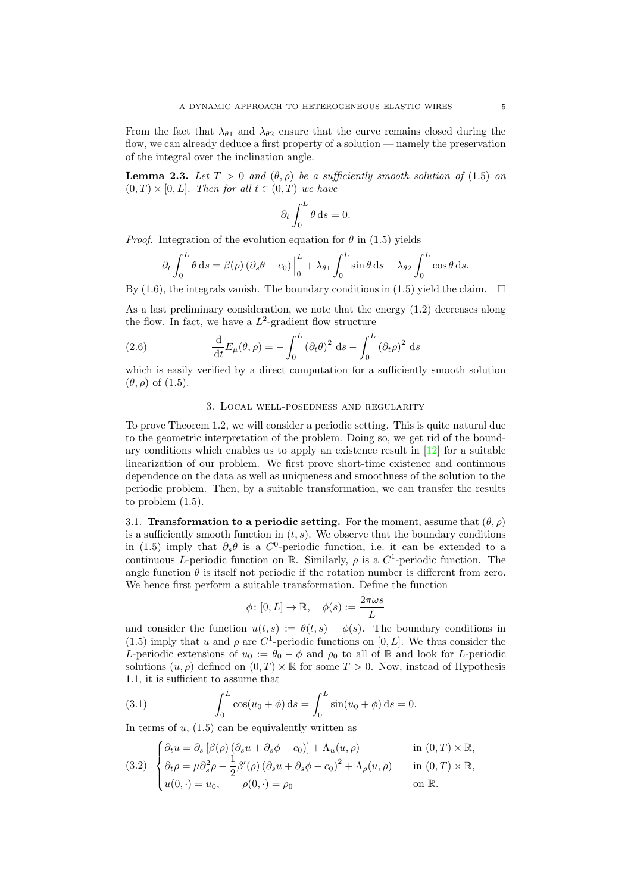From the fact that  $\lambda_{\theta_1}$  and  $\lambda_{\theta_2}$  ensure that the curve remains closed during the flow, we can already deduce a first property of a solution — namely the preservation of the integral over the inclination angle.

<span id="page-4-4"></span>**Lemma 2.3.** Let  $T > 0$  and  $(\theta, \rho)$  be a sufficiently smooth solution of [\(1.5\)](#page-1-1) on  $(0, T) \times [0, L]$ . Then for all  $t \in (0, T)$  we have

$$
\partial_t \int_0^L \theta \, \mathrm{d}s = 0.
$$

*Proof.* Integration of the evolution equation for  $\theta$  in [\(1.5\)](#page-1-1) yields

$$
\partial_t \int_0^L \theta \, ds = \beta(\rho) \left( \partial_s \theta - c_0 \right) \Big|_0^L + \lambda_{\theta 1} \int_0^L \sin \theta \, ds - \lambda_{\theta 2} \int_0^L \cos \theta \, ds.
$$

By [\(1.6\)](#page-1-2), the integrals vanish. The boundary conditions in [\(1.5\)](#page-1-1) yield the claim.  $\Box$ 

As a last preliminary consideration, we note that the energy [\(1.2\)](#page-0-0) decreases along the flow. In fact, we have a  $L^2$ -gradient flow structure

<span id="page-4-3"></span>(2.6) 
$$
\frac{\mathrm{d}}{\mathrm{d}t}E_{\mu}(\theta,\rho)=-\int_{0}^{L}(\partial_{t}\theta)^{2} \mathrm{d}s-\int_{0}^{L}(\partial_{t}\rho)^{2} \mathrm{d}s
$$

<span id="page-4-0"></span>which is easily verified by a direct computation for a sufficiently smooth solution  $(\theta, \rho)$  of  $(1.5)$ .

### 3. Local well-posedness and regularity

To prove Theorem [1.2,](#page-2-2) we will consider a periodic setting. This is quite natural due to the geometric interpretation of the problem. Doing so, we get rid of the boundary conditions which enables us to apply an existence result in [\[12\]](#page-27-12) for a suitable linearization of our problem. We first prove short-time existence and continuous dependence on the data as well as uniqueness and smoothness of the solution to the periodic problem. Then, by a suitable transformation, we can transfer the results to problem [\(1.5\)](#page-1-1).

<span id="page-4-5"></span>3.1. Transformation to a periodic setting. For the moment, assume that  $(\theta, \rho)$ is a sufficiently smooth function in  $(t, s)$ . We observe that the boundary conditions in [\(1.5\)](#page-1-1) imply that  $\partial_s \theta$  is a C<sup>0</sup>-periodic function, i.e. it can be extended to a continuous L-periodic function on  $\mathbb{R}$ . Similarly,  $\rho$  is a  $C^1$ -periodic function. The angle function  $\theta$  is itself not periodic if the rotation number is different from zero. We hence first perform a suitable transformation. Define the function

$$
\phi\colon [0,L]\to\mathbb{R}, \quad \phi(s):=\frac{2\pi\omega s}{L}
$$

and consider the function  $u(t, s) := \theta(t, s) - \phi(s)$ . The boundary conditions in [\(1.5\)](#page-1-1) imply that u and  $\rho$  are C<sup>1</sup>-periodic functions on [0, L]. We thus consider the L-periodic extensions of  $u_0 := \theta_0 - \phi$  and  $\rho_0$  to all of R and look for L-periodic solutions  $(u, \rho)$  defined on  $(0, T) \times \mathbb{R}$  for some  $T > 0$ . Now, instead of Hypothesis [1.1,](#page-2-0) it is sufficient to assume that

<span id="page-4-1"></span>(3.1) 
$$
\int_0^L \cos(u_0 + \phi) \, ds = \int_0^L \sin(u_0 + \phi) \, ds = 0.
$$

In terms of  $u$ ,  $(1.5)$  can be equivalently written as

$$
\left\{\partial_t u = \partial_s \left[\beta(\rho) \left(\partial_s u + \partial_s \phi - c_0\right)\right] + \Lambda_u(u, \rho) \right\} \qquad \text{in } (0, T) \times \mathbb{R},
$$

<span id="page-4-2"></span>
$$
(3.2) \begin{cases} \n\frac{\partial_t u}{\partial t} - \frac{\partial_s u}{\partial t} + \frac{\partial_s u}{\partial s} + \frac{\partial_s u}{\partial s} + \frac{\partial_s u}{\partial s} + \frac{\partial_s u}{\partial s} + \frac{\partial_s u}{\partial s} + \frac{\partial_s u}{\partial s} + \frac{\partial_s u}{\partial s} + \frac{\partial_s u}{\partial s} + \frac{\partial_s u}{\partial s} + \frac{\partial_s u}{\partial s} + \frac{\partial_s u}{\partial s} + \frac{\partial_s u}{\partial s} + \frac{\partial_s u}{\partial s} + \frac{\partial_s u}{\partial s} + \frac{\partial_s u}{\partial s} + \frac{\partial_s u}{\partial s} + \frac{\partial_s u}{\partial s} + \frac{\partial_s u}{\partial s} + \frac{\partial_s u}{\partial s} + \frac{\partial_s u}{\partial s} + \frac{\partial_s u}{\partial s} + \frac{\partial_s u}{\partial s} + \frac{\partial_s u}{\partial s} + \frac{\partial_s u}{\partial s} + \frac{\partial_s u}{\partial s} + \frac{\partial_s u}{\partial s} + \frac{\partial_s u}{\partial s} + \frac{\partial_s u}{\partial s} + \frac{\partial_s u}{\partial s} + \frac{\partial_s u}{\partial s} + \frac{\partial_s u}{\partial s} + \frac{\partial_s u}{\partial s} + \frac{\partial_s u}{\partial s} + \frac{\partial_s u}{\partial s} + \frac{\partial_s u}{\partial s} + \frac{\partial_s u}{\partial s} + \frac{\partial_s u}{\partial s} + \frac{\partial_s u}{\partial s} + \frac{\partial_s u}{\partial s} + \frac{\partial_s u}{\partial s} + \frac{\partial_s u}{\partial s} + \frac{\partial_s u}{\partial s} + \frac{\partial_s u}{\partial s} + \frac{\partial_s u}{\partial s} + \frac{\partial_s u}{\partial s} + \frac{\partial_s u}{\partial s} + \frac{\partial_s u}{\partial s} + \frac{\partial_s u}{\partial s} + \frac{\partial_s u}{\partial s} + \frac{\partial_s u}{\partial s} + \frac{\partial_s u}{\partial s} + \frac{\partial_s u}{\partial s} + \frac{\partial_s u}{\partial s} + \frac{\partial_s u}{\partial s} + \frac{\partial_s u}{\partial s} + \frac{\partial_s u}{\partial s} + \frac{\partial_s u}{\partial s} + \frac{\partial_s u}{\partial s} + \frac{\partial_s u}{\partial s} + \frac{\partial_s u}{\partial s} + \frac{\partial
$$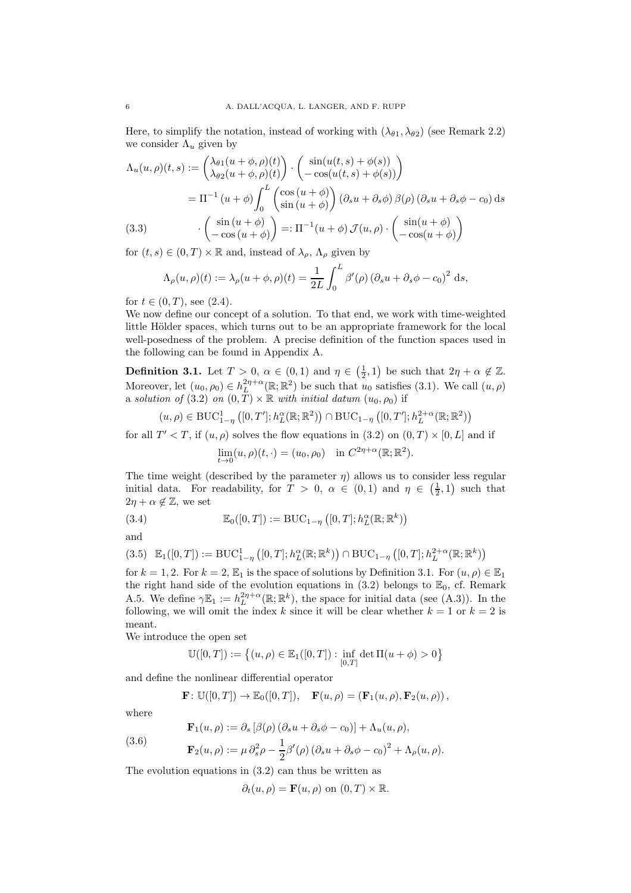Here, to simplify the notation, instead of working with  $(\lambda_{\theta 1}, \lambda_{\theta 2})$  (see Remark [2.2\)](#page-3-2) we consider  $\Lambda_u$  given by

$$
\Lambda_u(u,\rho)(t,s) := \begin{pmatrix} \lambda_{\theta 1}(u+\phi,\rho)(t) \\ \lambda_{\theta 2}(u+\phi,\rho)(t) \end{pmatrix} \cdot \begin{pmatrix} \sin(u(t,s)+\phi(s)) \\ -\cos(u(t,s)+\phi(s)) \end{pmatrix}
$$
  
=  $\Pi^{-1}(u+\phi) \int_0^L \begin{pmatrix} \cos(u+\phi) \\ \sin(u+\phi) \end{pmatrix} (\partial_s u + \partial_s \phi) \beta(\rho) (\partial_s u + \partial_s \phi - c_0) ds$   
(3.3) 
$$
\begin{pmatrix} \sin(u+\phi) \\ -\cos(u+\phi) \end{pmatrix} =: \Pi^{-1}(u+\phi) \mathcal{J}(u,\rho) \cdot \begin{pmatrix} \sin(u+\phi) \\ -\cos(u+\phi) \end{pmatrix}
$$

<span id="page-5-4"></span>for  $(t, s) \in (0, T) \times \mathbb{R}$  and, instead of  $\lambda_{\rho}$ ,  $\Lambda_{\rho}$  given by

$$
\Lambda_{\rho}(u,\rho)(t) := \lambda_{\rho}(u+\phi,\rho)(t) = \frac{1}{2L} \int_0^L \beta'(\rho) (\partial_s u + \partial_s \phi - c_0)^2 ds,
$$

for  $t \in (0, T)$ , see  $(2.4)$ .

We now define our concept of a solution. To that end, we work with time-weighted little Hölder spaces, which turns out to be an appropriate framework for the local well-posedness of the problem. A precise definition of the function spaces used in the following can be found in Appendix [A.](#page-18-0)

<span id="page-5-0"></span>**Definition 3.1.** Let  $T > 0$ ,  $\alpha \in (0,1)$  and  $\eta \in (\frac{1}{2},1)$  be such that  $2\eta + \alpha \notin \mathbb{Z}$ . Moreover, let  $(u_0, \rho_0) \in h_L^{2\eta + \alpha}(\mathbb{R}; \mathbb{R}^2)$  be such that  $u_0$  satisfies [\(3.1\)](#page-4-1). We call  $(u, \rho)$ a solution of [\(3.2\)](#page-4-2) on  $(0, T) \times \mathbb{R}$  with initial datum  $(u_0, \rho_0)$  if

$$
(u,\rho) \in \mathrm{BUC}_{1-\eta}^1([0,T];h_L^{\alpha}(\mathbb{R};\mathbb{R}^2)) \cap \mathrm{BUC}_{1-\eta}\left([0,T];h_L^{2+\alpha}(\mathbb{R};\mathbb{R}^2)\right)
$$

for all  $T' < T$ , if  $(u, \rho)$  solves the flow equations in  $(3.2)$  on  $(0, T) \times [0, L]$  and if

$$
\lim_{t \to 0} (u, \rho)(t, \cdot) = (u_0, \rho_0) \quad \text{in } C^{2\eta + \alpha}(\mathbb{R}; \mathbb{R}^2).
$$

The time weight (described by the parameter  $\eta$ ) allows us to consider less regular initial data. For readability, for  $T > 0$ ,  $\alpha \in (0,1)$  and  $\eta \in (\frac{1}{2},1)$  such that  $2\eta + \alpha \notin \mathbb{Z}$ , we set

<span id="page-5-2"></span>(3.4) 
$$
\mathbb{E}_0([0,T]) := \text{BUC}_{1-\eta}([0,T]; h_L^{\alpha}(\mathbb{R}; \mathbb{R}^k))
$$

and

<span id="page-5-3"></span>
$$
(3.5) \mathbb{E}_1([0,T]) := \text{BUC}_{1-\eta}^1([0,T]; h_L^{\alpha}(\mathbb{R}; \mathbb{R}^k)) \cap \text{BUC}_{1-\eta}([0,T]; h_L^{2+\alpha}(\mathbb{R}; \mathbb{R}^k))
$$

for  $k = 1, 2$ . For  $k = 2, \mathbb{E}_1$  is the space of solutions by Definition [3.1.](#page-5-0) For  $(u, \rho) \in \mathbb{E}_1$ the right hand side of the evolution equations in  $(3.2)$  belongs to  $\mathbb{E}_0$ , cf. Remark [A.5.](#page-19-0) We define  $\gamma \mathbb{E}_1 := h_L^{2\eta + \alpha}(\mathbb{R}; \mathbb{R}^k)$ , the space for initial data (see [\(A.3\)](#page-19-1)). In the following, we will omit the index k since it will be clear whether  $k = 1$  or  $k = 2$  is meant.

We introduce the open set

$$
\mathbb{U}([0,T]):=\left\{(u,\rho)\in\mathbb{E}_1([0,T]):\inf_{[0,T]} \det\Pi(u+\phi)>0\right\}
$$

and define the nonlinear differential operator

$$
\mathbf{F}\colon \mathbb{U}([0,T]) \to \mathbb{E}_0([0,T]), \quad \mathbf{F}(u,\rho) = \left(\mathbf{F}_1(u,\rho), \mathbf{F}_2(u,\rho)\right),
$$

where

<span id="page-5-1"></span>(3.6) 
$$
\mathbf{F}_1(u,\rho) := \partial_s [\beta(\rho) (\partial_s u + \partial_s \phi - c_0)] + \Lambda_u(u,\rho),
$$

$$
\mathbf{F}_2(u,\rho) := \mu \, \partial_s^2 \rho - \frac{1}{2} \beta'(\rho) \left( \partial_s u + \partial_s \phi - c_0 \right)^2 + \Lambda_\rho(u,\rho).
$$

The evolution equations in  $(3.2)$  can thus be written as

 $\partial_t(u, \rho) = \mathbf{F}(u, \rho)$  on  $(0, T) \times \mathbb{R}$ .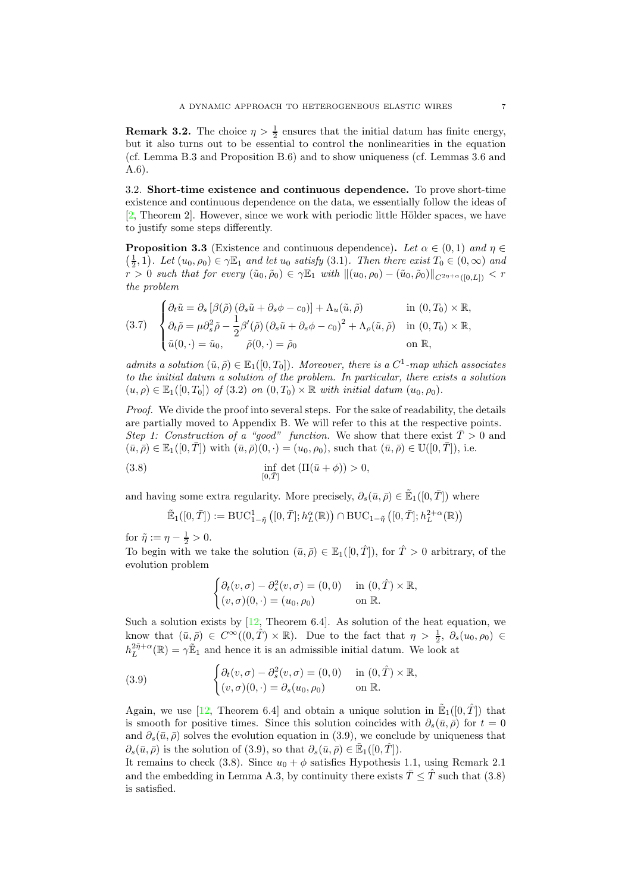**Remark 3.2.** The choice  $\eta > \frac{1}{2}$  ensures that the initial datum has finite energy, but it also turns out to be essential to control the nonlinearities in the equation (cf. Lemma [B.3](#page-23-0) and Proposition [B.6\)](#page-25-0) and to show uniqueness (cf. Lemmas [3.6](#page-9-0) and [A.6\)](#page-20-0).

<span id="page-6-4"></span>3.2. Short-time existence and continuous dependence. To prove short-time existence and continuous dependence on the data, we essentially follow the ideas of  $[2,$  Theorem 2. However, since we work with periodic little Hölder spaces, we have to justify some steps differently.

<span id="page-6-0"></span>**Proposition 3.3** (Existence and continuous dependence). Let  $\alpha \in (0,1)$  and  $\eta \in$  $(\frac{1}{2},1)$ . Let  $(u_0,\rho_0) \in \gamma \mathbb{E}_1$  and let  $u_0$  satisfy  $(3.1)$ . Then there exist  $T_0 \in (0,\infty)$  and  $r > 0$  such that for every  $(\tilde{u}_0, \tilde{\rho}_0) \in \gamma \mathbb{E}_1$  with  $\|(u_0, \rho_0) - (\tilde{u}_0, \tilde{\rho}_0)\|_{C^{2\eta + \alpha}([0,L])} < r$ the problem

<span id="page-6-3"></span>(3.7) 
$$
\begin{cases} \partial_t \tilde{u} = \partial_s \left[ \beta(\tilde{\rho}) \left( \partial_s \tilde{u} + \partial_s \phi - c_0 \right) \right] + \Lambda_u(\tilde{u}, \tilde{\rho}) & \text{in } (0, T_0) \times \mathbb{R}, \\ \partial_t \tilde{\rho} = \mu \partial_s^2 \tilde{\rho} - \frac{1}{2} \beta'(\tilde{\rho}) \left( \partial_s \tilde{u} + \partial_s \phi - c_0 \right)^2 + \Lambda_\rho(\tilde{u}, \tilde{\rho}) & \text{in } (0, T_0) \times \mathbb{R}, \\ \tilde{u}(0, \cdot) = \tilde{u}_0, & \tilde{\rho}(0, \cdot) = \tilde{\rho}_0 & \text{on } \mathbb{R}, \end{cases}
$$

admits a solution  $(\tilde{u}, \tilde{\rho}) \in \mathbb{E}_1([0, T_0])$ . Moreover, there is a  $C^1$ -map which associates to the initial datum a solution of the problem. In particular, there exists a solution  $(u, \rho) \in \mathbb{E}_1([0, T_0])$  of  $(3.2)$  on  $(0, T_0) \times \mathbb{R}$  with initial datum  $(u_0, \rho_0)$ .

Proof. We divide the proof into several steps. For the sake of readability, the details are partially moved to Appendix [B.](#page-21-0) We will refer to this at the respective points. Step 1: Construction of a "good" function. We show that there exist  $\overline{T} > 0$  and  $(\bar{u}, \bar{\rho}) \in \mathbb{E}_1([0, \bar{T}])$  with  $(\bar{u}, \bar{\rho})(0, \cdot) = (u_0, \rho_0)$ , such that  $(\bar{u}, \bar{\rho}) \in \mathbb{U}([0, \bar{T}]),$  i.e.

<span id="page-6-2"></span>(3.8) 
$$
\inf_{[0,\bar{T}]} \det \left( \Pi(\bar{u} + \phi) \right) > 0,
$$

and having some extra regularity. More precisely,  $\partial_s(\bar{u}, \bar{\rho}) \in \mathbb{E}_1([0, \bar{T}])$  where

$$
\tilde{\mathbb{E}}_1([0,\bar{T}]):=\mathrm{BUC}_{1-\tilde{\eta}}^1([0,\bar{T}];h_L^{\alpha}(\mathbb{R}))\cap \mathrm{BUC}_{1-\tilde{\eta}}\left([0,\bar{T}];h_L^{2+\alpha}(\mathbb{R})\right)
$$

for  $\tilde{\eta} := \eta - \frac{1}{2} > 0$ .

To begin with we take the solution  $(\bar{u}, \bar{\rho}) \in \mathbb{E}_1([0, \hat{T}]),$  for  $\hat{T} > 0$  arbitrary, of the evolution problem

$$
\begin{cases} \partial_t (v, \sigma) - \partial_s^2 (v, \sigma) = (0, 0) & \text{in } (0, \hat{T}) \times \mathbb{R}, \\ (v, \sigma)(0, \cdot) = (u_0, \rho_0) & \text{on } \mathbb{R}. \end{cases}
$$

Such a solution exists by  $[12,$  Theorem 6.4. As solution of the heat equation, we know that  $(\bar{u}, \bar{\rho}) \in C^{\infty}((0, \hat{T}) \times \mathbb{R})$ . Due to the fact that  $\eta > \frac{1}{2}$ ,  $\partial_s(u_0, \rho_0) \in$  $h_L^{2\tilde{\eta}+\alpha}(\mathbb{R}) = \gamma \tilde{\mathbb{E}}_1$  and hence it is an admissible initial datum. We look at

<span id="page-6-1"></span>(3.9) 
$$
\begin{cases} \partial_t(v,\sigma) - \partial_s^2(v,\sigma) = (0,0) & \text{in } (0,\hat{T}) \times \mathbb{R}, \\ (v,\sigma)(0,\cdot) = \partial_s(u_0,\rho_0) & \text{on } \mathbb{R}. \end{cases}
$$

Again, we use [\[12,](#page-27-12) Theorem 6.4] and obtain a unique solution in  $\mathbb{E}_1([0,\hat{T}])$  that is smooth for positive times. Since this solution coincides with  $\partial_s(\bar{u}, \bar{\rho})$  for  $t = 0$ and  $\partial_s(\bar{u}, \bar{\rho})$  solves the evolution equation in [\(3.9\)](#page-6-1), we conclude by uniqueness that  $\partial_s(\bar{u}, \bar{\rho})$  is the solution of [\(3.9\)](#page-6-1), so that  $\partial_s(\bar{u}, \bar{\rho}) \in \mathbb{E}_1([0, \hat{T}]).$ 

It remains to check [\(3.8\)](#page-6-2). Since  $u_0 + \phi$  satisfies Hypothesis [1.1,](#page-2-0) using Remark [2.1](#page-3-4) and the embedding in Lemma [A.3,](#page-19-2) by continuity there exists  $\overline{T} \leq \hat{T}$  such that [\(3.8\)](#page-6-2) is satisfied.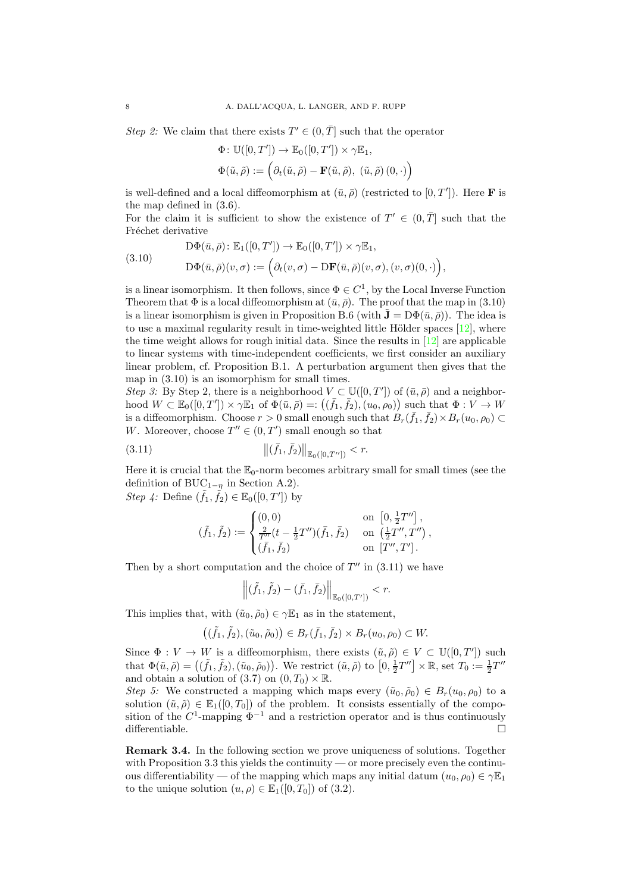Step 2: We claim that there exists  $T' \in (0, \overline{T}]$  such that the operator

$$
\Phi: \mathbb{U}([0,T']) \to \mathbb{E}_0([0,T']) \times \gamma \mathbb{E}_1,
$$
  

$$
\Phi(\tilde{u}, \tilde{\rho}) := \left(\partial_t(\tilde{u}, \tilde{\rho}) - \mathbf{F}(\tilde{u}, \tilde{\rho}), (\tilde{u}, \tilde{\rho}) (0, \cdot)\right)
$$

is well-defined and a local diffeomorphism at  $(\bar{u}, \bar{\rho})$  (restricted to  $[0, T']$ ). Here **F** is the map defined in [\(3.6\)](#page-5-1).

For the claim it is sufficient to show the existence of  $T' \in (0, \overline{T}]$  such that the Fréchet derivative

<span id="page-7-1"></span>(3.10)  
\n
$$
D\Phi(\bar{u}, \bar{\rho}): \mathbb{E}_1([0, T']) \to \mathbb{E}_0([0, T']) \times \gamma \mathbb{E}_1,
$$
\n
$$
D\Phi(\bar{u}, \bar{\rho})(v, \sigma) := \left(\partial_t(v, \sigma) - D\mathbf{F}(\bar{u}, \bar{\rho})(v, \sigma), (v, \sigma)(0, \cdot)\right),
$$

is a linear isomorphism. It then follows, since  $\Phi \in C^1$ , by the Local Inverse Function Theorem that  $\Phi$  is a local diffeomorphism at  $(\bar{u}, \bar{\rho})$ . The proof that the map in [\(3.10\)](#page-7-1) is a linear isomorphism is given in Proposition [B.6](#page-25-0) (with  $\mathbf{\hat{J}} = D\Phi(\bar{u}, \bar{\rho})$ ). The idea is to use a maximal regularity result in time-weighted little Hölder spaces  $[12]$ , where the time weight allows for rough initial data. Since the results in  $[12]$  are applicable to linear systems with time-independent coefficients, we first consider an auxiliary linear problem, cf. Proposition [B.1.](#page-22-0) A perturbation argument then gives that the map in [\(3.10\)](#page-7-1) is an isomorphism for small times.

Step 3: By Step 2, there is a neighborhood  $V \subset \mathbb{U}([0,T'])$  of  $(\bar{u}, \bar{\rho})$  and a neighborhood  $W \subset \mathbb{E}_0([0,T']) \times \gamma \mathbb{E}_1$  of  $\Phi(\bar{u}, \bar{\rho}) =: ((\bar{f}_1, \bar{f}_2), (u_0, \rho_0))$  such that  $\Phi : V \to W$ is a diffeomorphism. Choose  $r > 0$  small enough such that  $B_r(\bar{f}_1, \bar{f}_2) \times B_r(u_0, \rho_0) \subset$ W. Moreover, choose  $T'' \in (0, T')$  small enough so that

<span id="page-7-2"></span>(3.11) 
$$
\|(\bar{f}_1, \bar{f}_2)\|_{\mathbb{E}_0([0,T''])} < r.
$$

Here it is crucial that the  $\mathbb{E}_0$ -norm becomes arbitrary small for small times (see the definition of BUC<sub>1−n</sub> in Section [A.2\)](#page-19-3). *Step 4:* Define  $(\tilde{f}_1, \tilde{f}_2) \in \mathbb{E}_0([0, T'])$  by

$$
(\tilde{f}_1, \tilde{f}_2) := \begin{cases} (0,0) & \text{on } [0, \frac{1}{2}T''] , \\ \frac{2}{T''}(t - \frac{1}{2}T'')(\bar{f}_1, \bar{f}_2) & \text{on } (\frac{1}{2}T'', T'') \\ (\bar{f}_1, \bar{f}_2) & \text{on } [T'', T'] . \end{cases}
$$

Then by a short computation and the choice of  $T''$  in  $(3.11)$  we have

$$
\left\|(\tilde{f}_1, \tilde{f}_2) - (\bar{f}_1, \bar{f}_2)\right\|_{\mathbb{E}_0([0,T'])} < r.
$$

This implies that, with  $(\tilde{u}_0, \tilde{\rho}_0) \in \gamma \mathbb{E}_1$  as in the statement,

$$
((\tilde{f}_1, \tilde{f}_2), (\tilde{u}_0, \tilde{\rho}_0)) \in B_r(\bar{f}_1, \bar{f}_2) \times B_r(u_0, \rho_0) \subset W.
$$

Since  $\Phi: V \to W$  is a diffeomorphism, there exists  $(\tilde{u}, \tilde{\rho}) \in V \subset \mathbb{U}([0, T'])$  such that  $\Phi(\tilde{u}, \tilde{\rho}) = ((\tilde{f}_1, \tilde{f}_2), (\tilde{u}_0, \tilde{\rho}_0))$ . We restrict  $(\tilde{u}, \tilde{\rho})$  to  $[0, \frac{1}{2}T''] \times \mathbb{R}$ , set  $T_0 := \frac{1}{2}T''$ and obtain a solution of [\(3.7\)](#page-6-3) on  $(0, T_0) \times \mathbb{R}$ .

Step 5: We constructed a mapping which maps every  $(\tilde{u}_0, \tilde{\rho}_0) \in B_r(u_0, \rho_0)$  to a solution  $(\tilde{u}, \tilde{\rho}) \in \mathbb{E}_1([0, T_0])$  of the problem. It consists essentially of the composition of the  $C^1$ -mapping  $\Phi^{-1}$  and a restriction operator and is thus continuously differentiable.  $\Box$ 

<span id="page-7-0"></span>Remark 3.4. In the following section we prove uniqueness of solutions. Together with Proposition [3.3](#page-6-0) this yields the continuity — or more precisely even the continuous differentiability — of the mapping which maps any initial datum  $(u_0, \rho_0) \in \gamma \mathbb{E}_1$ to the unique solution  $(u, \rho) \in \mathbb{E}_1([0, T_0])$  of  $(3.2)$ .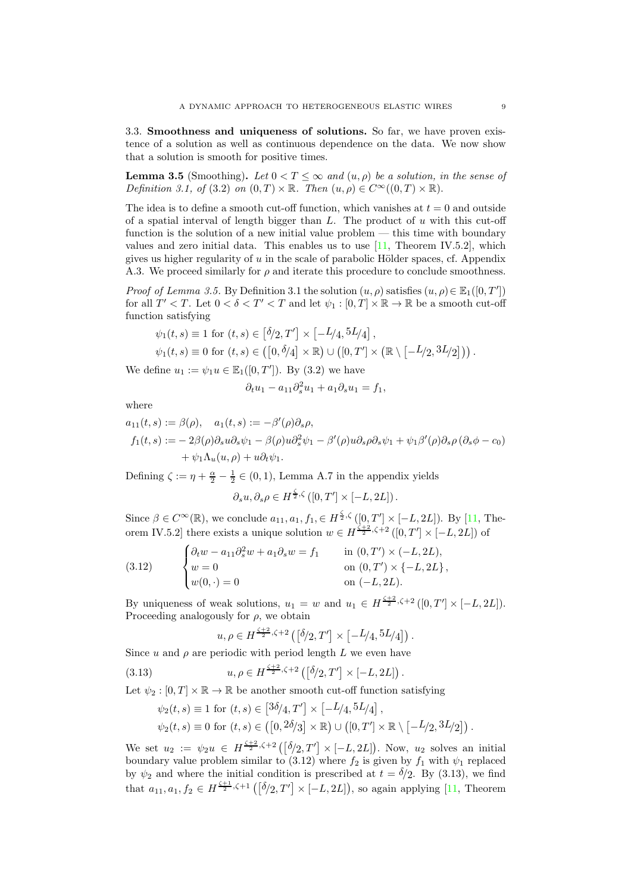<span id="page-8-3"></span>3.3. Smoothness and uniqueness of solutions. So far, we have proven existence of a solution as well as continuous dependence on the data. We now show that a solution is smooth for positive times.

<span id="page-8-0"></span>**Lemma 3.5** (Smoothing). Let  $0 < T \leq \infty$  and  $(u, \rho)$  be a solution, in the sense of Definition [3.1,](#page-5-0) of [\(3.2\)](#page-4-2) on  $(0, T) \times \mathbb{R}$ . Then  $(u, \rho) \in C^{\infty}((0, T) \times \mathbb{R})$ .

The idea is to define a smooth cut-off function, which vanishes at  $t = 0$  and outside of a spatial interval of length bigger than  $L$ . The product of  $u$  with this cut-off function is the solution of a new initial value problem — this time with boundary values and zero initial data. This enables us to use  $[11,$  Theorem IV.5.2, which gives us higher regularity of  $u$  in the scale of parabolic Hölder spaces, cf. Appendix [A.3.](#page-20-1) We proceed similarly for  $\rho$  and iterate this procedure to conclude smoothness.

*Proof of Lemma [3.5.](#page-8-0)* By Definition [3.1](#page-5-0) the solution  $(u, \rho)$  satisfies  $(u, \rho) \in \mathbb{E}_1([0, T'])$ for all  $T' < T$ . Let  $0 < \delta < T' < T$  and let  $\psi_1 : [0, T] \times \mathbb{R} \to \mathbb{R}$  be a smooth cut-off function satisfying

$$
\psi_1(t,s) \equiv 1 \text{ for } (t,s) \in [\delta/2, T'] \times [-L/4, 5L/4],
$$
  

$$
\psi_1(t,s) \equiv 0 \text{ for } (t,s) \in ([0, \delta/4] \times \mathbb{R}) \cup ([0, T'] \times (\mathbb{R} \setminus [-L/2, 3L/2])) .
$$

We define  $u_1 := \psi_1 u \in \mathbb{E}_1([0, T'])$ . By [\(3.2\)](#page-4-2) we have

$$
\partial_t u_1 - a_{11}\partial_s^2 u_1 + a_1 \partial_s u_1 = f_1,
$$

where

$$
a_{11}(t,s) := \beta(\rho), \quad a_1(t,s) := -\beta'(\rho)\partial_s\rho,
$$
  
\n
$$
f_1(t,s) := -2\beta(\rho)\partial_s u \partial_s \psi_1 - \beta(\rho)u \partial_s^2 \psi_1 - \beta'(\rho)u \partial_s\rho \partial_s \psi_1 + \psi_1\beta'(\rho)\partial_s\rho (\partial_s \phi - c_0)
$$
  
\n
$$
+ \psi_1 \Lambda_u(u,\rho) + u \partial_t \psi_1.
$$

Defining  $\zeta := \eta + \frac{\alpha}{2} - \frac{1}{2} \in (0, 1)$ , Lemma [A.7](#page-20-2) in the appendix yields

$$
\partial_s u, \partial_s \rho \in H^{\frac{\zeta}{2},\zeta}([0,T'] \times [-L,2L]).
$$

Since  $\beta \in C^{\infty}(\mathbb{R})$ , we conclude  $a_{11}, a_1, f_1 \in H^{\frac{\zeta}{2}, \zeta}([0, T'] \times [-L, 2L])$ . By [\[11,](#page-27-13) Theorem IV.5.2] there exists a unique solution  $w \in H^{\frac{\zeta+2}{2}, \zeta+2}([0,T'] \times [-L,2L])$  of

<span id="page-8-1"></span>(3.12) 
$$
\begin{cases} \partial_t w - a_{11} \partial_s^2 w + a_1 \partial_s w = f_1 & \text{in } (0, T') \times (-L, 2L), \\ w = 0 & \text{on } (0, T') \times \{-L, 2L\}, \\ w(0, \cdot) = 0 & \text{on } (-L, 2L). \end{cases}
$$

By uniqueness of weak solutions,  $u_1 = w$  and  $u_1 \in H^{\frac{\zeta+2}{2}, \zeta+2}([0,T] \times [-L,2L])$ . Proceeding analogously for  $\rho$ , we obtain

$$
u, \rho \in H^{\frac{\zeta+2}{2}, \zeta+2} \left( \left[ \delta/2, T' \right] \times \left[ -L/4, 5L/4 \right] \right).
$$

Since u and  $\rho$  are periodic with period length L we even have

<span id="page-8-2"></span>(3.13) 
$$
u, \rho \in H^{\frac{\zeta+2}{2}, \zeta+2}([\delta/2, T'] \times [-L, 2L])
$$

Let  $\psi_2 : [0, T] \times \mathbb{R} \to \mathbb{R}$  be another smooth cut-off function satisfying

$$
\psi_2(t,s) \equiv 1 \text{ for } (t,s) \in [3\delta/4, T'] \times [-L/4, 5L/4],
$$
  

$$
\psi_2(t,s) \equiv 0 \text{ for } (t,s) \in ([0, 2\delta/3] \times \mathbb{R}) \cup ([0, T'] \times \mathbb{R} \setminus [-L/2, 3L/2]).
$$

We set  $u_2 := \psi_2 u \in H^{\frac{\zeta+2}{2},\zeta+2}([\delta/2,T'] \times [-L,2L])$ . Now,  $u_2$  solves an initial boundary value problem similar to [\(3.12\)](#page-8-1) where  $f_2$  is given by  $f_1$  with  $\psi_1$  replaced by  $\psi_2$  and where the initial condition is prescribed at  $t = \delta/2$ . By [\(3.13\)](#page-8-2), we find that  $a_{11}, a_1, f_2 \in H^{\frac{\zeta+1}{2}, \zeta+1}([\delta/2, T'] \times [-L, 2L]),$  so again applying [\[11,](#page-27-13) Theorem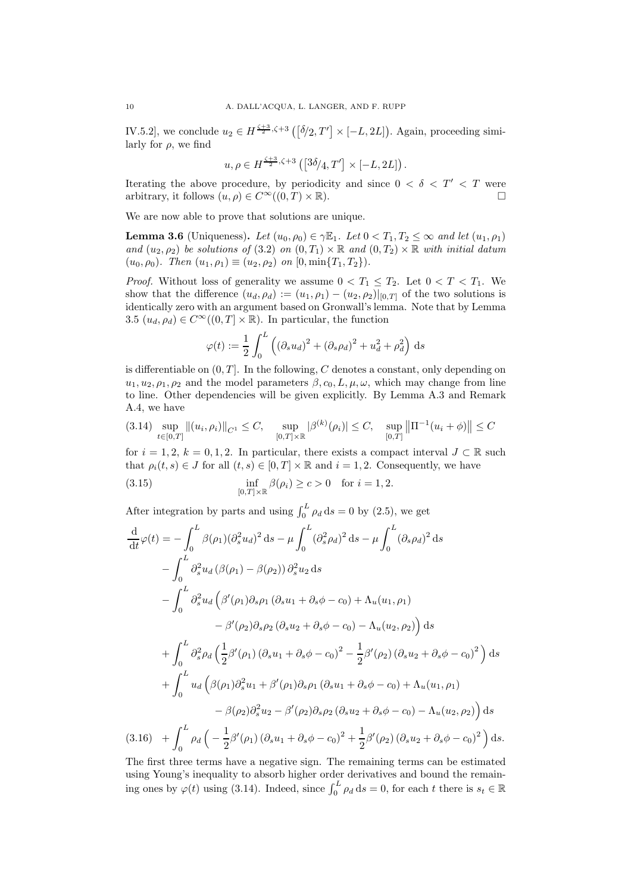IV.5.2, we conclude  $u_2 \in H^{\frac{\zeta+3}{2},\zeta+3}(\sqrt[\delta]{2},T'] \times [-L,2L])$ . Again, proceeding similarly for  $\rho$ , we find

$$
u, \rho \in H^{\frac{\zeta+3}{2},\zeta+3}\left(\left[^{3\delta}\hspace{-2pt}/_4, T'\right] \times \left[-L,2L\right]\right).
$$

Iterating the above procedure, by periodicity and since  $0 < \delta < T' < T$  were arbitrary, it follows  $(u, \rho) \in C^{\infty}((0, T) \times \mathbb{R})$ .

We are now able to prove that solutions are unique.

<span id="page-9-0"></span>**Lemma 3.6** (Uniqueness). Let  $(u_0, \rho_0) \in \gamma \mathbb{E}_1$ . Let  $0 < T_1, T_2 \leq \infty$  and let  $(u_1, \rho_1)$ and  $(u_2, \rho_2)$  be solutions of [\(3.2\)](#page-4-2) on  $(0, T_1) \times \mathbb{R}$  and  $(0, T_2) \times \mathbb{R}$  with initial datum  $(u_0, \rho_0)$ . Then  $(u_1, \rho_1) \equiv (u_2, \rho_2)$  on  $[0, \min\{T_1, T_2\})$ .

*Proof.* Without loss of generality we assume  $0 < T_1 \leq T_2$ . Let  $0 < T < T_1$ . We show that the difference  $(u_d, \rho_d) := (u_1, \rho_1) - (u_2, \rho_2)|_{[0,T]}$  of the two solutions is identically zero with an argument based on Gronwall's lemma. Note that by Lemma [3.5](#page-8-0)  $(u_d, \rho_d) \in C^\infty((0,T] \times \mathbb{R})$ . In particular, the function

$$
\varphi(t) := \frac{1}{2} \int_0^L \left( (\partial_s u_d)^2 + (\partial_s \rho_d)^2 + u_d^2 + \rho_d^2 \right) ds
$$

is differentiable on  $(0, T]$ . In the following, C denotes a constant, only depending on  $u_1, u_2, \rho_1, \rho_2$  and the model parameters  $\beta, c_0, L, \mu, \omega$ , which may change from line to line. Other dependencies will be given explicitly. By Lemma [A.3](#page-19-2) and Remark [A.4,](#page-19-4) we have

<span id="page-9-1"></span>
$$
(3.14) \sup_{t \in [0,T]} \|(u_i, \rho_i)\|_{C^1} \le C, \quad \sup_{[0,T] \times \mathbb{R}} |\beta^{(k)}(\rho_i)| \le C, \quad \sup_{[0,T]} \left\| \Pi^{-1}(u_i + \phi)\right\| \le C
$$

for  $i = 1, 2, k = 0, 1, 2$ . In particular, there exists a compact interval  $J \subset \mathbb{R}$  such that  $\rho_i(t, s) \in J$  for all  $(t, s) \in [0, T] \times \mathbb{R}$  and  $i = 1, 2$ . Consequently, we have

<span id="page-9-3"></span>(3.15) 
$$
\inf_{[0,T] \times \mathbb{R}} \beta(\rho_i) \ge c > 0 \text{ for } i = 1, 2.
$$

After integration by parts and using  $\int_0^L \rho_d \, ds = 0$  by [\(2.5\)](#page-3-5), we get

$$
\frac{d}{dt}\varphi(t) = -\int_{0}^{L} \beta(\rho_{1})(\partial_{s}^{2}u_{d})^{2} ds - \mu \int_{0}^{L} (\partial_{s}^{2}\rho_{d})^{2} ds - \mu \int_{0}^{L} (\partial_{s}\rho_{d})^{2} ds \n- \int_{0}^{L} \partial_{s}^{2}u_{d} (\beta(\rho_{1}) - \beta(\rho_{2})) \partial_{s}^{2}u_{2} ds \n- \int_{0}^{L} \partial_{s}^{2}u_{d} (\beta'(\rho_{1})\partial_{s}\rho_{1} (\partial_{s}u_{1} + \partial_{s}\phi - c_{0}) + \Lambda_{u}(u_{1}, \rho_{1}) \n- \beta'(\rho_{2})\partial_{s}\rho_{2} (\partial_{s}u_{2} + \partial_{s}\phi - c_{0}) - \Lambda_{u}(u_{2}, \rho_{2}) ds \n+ \int_{0}^{L} \partial_{s}^{2}\rho_{d} (\frac{1}{2}\beta'(\rho_{1}) (\partial_{s}u_{1} + \partial_{s}\phi - c_{0})^{2} - \frac{1}{2}\beta'(\rho_{2}) (\partial_{s}u_{2} + \partial_{s}\phi - c_{0})^{2}) ds \n+ \int_{0}^{L} u_{d} (\beta(\rho_{1})\partial_{s}^{2}u_{1} + \beta'(\rho_{1})\partial_{s}\rho_{1} (\partial_{s}u_{1} + \partial_{s}\phi - c_{0}) + \Lambda_{u}(u_{1}, \rho_{1}) \n- \beta(\rho_{2})\partial_{s}^{2}u_{2} - \beta'(\rho_{2})\partial_{s}\rho_{2} (\partial_{s}u_{2} + \partial_{s}\phi - c_{0}) - \Lambda_{u}(u_{2}, \rho_{2}) ds
$$
\n(2.16)

<span id="page-9-2"></span> $+\int^L$  $\int_0^{\pi} \rho_d \left( - \right)$ 1  $\frac{1}{2}\beta'(\rho_1)\left(\partial_s u_1 + \partial_s \phi - c_0\right)^2 + \frac{1}{2}$  $(3.16)$  +  $\int_0^{\pi} \rho_d \left( -\frac{1}{2} \beta'(\rho_1) \left( \partial_s u_1 + \partial_s \phi - c_0 \right)^2 + \frac{1}{2} \beta'(\rho_2) \left( \partial_s u_2 + \partial_s \phi - c_0 \right)^2 \right) ds.$ 

The first three terms have a negative sign. The remaining terms can be estimated using Young's inequality to absorb higher order derivatives and bound the remaining ones by  $\varphi(t)$  using [\(3.14\)](#page-9-1). Indeed, since  $\int_0^L \rho_d ds = 0$ , for each t there is  $s_t \in \mathbb{R}$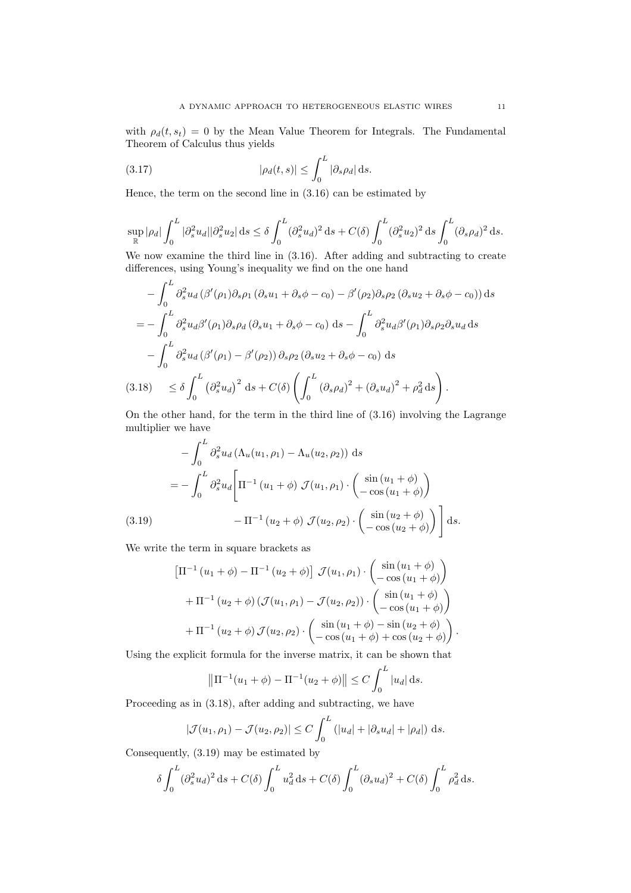with  $\rho_d(t, s_t) = 0$  by the Mean Value Theorem for Integrals. The Fundamental Theorem of Calculus thus yields

<span id="page-10-2"></span>(3.17) 
$$
|\rho_d(t,s)| \leq \int_0^L |\partial_s \rho_d| \,ds.
$$

Hence, the term on the second line in [\(3.16\)](#page-9-2) can be estimated by

$$
\sup_{\mathbb{R}}|\rho_d|\int_0^L|\partial_s^2 u_d||\partial_s^2 u_2|\,\mathrm{d} s\leq \delta\int_0^L(\partial_s^2 u_d)^2\,\mathrm{d} s+C(\delta)\int_0^L(\partial_s^2 u_2)^2\,\mathrm{d} s\int_0^L(\partial_s\rho_d)^2\,\mathrm{d} s.
$$

We now examine the third line in [\(3.16\)](#page-9-2). After adding and subtracting to create differences, using Young's inequality we find on the one hand

$$
-\int_{0}^{L} \partial_{s}^{2} u_{d} \left(\beta'(\rho_{1}) \partial_{s} \rho_{1} \left(\partial_{s} u_{1} + \partial_{s} \phi - c_{0}\right) - \beta'(\rho_{2}) \partial_{s} \rho_{2} \left(\partial_{s} u_{2} + \partial_{s} \phi - c_{0}\right)\right) ds
$$
  
\n
$$
= -\int_{0}^{L} \partial_{s}^{2} u_{d} \beta'(\rho_{1}) \partial_{s} \rho_{d} \left(\partial_{s} u_{1} + \partial_{s} \phi - c_{0}\right) ds - \int_{0}^{L} \partial_{s}^{2} u_{d} \beta'(\rho_{1}) \partial_{s} \rho_{2} \partial_{s} u_{d} ds
$$
  
\n
$$
-\int_{0}^{L} \partial_{s}^{2} u_{d} \left(\beta'(\rho_{1}) - \beta'(\rho_{2})\right) \partial_{s} \rho_{2} \left(\partial_{s} u_{2} + \partial_{s} \phi - c_{0}\right) ds
$$
  
\n(3.18) 
$$
\leq \delta \int_{0}^{L} \left(\partial_{s}^{2} u_{d}\right)^{2} ds + C(\delta) \left(\int_{0}^{L} \left(\partial_{s} \rho_{d}\right)^{2} + \left(\partial_{s} u_{d}\right)^{2} + \rho_{d}^{2} ds\right).
$$

<span id="page-10-0"></span>On the other hand, for the term in the third line of [\(3.16\)](#page-9-2) involving the Lagrange multiplier we have

$$
-\int_{0}^{L} \partial_{s}^{2} u_{d} \left(\Lambda_{u}(u_{1}, \rho_{1}) - \Lambda_{u}(u_{2}, \rho_{2})\right) ds
$$
  

$$
= -\int_{0}^{L} \partial_{s}^{2} u_{d} \left[\Pi^{-1}\left(u_{1} + \phi\right) \mathcal{J}(u_{1}, \rho_{1}) \cdot \begin{pmatrix} \sin\left(u_{1} + \phi\right) \\ -\cos\left(u_{1} + \phi\right) \end{pmatrix} - \Pi^{-1}\left(u_{2} + \phi\right) \mathcal{J}(u_{2}, \rho_{2}) \cdot \begin{pmatrix} \sin\left(u_{2} + \phi\right) \\ -\cos\left(u_{2} + \phi\right) \end{pmatrix} ds.
$$

<span id="page-10-1"></span>We write the term in square brackets as

$$
\left[\Pi^{-1}(u_{1} + \phi) - \Pi^{-1}(u_{2} + \phi)\right] \mathcal{J}(u_{1}, \rho_{1}) \cdot \begin{pmatrix} \sin(u_{1} + \phi) \\ -\cos(u_{1} + \phi) \end{pmatrix} + \Pi^{-1}(u_{2} + \phi) \left(\mathcal{J}(u_{1}, \rho_{1}) - \mathcal{J}(u_{2}, \rho_{2})\right) \cdot \begin{pmatrix} \sin(u_{1} + \phi) \\ -\cos(u_{1} + \phi) \end{pmatrix} + \Pi^{-1}(u_{2} + \phi) \mathcal{J}(u_{2}, \rho_{2}) \cdot \begin{pmatrix} \sin(u_{1} + \phi) - \sin(u_{2} + \phi) \\ -\cos(u_{1} + \phi) + \cos(u_{2} + \phi) \end{pmatrix}.
$$

Using the explicit formula for the inverse matrix, it can be shown that

$$
\left\|\Pi^{-1}(u_1+\phi)-\Pi^{-1}(u_2+\phi)\right\|\leq C\int_0^L|u_d|\,\mathrm{d}s.
$$

Proceeding as in [\(3.18\)](#page-10-0), after adding and subtracting, we have

$$
|\mathcal{J}(u_1,\rho_1)-\mathcal{J}(u_2,\rho_2)|\leq C\int_0^L(|u_d|+|\partial_s u_d|+|\rho_d|)\,ds.
$$

Consequently, [\(3.19\)](#page-10-1) may be estimated by

$$
\delta \int_0^L (\partial_s^2 u_d)^2 ds + C(\delta) \int_0^L u_d^2 ds + C(\delta) \int_0^L (\partial_s u_d)^2 + C(\delta) \int_0^L \rho_d^2 ds.
$$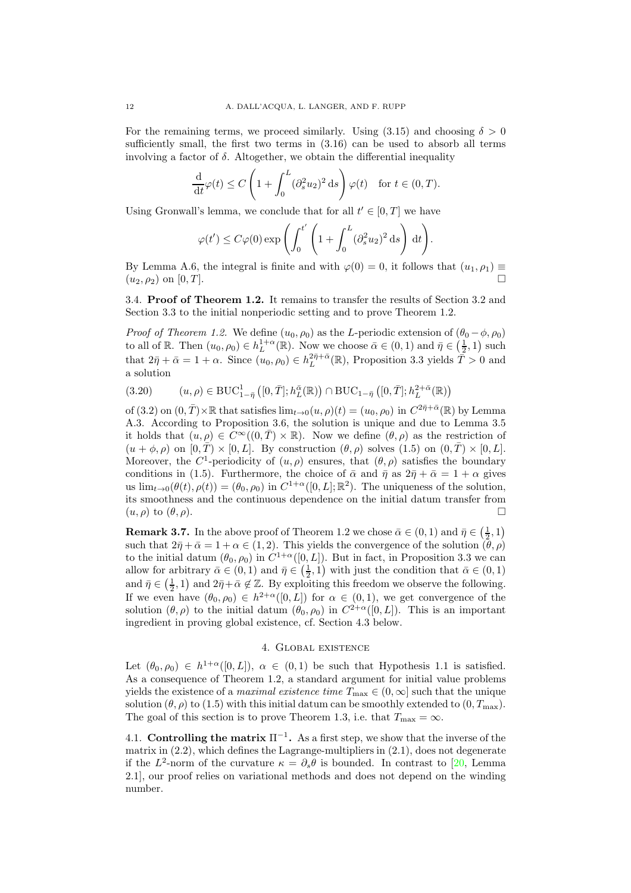For the remaining terms, we proceed similarly. Using  $(3.15)$  and choosing  $\delta > 0$ sufficiently small, the first two terms in [\(3.16\)](#page-9-2) can be used to absorb all terms involving a factor of  $\delta$ . Altogether, we obtain the differential inequality

$$
\frac{\mathrm{d}}{\mathrm{d}t}\varphi(t) \le C\left(1 + \int_0^L (\partial_s^2 u_2)^2 \,\mathrm{d}s\right)\varphi(t) \quad \text{for } t \in (0, T).
$$

Using Gronwall's lemma, we conclude that for all  $t' \in [0,T]$  we have

$$
\varphi(t') \le C\varphi(0) \exp\left(\int_0^{t'} \left(1 + \int_0^L (\partial_s^2 u_2)^2 ds\right) dt\right).
$$

By Lemma [A.6,](#page-20-0) the integral is finite and with  $\varphi(0) = 0$ , it follows that  $(u_1, \rho_1) \equiv$  $(u_2, \rho_2)$  on [0, T].

3.4. Proof of Theorem [1.2.](#page-2-2) It remains to transfer the results of Section [3.2](#page-6-4) and Section [3.3](#page-8-3) to the initial nonperiodic setting and to prove Theorem [1.2.](#page-2-2)

*Proof of Theorem [1.2.](#page-2-2)* We define  $(u_0, \rho_0)$  as the L-periodic extension of  $(\theta_0 - \phi, \rho_0)$ to all of R. Then  $(u_0, \rho_0) \in h_L^{1+\alpha}(\mathbb{R})$ . Now we choose  $\bar{\alpha} \in (0, 1)$  and  $\bar{\eta} \in (\frac{1}{2}, 1)$  such 2 that  $2\bar{\eta} + \bar{\alpha} = 1 + \alpha$ . Since  $(u_0, \rho_0) \in h_L^{2\bar{\eta} + \bar{\alpha}}(\mathbb{R})$ , Proposition [3.3](#page-6-0) yields  $\bar{T} > 0$  and a solution

<span id="page-11-2"></span>
$$
(3.20) \qquad (u,\rho) \in \mathrm{BUC}_{1-\bar{\eta}}^1\left([0,\bar{T}];h_L^{\bar{\alpha}}(\mathbb{R})\right) \cap \mathrm{BUC}_{1-\bar{\eta}}\left([0,\bar{T}];h_L^{2+\bar{\alpha}}(\mathbb{R})\right)
$$

of [\(3.2\)](#page-4-2) on  $(0, \overline{T}) \times \mathbb{R}$  that satisfies  $\lim_{t \to 0} (u, \rho)(t) = (u_0, \rho_0)$  in  $C^{2\overline{\eta} + \overline{\alpha}}(\mathbb{R})$  by Lemma [A.3.](#page-19-2) According to Proposition [3.6,](#page-9-0) the solution is unique and due to Lemma [3.5](#page-8-0) it holds that  $(u, \rho) \in C^{\infty}((0, \overline{T}) \times \mathbb{R})$ . Now we define  $(\theta, \rho)$  as the restriction of  $(u + \phi, \rho)$  on  $[0, \overline{T}] \times [0, L]$ . By construction  $(\theta, \rho)$  solves  $(1.5)$  on  $(0, \overline{T}] \times [0, L]$ . Moreover, the C<sup>1</sup>-periodicity of  $(u, \rho)$  ensures, that  $(\theta, \rho)$  satisfies the boundary conditions in [\(1.5\)](#page-1-1). Furthermore, the choice of  $\bar{\alpha}$  and  $\bar{\eta}$  as  $2\bar{\eta} + \bar{\alpha} = 1 + \alpha$  gives us  $\lim_{t\to 0}(\theta(t), \rho(t)) = (\theta_0, \rho_0)$  in  $C^{1+\alpha}([0, L]; \mathbb{R}^2)$ . The uniqueness of the solution, its smoothness and the continuous dependence on the initial datum transfer from  $(u, \rho)$  to  $(\theta, \rho)$ .

<span id="page-11-1"></span>**Remark 3.7.** In the above proof of Theorem [1.2](#page-2-2) we chose  $\bar{\alpha} \in (0,1)$  and  $\bar{\eta} \in (\frac{1}{2},1)$ such that  $2\bar{\eta} + \bar{\alpha} = 1 + \alpha \in (1, 2)$ . This yields the convergence of the solution  $(\bar{\theta}, \rho)$ to the initial datum  $(\theta_0, \rho_0)$  in  $C^{1+\alpha}([0, L])$ . But in fact, in Proposition [3.3](#page-6-0) we can allow for arbitrary  $\bar{\alpha} \in (0,1)$  and  $\bar{\eta} \in (\frac{1}{2},1)$  with just the condition that  $\bar{\alpha} \in (0,1)$ and  $\bar{\eta} \in (\frac{1}{2}, 1)$  and  $2\bar{\eta} + \bar{\alpha} \notin \mathbb{Z}$ . By exploiting this freedom we observe the following. If we even have  $(\theta_0, \rho_0) \in h^{2+\alpha}([0, L])$  for  $\alpha \in (0, 1)$ , we get convergence of the solution  $(\theta, \rho)$  to the initial datum  $(\theta_0, \rho_0)$  in  $C^{2+\alpha}([0, L])$ . This is an important ingredient in proving global existence, cf. Section [4.3](#page-16-0) below.

## 4. Global existence

<span id="page-11-0"></span>Let  $(\theta_0, \rho_0) \in h^{1+\alpha}([0, L])$ ,  $\alpha \in (0, 1)$  be such that Hypothesis [1.1](#page-2-0) is satisfied. As a consequence of Theorem [1.2,](#page-2-2) a standard argument for initial value problems yields the existence of a *maximal existence time*  $T_{\text{max}} \in (0, \infty]$  such that the unique solution ( $\theta$ ,  $\rho$ ) to [\(1.5\)](#page-1-1) with this initial datum can be smoothly extended to (0,  $T_{\text{max}}$ ). The goal of this section is to prove Theorem [1.3,](#page-2-1) i.e. that  $T_{\text{max}} = \infty$ .

4.1. Controlling the matrix  $\Pi^{-1}$ . As a first step, we show that the inverse of the matrix in  $(2.2)$ , which defines the Lagrange-multipliers in  $(2.1)$ , does not degenerate if the  $L^2$ -norm of the curvature  $\kappa = \partial_s \theta$  is bounded. In contrast to [\[20,](#page-28-0) Lemma 2.1], our proof relies on variational methods and does not depend on the winding number.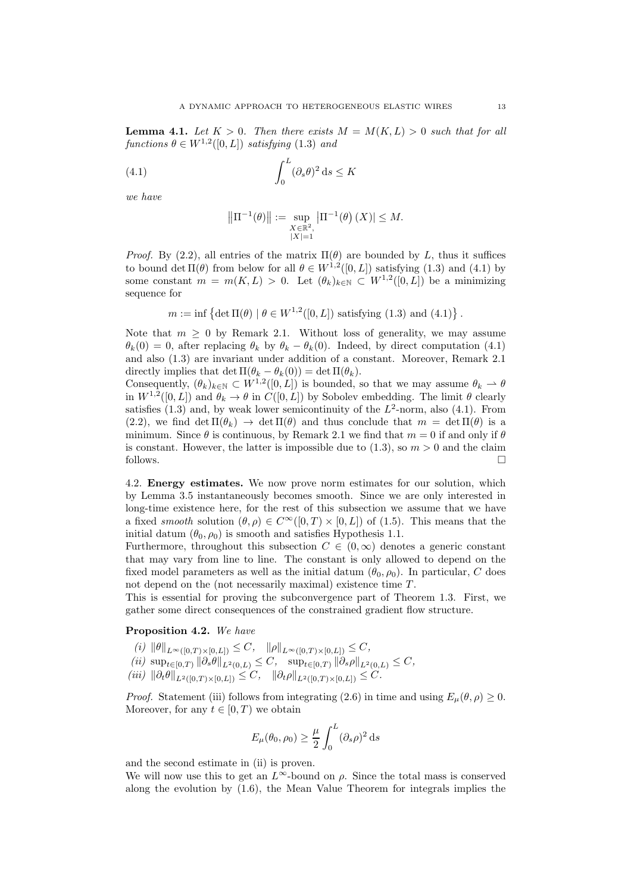<span id="page-12-2"></span>**Lemma 4.1.** Let  $K > 0$ . Then there exists  $M = M(K, L) > 0$  such that for all functions  $\theta \in W^{1,2}([0,L])$  satisfying [\(1.3\)](#page-1-0) and

<span id="page-12-0"></span>(4.1) 
$$
\int_0^L (\partial_s \theta)^2 ds \leq K
$$

we have

$$
\left\|\Pi^{-1}(\theta)\right\| := \sup_{\substack{X \in \mathbb{R}^2, \\ |X| = 1}} \left|\Pi^{-1}(\theta)\left(X\right)\right| \le M.
$$

*Proof.* By [\(2.2\)](#page-3-6), all entries of the matrix  $\Pi(\theta)$  are bounded by L, thus it suffices to bound det  $\Pi(\theta)$  from below for all  $\theta \in W^{1,2}([0,L])$  satisfying [\(1.3\)](#page-1-0) and [\(4.1\)](#page-12-0) by some constant  $m = m(K, L) > 0$ . Let  $(\theta_k)_{k \in \mathbb{N}} \subset W^{1,2}([0, L])$  be a minimizing sequence for

 $m := \inf \{ \det \Pi(\theta) \mid \theta \in W^{1,2}([0,L]) \text{ satisfying (1.3) and (4.1)} \}.$  $m := \inf \{ \det \Pi(\theta) \mid \theta \in W^{1,2}([0,L]) \text{ satisfying (1.3) and (4.1)} \}.$  $m := \inf \{ \det \Pi(\theta) \mid \theta \in W^{1,2}([0,L]) \text{ satisfying (1.3) and (4.1)} \}.$  $m := \inf \{ \det \Pi(\theta) \mid \theta \in W^{1,2}([0,L]) \text{ satisfying (1.3) and (4.1)} \}.$  $m := \inf \{ \det \Pi(\theta) \mid \theta \in W^{1,2}([0,L]) \text{ satisfying (1.3) and (4.1)} \}.$ 

Note that  $m \geq 0$  by Remark [2.1.](#page-3-4) Without loss of generality, we may assume  $\theta_k(0) = 0$ , after replacing  $\theta_k$  by  $\theta_k - \theta_k(0)$ . Indeed, by direct computation [\(4.1\)](#page-12-0) and also [\(1.3\)](#page-1-0) are invariant under addition of a constant. Moreover, Remark [2.1](#page-3-4) directly implies that det  $\Pi(\theta_k - \theta_k(0)) = \det \Pi(\theta_k)$ .

Consequently,  $(\theta_k)_{k \in \mathbb{N}} \subset W^{1,2}([0,L])$  is bounded, so that we may assume  $\theta_k \to \theta$ in  $W^{1,2}([0,L])$  and  $\theta_k \to \theta$  in  $C([0,L])$  by Sobolev embedding. The limit  $\theta$  clearly satisfies  $(1.3)$  and, by weak lower semicontinuity of the  $L^2$ -norm, also  $(4.1)$ . From  $(2.2)$ , we find det  $\Pi(\theta_k) \to \det \Pi(\theta)$  and thus conclude that  $m = \det \Pi(\theta)$  is a minimum. Since  $\theta$  is continuous, by Remark [2.1](#page-3-4) we find that  $m = 0$  if and only if  $\theta$ is constant. However, the latter is impossible due to  $(1.3)$ , so  $m > 0$  and the claim follows.  $\Box$ 

4.2. Energy estimates. We now prove norm estimates for our solution, which by Lemma [3.5](#page-8-0) instantaneously becomes smooth. Since we are only interested in long-time existence here, for the rest of this subsection we assume that we have a fixed smooth solution  $(\theta, \rho) \in C^{\infty}([0, T) \times [0, L])$  of [\(1.5\)](#page-1-1). This means that the initial datum  $(\theta_0, \rho_0)$  is smooth and satisfies Hypothesis [1.1.](#page-2-0)

Furthermore, throughout this subsection  $C \in (0,\infty)$  denotes a generic constant that may vary from line to line. The constant is only allowed to depend on the fixed model parameters as well as the initial datum  $(\theta_0, \rho_0)$ . In particular, C does not depend on the (not necessarily maximal) existence time  $T$ .

This is essential for proving the subconvergence part of Theorem [1.3.](#page-2-1) First, we gather some direct consequences of the constrained gradient flow structure.

## <span id="page-12-1"></span>Proposition 4.2. We have

 $(i) \| \theta \|_{L^{\infty}([0,T)\times[0,L])} \leq C, \| \rho \|_{L^{\infty}([0,T)\times[0,L])} \leq C,$ (ii)  $\sup_{t\in[0,T)} \|\partial_s \theta\|_{L^2(0,L)} \leq C, \quad \sup_{t\in[0,T)} \|\partial_s \rho\|_{L^2(0,L)} \leq C,$  $(iii)$   $\|\partial_t \theta\|_{L^2([0,T)\times[0,L])} \leq C$ ,  $\|\partial_t \rho\|_{L^2([0,T)\times[0,L])} \leq C$ .

*Proof.* Statement (iii) follows from integrating [\(2.6\)](#page-4-3) in time and using  $E_{\mu}(\theta, \rho) \geq 0$ . Moreover, for any  $t \in [0, T)$  we obtain

$$
E_{\mu}(\theta_0, \rho_0) \ge \frac{\mu}{2} \int_0^L (\partial_s \rho)^2 ds
$$

and the second estimate in (ii) is proven.

We will now use this to get an  $L^{\infty}$ -bound on  $\rho$ . Since the total mass is conserved along the evolution by [\(1.6\)](#page-1-2), the Mean Value Theorem for integrals implies the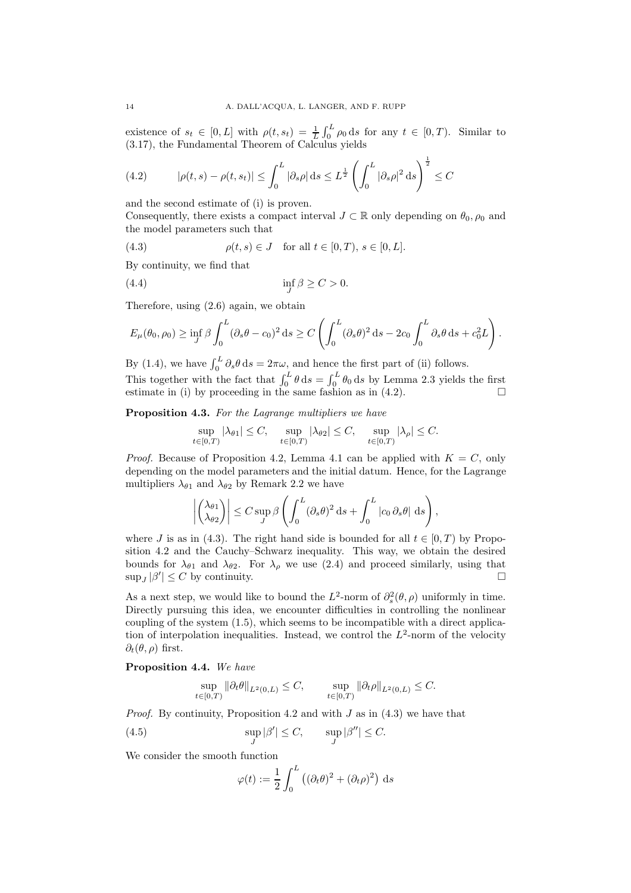existence of  $s_t \in [0, L]$  with  $\rho(t, s_t) = \frac{1}{L} \int_0^L \rho_0 ds$  for any  $t \in [0, T)$ . Similar to [\(3.17\)](#page-10-2), the Fundamental Theorem of Calculus yields

<span id="page-13-0"></span>(4.2) 
$$
|\rho(t,s) - \rho(t,s_t)| \le \int_0^L |\partial_s \rho| ds \le L^{\frac{1}{2}} \left( \int_0^L |\partial_s \rho|^2 ds \right)^{\frac{1}{2}} \le C
$$

and the second estimate of (i) is proven.

Consequently, there exists a compact interval  $J \subset \mathbb{R}$  only depending on  $\theta_0$ ,  $\rho_0$  and the model parameters such that

<span id="page-13-1"></span>(4.3) 
$$
\rho(t,s) \in J \text{ for all } t \in [0,T), s \in [0,L].
$$

By continuity, we find that

<span id="page-13-4"></span>inf J (4.4) β ≥ C > 0.

Therefore, using [\(2.6\)](#page-4-3) again, we obtain

$$
E_{\mu}(\theta_0, \rho_0) \ge \inf_J \beta \int_0^L (\partial_s \theta - c_0)^2 ds \ge C \left( \int_0^L (\partial_s \theta)^2 ds - 2c_0 \int_0^L \partial_s \theta ds + c_0^2 L \right).
$$

By [\(1.4\)](#page-1-3), we have  $\int_0^L \partial_s \theta \, ds = 2\pi \omega$ , and hence the first part of (ii) follows. This together with the fact that  $\int_0^L \theta \, ds = \int_0^L \theta_0 \, ds$  by Lemma [2.3](#page-4-4) yields the first estimate in (i) by proceeding in the same fashion as in [\(4.2\)](#page-13-0).  $\square$ 

<span id="page-13-3"></span>Proposition 4.3. For the Lagrange multipliers we have

$$
\sup_{t\in[0,T)}|\lambda_{\theta 1}|\leq C,\quad \sup_{t\in[0,T)}|\lambda_{\theta 2}|\leq C,\quad \sup_{t\in[0,T)}|\lambda_\rho|\leq C.
$$

*Proof.* Because of Proposition [4.2,](#page-12-1) Lemma [4.1](#page-12-2) can be applied with  $K = C$ , only depending on the model parameters and the initial datum. Hence, for the Lagrange multipliers  $\lambda_{\theta_1}$  and  $\lambda_{\theta_2}$  by Remark [2.2](#page-3-2) we have

$$
\left| \begin{pmatrix} \lambda_{\theta 1} \\ \lambda_{\theta 2} \end{pmatrix} \right| \leq C \sup_J \beta \left( \int_0^L (\partial_s \theta)^2 \, ds + \int_0^L |c_0 \, \partial_s \theta| \, ds \right),
$$

where J is as in [\(4.3\)](#page-13-1). The right hand side is bounded for all  $t \in [0, T)$  by Proposition [4.2](#page-12-1) and the Cauchy–Schwarz inequality. This way, we obtain the desired bounds for  $\lambda_{\theta_1}$  and  $\lambda_{\theta_2}$ . For  $\lambda_\rho$  we use [\(2.4\)](#page-3-3) and proceed similarly, using that  $\sup_J |\beta'| \leq C$  by continuity.

As a next step, we would like to bound the  $L^2$ -norm of  $\partial_s^2(\theta, \rho)$  uniformly in time. Directly pursuing this idea, we encounter difficulties in controlling the nonlinear coupling of the system [\(1.5\)](#page-1-1), which seems to be incompatible with a direct application of interpolation inequalities. Instead, we control the  $L^2$ -norm of the velocity  $\partial_t(\theta,\rho)$  first.

<span id="page-13-5"></span>Proposition 4.4. We have

$$
\sup_{t\in[0,T)}\|\partial_t\theta\|_{L^2(0,L)}\leq C,\qquad \sup_{t\in[0,T)}\|\partial_t\rho\|_{L^2(0,L)}\leq C.
$$

*Proof.* By continuity, Proposition [4.2](#page-12-1) and with  $J$  as in  $(4.3)$  we have that

<span id="page-13-2"></span>(4.5) 
$$
\sup_{J} |\beta'| \leq C, \qquad \sup_{J} |\beta''| \leq C.
$$

We consider the smooth function

$$
\varphi(t) := \frac{1}{2} \int_0^L \left( (\partial_t \theta)^2 + (\partial_t \rho)^2 \right) ds
$$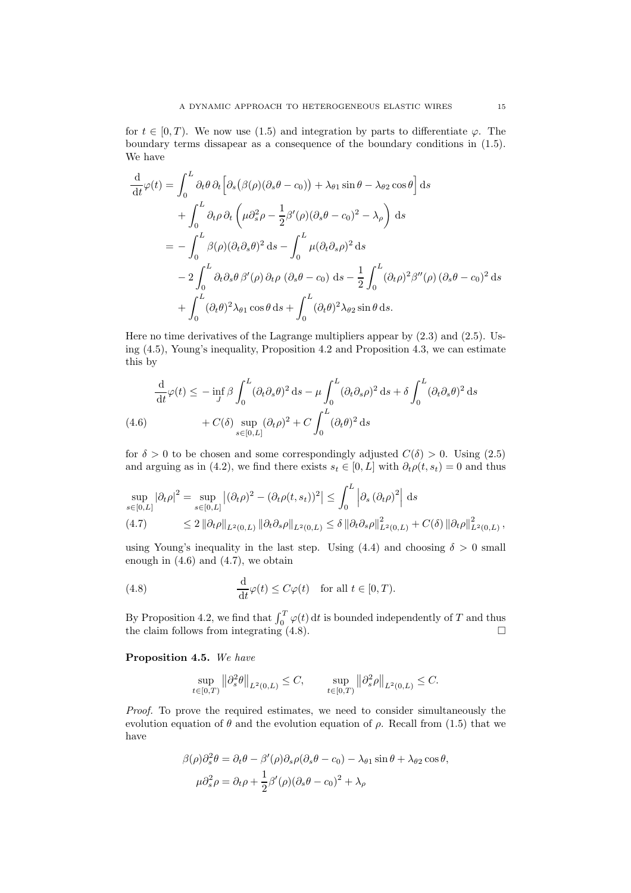for  $t \in [0, T)$ . We now use [\(1.5\)](#page-1-1) and integration by parts to differentiate  $\varphi$ . The boundary terms dissapear as a consequence of the boundary conditions in [\(1.5\)](#page-1-1). We have

$$
\frac{d}{dt}\varphi(t) = \int_0^L \partial_t \theta \,\partial_t \Big[ \partial_s (\beta(\rho)(\partial_s \theta - c_0)) + \lambda_{\theta 1} \sin \theta - \lambda_{\theta 2} \cos \theta \Big] ds \n+ \int_0^L \partial_t \rho \,\partial_t \left( \mu \partial_s^2 \rho - \frac{1}{2} \beta'(\rho)(\partial_s \theta - c_0)^2 - \lambda_{\rho} \right) ds \n= - \int_0^L \beta(\rho)(\partial_t \partial_s \theta)^2 ds - \int_0^L \mu(\partial_t \partial_s \rho)^2 ds \n- 2 \int_0^L \partial_t \partial_s \theta \,\beta'(\rho) \,\partial_t \rho \left( \partial_s \theta - c_0 \right) ds - \frac{1}{2} \int_0^L (\partial_t \rho)^2 \beta''(\rho) \left( \partial_s \theta - c_0 \right)^2 ds \n+ \int_0^L (\partial_t \theta)^2 \lambda_{\theta 1} \cos \theta ds + \int_0^L (\partial_t \theta)^2 \lambda_{\theta 2} \sin \theta ds.
$$

Here no time derivatives of the Lagrange multipliers appear by [\(2.3\)](#page-3-7) and [\(2.5\)](#page-3-5). Using [\(4.5\)](#page-13-2), Young's inequality, Proposition [4.2](#page-12-1) and Proposition [4.3,](#page-13-3) we can estimate this by

$$
\frac{\mathrm{d}}{\mathrm{d}t}\varphi(t) \le -\inf_{J} \beta \int_{0}^{L} (\partial_{t}\partial_{s}\theta)^{2} \,\mathrm{d}s - \mu \int_{0}^{L} (\partial_{t}\partial_{s}\rho)^{2} \,\mathrm{d}s + \delta \int_{0}^{L} (\partial_{t}\partial_{s}\theta)^{2} \,\mathrm{d}s
$$
\n
$$
(4.6) \qquad + C(\delta) \sup_{s \in [0,L]} (\partial_{t}\rho)^{2} + C \int_{0}^{L} (\partial_{t}\theta)^{2} \,\mathrm{d}s
$$

<span id="page-14-0"></span>for  $\delta > 0$  to be chosen and some correspondingly adjusted  $C(\delta) > 0$ . Using [\(2.5\)](#page-3-5) and arguing as in [\(4.2\)](#page-13-0), we find there exists  $s_t \in [0, L]$  with  $\partial_t \rho(t, s_t) = 0$  and thus

$$
\sup_{s\in[0,L]} |\partial_t \rho|^2 = \sup_{s\in[0,L]} |(\partial_t \rho)^2 - (\partial_t \rho(t,s_t))^2| \le \int_0^L \left| \partial_s (\partial_t \rho)^2 \right| ds
$$
  
(4.7) 
$$
\le 2 \left\| \partial_t \rho \right\|_{L^2(0,L)} \left\| \partial_t \partial_s \rho \right\|_{L^2(0,L)} \le \delta \left\| \partial_t \partial_s \rho \right\|_{L^2(0,L)}^2 + C(\delta) \left\| \partial_t \rho \right\|_{L^2(0,L)}^2,
$$

<span id="page-14-1"></span>using Young's inequality in the last step. Using  $(4.4)$  and choosing  $\delta > 0$  small enough in  $(4.6)$  and  $(4.7)$ , we obtain

<span id="page-14-2"></span>(4.8) 
$$
\frac{\mathrm{d}}{\mathrm{d}t}\varphi(t) \leq C\varphi(t) \quad \text{for all } t \in [0, T).
$$

By Proposition [4.2,](#page-12-1) we find that  $\int_0^T \varphi(t) dt$  is bounded independently of T and thus the claim follows from integrating  $(4.8)$ .

<span id="page-14-3"></span>Proposition 4.5. We have

$$
\sup_{t\in[0,T)}\left\|\partial^2_s\theta\right\|_{L^2(0,L)}\leq C,\qquad \sup_{t\in[0,T)}\left\|\partial^2_s\rho\right\|_{L^2(0,L)}\leq C.
$$

Proof. To prove the required estimates, we need to consider simultaneously the evolution equation of  $\theta$  and the evolution equation of  $\rho$ . Recall from [\(1.5\)](#page-1-1) that we have

$$
\beta(\rho)\partial_s^2 \theta = \partial_t \theta - \beta'(\rho)\partial_s \rho(\partial_s \theta - c_0) - \lambda_{\theta 1} \sin \theta + \lambda_{\theta 2} \cos \theta,
$$
  

$$
\mu \partial_s^2 \rho = \partial_t \rho + \frac{1}{2} \beta'(\rho)(\partial_s \theta - c_0)^2 + \lambda_{\rho}
$$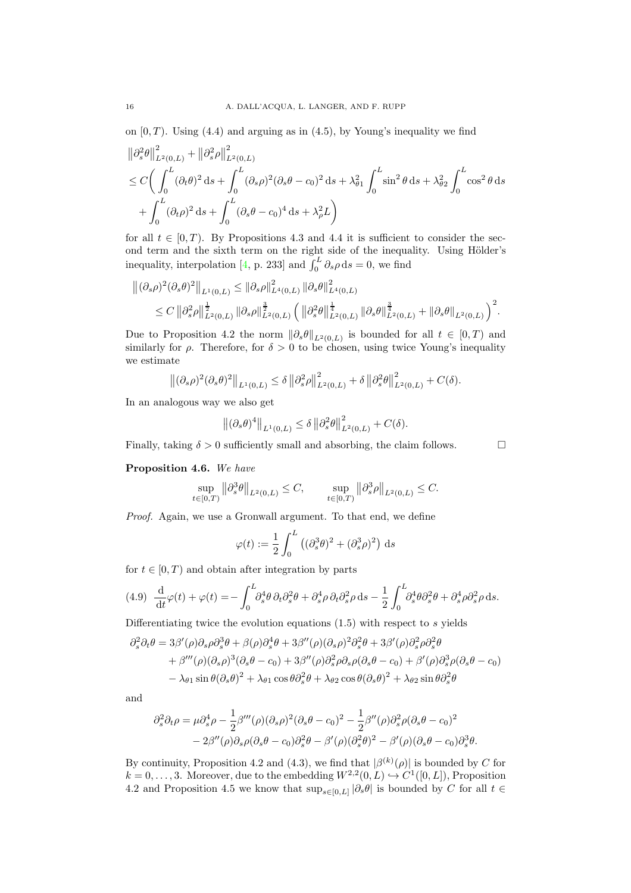on  $[0, T)$ . Using  $(4.4)$  and arguing as in  $(4.5)$ , by Young's inequality we find

$$
\begin{split} & \left\| \partial_s^2 \theta \right\|_{L^2(0,L)}^2 + \left\| \partial_s^2 \rho \right\|_{L^2(0,L)}^2 \\ & \leq C \bigg( \int_0^L (\partial_t \theta)^2 \, ds + \int_0^L (\partial_s \rho)^2 (\partial_s \theta - c_0)^2 \, ds + \lambda_{\theta_1}^2 \int_0^L \sin^2 \theta \, ds + \lambda_{\theta_2}^2 \int_0^L \cos^2 \theta \, ds \\ & + \int_0^L (\partial_t \rho)^2 \, ds + \int_0^L (\partial_s \theta - c_0)^4 \, ds + \lambda_{\rho}^2 L \bigg) \end{split}
$$

for all  $t \in [0, T)$ . By Propositions [4.3](#page-13-3) and [4.4](#page-13-5) it is sufficient to consider the second term and the sixth term on the right side of the inequality. Using Hölder's inequality, interpolation [\[4,](#page-27-15) p. 233] and  $\int_0^L \partial_s \rho \, ds = 0$ , we find

$$
\begin{split} \left\| (\partial_s \rho)^2 (\partial_s \theta)^2 \right\|_{L^1(0,L)} &\leq \left\| \partial_s \rho \right\|_{L^4(0,L)}^2 \left\| \partial_s \theta \right\|_{L^4(0,L)}^2 \\ &\leq C \left\| \partial_s^2 \rho \right\|_{L^2(0,L)}^{\frac{1}{2}} \left\| \partial_s \rho \right\|_{L^2(0,L)}^{\frac{3}{2}} \left( \left\| \partial_s^2 \theta \right\|_{L^2(0,L)}^{\frac{1}{4}} \left\| \partial_s \theta \right\|_{L^2(0,L)}^{\frac{3}{4}} + \left\| \partial_s \theta \right\|_{L^2(0,L)} \right)^2 . \end{split}
$$

Due to Proposition [4.2](#page-12-1) the norm  $\|\partial_s \theta\|_{L^2(0,L)}$  is bounded for all  $t \in [0,T)$  and similarly for  $\rho$ . Therefore, for  $\delta > 0$  to be chosen, using twice Young's inequality we estimate

$$
\left\|(\partial_s \rho)^2 (\partial_s \theta)^2\right\|_{L^1(0,L)} \le \delta \left\|\partial_s^2 \rho\right\|_{L^2(0,L)}^2 + \delta \left\|\partial_s^2 \theta\right\|_{L^2(0,L)}^2 + C(\delta).
$$

In an analogous way we also get

$$
\left\|(\partial_s \theta)^4\right\|_{L^1(0,L)} \le \delta \left\|\partial_s^2 \theta\right\|_{L^2(0,L)}^2 + C(\delta).
$$

Finally, taking  $\delta > 0$  sufficiently small and absorbing, the claim follows.  $\Box$ 

## <span id="page-15-1"></span>Proposition 4.6. We have

$$
\sup_{t \in [0,T)} \left\| \partial_s^3 \theta \right\|_{L^2(0,L)} \le C, \qquad \sup_{t \in [0,T)} \left\| \partial_s^3 \rho \right\|_{L^2(0,L)} \le C.
$$

Proof. Again, we use a Gronwall argument. To that end, we define

$$
\varphi(t) := \frac{1}{2} \int_0^L \left( (\partial_s^3 \theta)^2 + (\partial_s^3 \rho)^2 \right) ds
$$

for  $t \in [0, T)$  and obtain after integration by parts

<span id="page-15-0"></span>(4.9) 
$$
\frac{\mathrm{d}}{\mathrm{d}t}\varphi(t) + \varphi(t) = -\int_0^L \partial_s^4 \theta \, \partial_t \partial_s^2 \theta + \partial_s^4 \rho \, \partial_t \partial_s^2 \rho \, \mathrm{d}s - \frac{1}{2} \int_0^L \partial_s^4 \theta \partial_s^2 \theta + \partial_s^4 \rho \partial_s^2 \rho \, \mathrm{d}s.
$$

Differentiating twice the evolution equations  $(1.5)$  with respect to s yields

$$
\partial_s^2 \partial_t \theta = 3\beta'(\rho)\partial_s \rho \partial_s^3 \theta + \beta(\rho)\partial_s^4 \theta + 3\beta''(\rho)(\partial_s \rho)^2 \partial_s^2 \theta + 3\beta'(\rho)\partial_s^2 \rho \partial_s^2 \theta + \beta'''(\rho)(\partial_s \rho)^3(\partial_s \theta - c_0) + 3\beta''(\rho)\partial_s^2 \rho \partial_s \rho (\partial_s \theta - c_0) + \beta'(\rho)\partial_s^3 \rho (\partial_s \theta - c_0) - \lambda_{\theta 1} \sin \theta (\partial_s \theta)^2 + \lambda_{\theta 1} \cos \theta \partial_s^2 \theta + \lambda_{\theta 2} \cos \theta (\partial_s \theta)^2 + \lambda_{\theta 2} \sin \theta \partial_s^2 \theta
$$

and

$$
\partial_s^2 \partial_t \rho = \mu \partial_s^4 \rho - \frac{1}{2} \beta'''(\rho) (\partial_s \rho)^2 (\partial_s \theta - c_0)^2 - \frac{1}{2} \beta''(\rho) \partial_s^2 \rho (\partial_s \theta - c_0)^2 - 2\beta''(\rho) \partial_s \rho (\partial_s \theta - c_0) \partial_s^2 \theta - \beta'(\rho) (\partial_s^2 \theta)^2 - \beta'(\rho) (\partial_s \theta - c_0) \partial_s^3 \theta.
$$

By continuity, Proposition [4.2](#page-12-1) and [\(4.3\)](#page-13-1), we find that  $|\beta^{(k)}(\rho)|$  is bounded by C for  $k = 0, \ldots, 3$ . Moreover, due to the embedding  $W^{2,2}(0,L) \hookrightarrow C^1([0,L])$ , Proposition [4.2](#page-12-1) and Proposition [4.5](#page-14-3) we know that  $\sup_{s\in[0,L]}|\partial_s\theta|$  is bounded by C for all  $t \in$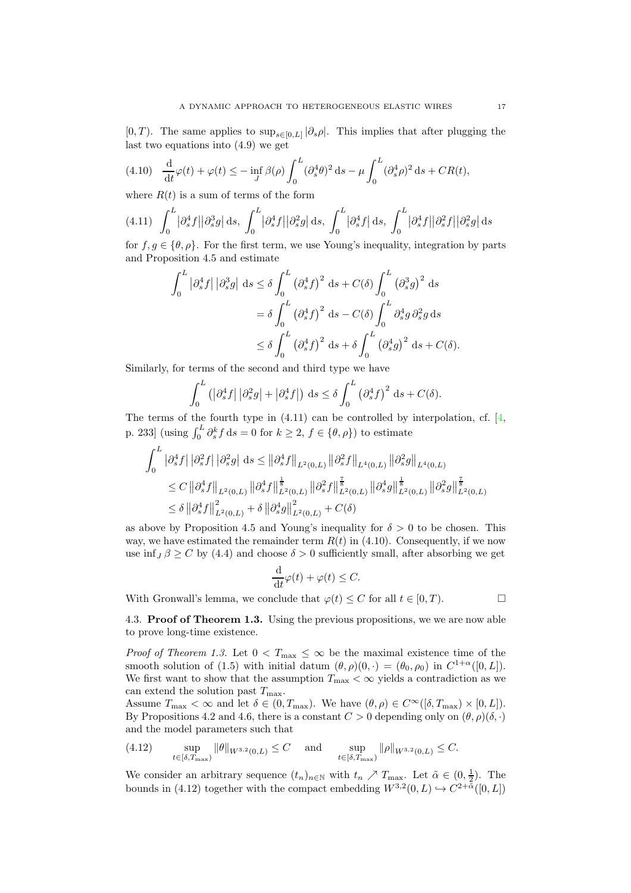[0, T). The same applies to  $\sup_{s\in[0,L]}|\partial_s \rho|$ . This implies that after plugging the last two equations into [\(4.9\)](#page-15-0) we get

<span id="page-16-2"></span>
$$
(4.10) \quad \frac{\mathrm{d}}{\mathrm{d}t}\varphi(t) + \varphi(t) \le -\inf_J \beta(\rho) \int_0^L (\partial_s^4 \theta)^2 \,\mathrm{d}s - \mu \int_0^L (\partial_s^4 \rho)^2 \,\mathrm{d}s + CR(t),
$$

where  $R(t)$  is a sum of terms of the form

<span id="page-16-1"></span>
$$
(4.11)\quad \int_0^L |\partial_s^4 f| |\partial_s^3 g| ds, \quad \int_0^L |\partial_s^4 f| |\partial_s^2 g| ds, \quad \int_0^L |\partial_s^4 f| ds, \quad \int_0^L |\partial_s^4 f| |\partial_s^2 f| |\partial_s^2 g| ds
$$

for  $f, g \in {\theta, \rho}$ . For the first term, we use Young's inequality, integration by parts and Proposition [4.5](#page-14-3) and estimate

$$
\int_0^L |\partial_s^4 f| |\partial_s^3 g| ds \le \delta \int_0^L (\partial_s^4 f)^2 ds + C(\delta) \int_0^L (\partial_s^3 g)^2 ds
$$
  
=  $\delta \int_0^L (\partial_s^4 f)^2 ds - C(\delta) \int_0^L \partial_s^4 g \partial_s^2 g ds$   
 $\le \delta \int_0^L (\partial_s^4 f)^2 ds + \delta \int_0^L (\partial_s^4 g)^2 ds + C(\delta).$ 

Similarly, for terms of the second and third type we have

$$
\int_0^L \left( \left| \partial_s^4 f \right| \left| \partial_s^2 g \right| + \left| \partial_s^4 f \right| \right) ds \le \delta \int_0^L \left( \partial_s^4 f \right)^2 ds + C(\delta).
$$

The terms of the fourth type in [\(4.11\)](#page-16-1) can be controlled by interpolation, cf. [\[4,](#page-27-15) p. 233] (using  $\int_0^L \partial_s^k f ds = 0$  for  $k \ge 2$ ,  $f \in {\theta, \rho}$ ) to estimate

$$
\begin{split} \int_{0}^{L} \left| \partial_{s}^{4} f \right| \left| \partial_{s}^{2} f \right| \left| \partial_{s}^{2} g \right| \, \mathrm{d}s &\leq \left\| \partial_{s}^{4} f \right\|_{L^{2}(0,L)} \left\| \partial_{s}^{2} f \right\|_{L^{4}(0,L)} \left\| \partial_{s}^{2} g \right\|_{L^{4}(0,L)} \\ &\leq C \left\| \partial_{s}^{4} f \right\|_{L^{2}(0,L)} \left\| \partial_{s}^{4} f \right\|_{L^{2}(0,L)}^{\frac{1}{8}} \left\| \partial_{s}^{2} f \right\|_{L^{2}(0,L)}^{\frac{7}{8}} \left\| \partial_{s}^{4} g \right\|_{L^{2}(0,L)}^{\frac{1}{8}} \left\| \partial_{s}^{2} g \right\|_{L^{2}(0,L)}^{\frac{7}{8}} \\ &\leq \delta \left\| \partial_{s}^{4} f \right\|_{L^{2}(0,L)}^{2} + \delta \left\| \partial_{s}^{4} g \right\|_{L^{2}(0,L)}^{2} + C(\delta) \end{split}
$$

as above by Proposition [4.5](#page-14-3) and Young's inequality for  $\delta > 0$  to be chosen. This way, we have estimated the remainder term  $R(t)$  in [\(4.10\)](#page-16-2). Consequently, if we now use inf<sub>J</sub> $\beta > C$  by [\(4.4\)](#page-13-4) and choose  $\delta > 0$  sufficiently small, after absorbing we get

$$
\frac{\mathrm{d}}{\mathrm{d}t}\varphi(t) + \varphi(t) \le C.
$$

<span id="page-16-0"></span>With Gronwall's lemma, we conclude that  $\varphi(t) \leq C$  for all  $t \in [0, T)$ .

4.3. Proof of Theorem [1.3.](#page-2-1) Using the previous propositions, we we are now able to prove long-time existence.

*Proof of Theorem [1.3.](#page-2-1)* Let  $0 < T_{\text{max}} \leq \infty$  be the maximal existence time of the smooth solution of [\(1.5\)](#page-1-1) with initial datum  $(\theta, \rho)(0, \cdot) = (\theta_0, \rho_0)$  in  $C^{1+\alpha}([0, L])$ . We first want to show that the assumption  $T_{\text{max}} < \infty$  yields a contradiction as we can extend the solution past  $T_{\text{max}}$ .

Assume  $T_{\text{max}} < \infty$  and let  $\delta \in (0, T_{\text{max}})$ . We have  $(\theta, \rho) \in C^{\infty}([\delta, T_{\text{max}}) \times [0, L])$ . By Propositions [4.2](#page-12-1) and [4.6,](#page-15-1) there is a constant  $C > 0$  depending only on  $(\theta, \rho)(\delta, \cdot)$ and the model parameters such that

<span id="page-16-3"></span>
$$
(4.12) \quad \sup_{t \in [\delta, T_{\text{max}})} \|\theta\|_{W^{3,2}(0,L)} \le C \quad \text{and} \quad \sup_{t \in [\delta, T_{\text{max}})} \|\rho\|_{W^{3,2}(0,L)} \le C.
$$

We consider an arbitrary sequence  $(t_n)_{n\in\mathbb{N}}$  with  $t_n \nearrow T_{\text{max}}$ . Let  $\tilde{\alpha} \in (0, \frac{1}{2})$ . The bounds in [\(4.12\)](#page-16-3) together with the compact embedding  $W^{3,2}(0,L) \hookrightarrow C^{2+\tilde{\alpha}}([0,L])$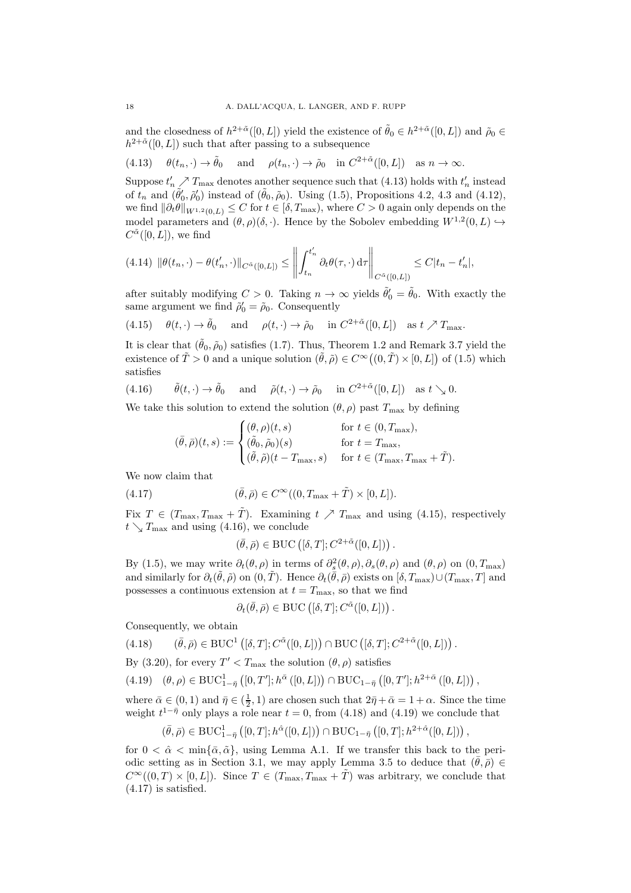and the closedness of  $h^{2+\tilde{\alpha}}([0,L])$  yield the existence of  $\tilde{\theta}_0 \in h^{2+\tilde{\alpha}}([0,L])$  and  $\tilde{\rho}_0 \in$  $h^{2+\tilde{\alpha}}([0,L])$  such that after passing to a subsequence

<span id="page-17-0"></span>(4.13) 
$$
\theta(t_n, \cdot) \to \tilde{\theta}_0
$$
 and  $\rho(t_n, \cdot) \to \tilde{\rho}_0$  in  $C^{2+\tilde{\alpha}}([0, L])$  as  $n \to \infty$ .

Suppose  $t'_n \nearrow T_{\text{max}}$  denotes another sequence such that [\(4.13\)](#page-17-0) holds with  $t'_n$  instead of  $t_n$  and  $(\tilde{\theta}'_0, \tilde{\rho}'_0)$  instead of  $(\tilde{\theta}_0, \tilde{\rho}_0)$ . Using [\(1.5\)](#page-1-1), Propositions [4.2,](#page-12-1) [4.3](#page-13-3) and [\(4.12\)](#page-16-3), we find  $\|\partial_t \theta\|_{W^{1,2}(0,L)} \leq C$  for  $t \in [\delta, T_{\text{max}})$ , where  $C > 0$  again only depends on the model parameters and  $(\theta, \rho)(\delta, \cdot)$ . Hence by the Sobolev embedding  $W^{1,2}(0, L) \hookrightarrow$  $C^{\tilde{\alpha}}([0,L]),$  we find

<span id="page-17-6"></span>
$$
(4.14) \|\theta(t_n,\cdot) - \theta(t'_n,\cdot)\|_{C^{\tilde{\alpha}}([0,L])} \le \left\| \int_{t_n}^{t'_n} \partial_t \theta(\tau,\cdot) d\tau \right\|_{C^{\tilde{\alpha}}([0,L])} \le C|t_n - t'_n|,
$$

after suitably modifying  $C > 0$ . Taking  $n \to \infty$  yields  $\tilde{\theta}'_0 = \tilde{\theta}_0$ . With exactly the same argument we find  $\tilde{\rho}'_0 = \tilde{\rho}_0$ . Consequently

<span id="page-17-1"></span>(4.15) 
$$
\theta(t, \cdot) \to \tilde{\theta}_0
$$
 and  $\rho(t, \cdot) \to \tilde{\rho}_0$  in  $C^{2+\tilde{\alpha}}([0, L])$  as  $t \nearrow T_{\text{max}}$ .

It is clear that  $(\tilde{\theta}_0, \tilde{\rho}_0)$  satisfies [\(1.7\)](#page-2-3). Thus, Theorem [1.2](#page-2-2) and Remark [3.7](#page-11-1) yield the existence of  $\tilde{T} > 0$  and a unique solution  $(\tilde{\theta}, \tilde{\rho}) \in C^{\infty}((0, \tilde{T}) \times [0, L])$  of [\(1.5\)](#page-1-1) which satisfies

<span id="page-17-2"></span>(4.16) 
$$
\tilde{\theta}(t, \cdot) \to \tilde{\theta}_0
$$
 and  $\tilde{\rho}(t, \cdot) \to \tilde{\rho}_0$  in  $C^{2+\tilde{\alpha}}([0, L])$  as  $t \searrow 0$ .

We take this solution to extend the solution  $(\theta, \rho)$  past  $T_{\text{max}}$  by defining

$$
(\bar{\theta}, \bar{\rho})(t,s) := \begin{cases} (\theta, \rho)(t,s) & \text{for } t \in (0, T_{\text{max}}), \\ (\tilde{\theta}, \tilde{\rho})(s) & \text{for } t = T_{\text{max}}, \\ (\tilde{\theta}, \tilde{\rho})(t - T_{\text{max}}, s) & \text{for } t \in (T_{\text{max}}, T_{\text{max}} + \tilde{T}). \end{cases}
$$

We now claim that

<span id="page-17-5"></span>(4.17) 
$$
(\bar{\theta}, \bar{\rho}) \in C^{\infty}((0, T_{\max} + \tilde{T}) \times [0, L]).
$$

Fix  $T \in (T_{\text{max}}, T_{\text{max}} + T)$ . Examining  $t \nearrow T_{\text{max}}$  and using [\(4.15\)](#page-17-1), respectively  $t \searrow T_{\text{max}}$  and using [\(4.16\)](#page-17-2), we conclude

$$
(\bar{\theta}, \bar{\rho}) \in \text{BUC}\left( [\delta, T]; C^{2+\tilde{\alpha}}([0, L]) \right).
$$

By [\(1.5\)](#page-1-1), we may write  $\partial_t(\theta, \rho)$  in terms of  $\partial_s^2(\theta, \rho), \partial_s(\theta, \rho)$  and  $(\theta, \rho)$  on  $(0, T_{\text{max}})$ and similarly for  $\partial_t(\tilde{\theta}, \tilde{\rho})$  on  $(0, \tilde{T})$ . Hence  $\partial_t(\bar{\theta}, \bar{\rho})$  exists on  $[\delta, T_{\max}) \cup (T_{\max}, T]$  and possesses a continuous extension at  $t = T_{\text{max}}$ , so that we find

$$
\partial_t(\bar{\theta}, \bar{\rho}) \in \mathrm{BUC}\left( [\delta, T]; C^{\tilde{\alpha}}([0, L]) \right).
$$

Consequently, we obtain

<span id="page-17-3"></span>
$$
(4.18) \qquad (\bar{\theta}, \bar{\rho}) \in \text{BUC}^1\left( [\delta, T]; C^{\tilde{\alpha}}([0, L]) \right) \cap \text{BUC}\left( [\delta, T]; C^{2+\tilde{\alpha}}([0, L]) \right).
$$

By [\(3.20\)](#page-11-2), for every  $T' < T_{\text{max}}$  the solution  $(\theta, \rho)$  satisfies

<span id="page-17-4"></span>
$$
(4.19) \quad (\theta,\rho) \in \text{BUC}_{1-\bar{\eta}}^1\left([0,T^{\prime}];h^{\bar{\alpha}}\left([0,L]\right)\right) \cap \text{BUC}_{1-\bar{\eta}}\left([0,T^{\prime}];h^{2+\bar{\alpha}}\left([0,L]\right)\right),
$$

where  $\bar{\alpha} \in (0,1)$  and  $\bar{\eta} \in (\frac{1}{2},1)$  are chosen such that  $2\bar{\eta} + \bar{\alpha} = 1 + \alpha$ . Since the time weight  $t^{1-\bar{\eta}}$  only plays a role near  $t = 0$ , from [\(4.18\)](#page-17-3) and [\(4.19\)](#page-17-4) we conclude that

$$
(\bar{\theta}, \bar{\rho}) \in \mathrm{BUC}_{1-\bar{\eta}}^1\left([0,T]; h^{\hat{\alpha}}([0,L])\right) \cap \mathrm{BUC}_{1-\bar{\eta}}\left([0,T]; h^{2+\hat{\alpha}}([0,L])\right),
$$

for  $0 < \hat{\alpha} < \min\{\bar{\alpha}, \tilde{\alpha}\}\$ , using Lemma [A.1.](#page-19-5) If we transfer this back to the peri-odic setting as in Section [3.1,](#page-4-5) we may apply Lemma [3.5](#page-8-0) to deduce that  $(\bar{\theta}, \bar{\rho}) \in$  $C^{\infty}((0,T) \times [0,L])$ . Since  $T \in (T_{\text{max}}, T_{\text{max}} + \tilde{T})$  was arbitrary, we conclude that [\(4.17\)](#page-17-5) is satisfied.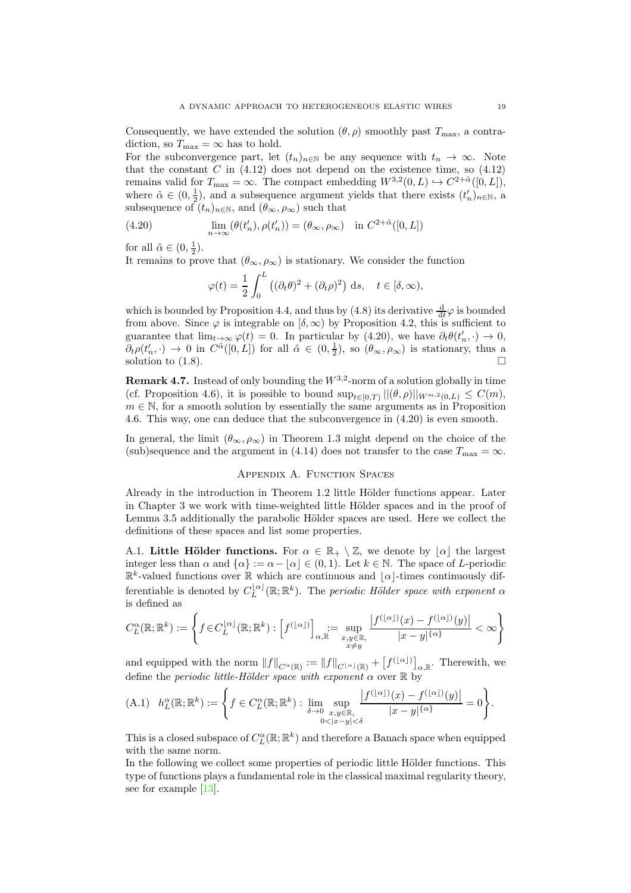Consequently, we have extended the solution  $(\theta, \rho)$  smoothly past  $T_{\text{max}}$ , a contradiction, so  $T_{\text{max}} = \infty$  has to hold.

For the subconvergence part, let  $(t_n)_{n\in\mathbb{N}}$  be any sequence with  $t_n \to \infty$ . Note that the constant  $C$  in  $(4.12)$  does not depend on the existence time, so  $(4.12)$ remains valid for  $T_{\text{max}} = \infty$ . The compact embedding  $W^{3,2}(0,L) \hookrightarrow C^{2+\tilde{\alpha}}([0,L]),$ where  $\tilde{\alpha} \in (0, \frac{1}{2})$ , and a subsequence argument yields that there exists  $(t'_n)_{n \in \mathbb{N}}$ , a subsequence of  $(t_n)_{n\in\mathbb{N}}$ , and  $(\theta_{\infty}, \rho_{\infty})$  such that

<span id="page-18-1"></span>(4.20) 
$$
\lim_{n \to \infty} (\theta(t'_n), \rho(t'_n)) = (\theta_\infty, \rho_\infty) \quad \text{in } C^{2+\tilde{\alpha}}([0, L])
$$

for all  $\tilde{\alpha} \in (0, \frac{1}{2}).$ 

It remains to prove that  $(\theta_{\infty}, \rho_{\infty})$  is stationary. We consider the function

$$
\varphi(t) = \frac{1}{2} \int_0^L \left( (\partial_t \theta)^2 + (\partial_t \rho)^2 \right) ds, \quad t \in [\delta, \infty),
$$

which is bounded by Proposition [4.4,](#page-13-5) and thus by [\(4.8\)](#page-14-2) its derivative  $\frac{d}{dt}\varphi$  is bounded from above. Since  $\varphi$  is integrable on  $[\delta, \infty)$  by Proposition [4.2,](#page-12-1) this is sufficient to guarantee that  $\lim_{t\to\infty} \varphi(t) = 0$ . In particular by [\(4.20\)](#page-18-1), we have  $\partial_t \theta(t'_n, \cdot) \to 0$ ,  $\partial_t \rho(t'_n, \cdot) \to 0$  in  $C^{\tilde{\alpha}}([0,L])$  for all  $\tilde{\alpha} \in (0,\frac{1}{2})$ , so  $(\theta_{\infty}, \rho_{\infty})$  is stationary, thus  $\underline{\alpha}$ solution to  $(1.8)$ .

**Remark 4.7.** Instead of only bounding the  $W^{3,2}$ -norm of a solution globally in time (cf. Proposition [4.6\)](#page-15-1), it is possible to bound  $\sup_{t\in[0,T)} ||(\theta,\rho)||_{W^{m,2}(0,L)} \leq C(m)$ ,  $m \in \mathbb{N}$ , for a smooth solution by essentially the same arguments as in Proposition [4.6.](#page-15-1) This way, one can deduce that the subconvergence in [\(4.20\)](#page-18-1) is even smooth.

<span id="page-18-0"></span>In general, the limit  $(\theta_{\infty}, \rho_{\infty})$  in Theorem [1.3](#page-2-1) might depend on the choice of the (sub)sequence and the argument in [\(4.14\)](#page-17-6) does not transfer to the case  $T_{\text{max}} = \infty$ .

# Appendix A. Function Spaces

Already in the introduction in Theorem [1.2](#page-2-2) little Hölder functions appear. Later in Chapter [3](#page-4-0) we work with time-weighted little Hölder spaces and in the proof of Lemma [3.5](#page-8-0) additionally the parabolic Hölder spaces are used. Here we collect the definitions of these spaces and list some properties.

A.1. Little Hölder functions. For  $\alpha \in \mathbb{R}_+ \setminus \mathbb{Z}$ , we denote by  $|\alpha|$  the largest integer less than  $\alpha$  and  $\{\alpha\} := \alpha - |\alpha| \in (0, 1)$ . Let  $k \in \mathbb{N}$ . The space of L-periodic  $\mathbb{R}^k$ -valued functions over  $\mathbb R$  which are continuous and  $\lfloor \alpha \rfloor$ -times continuously differentiable is denoted by  $C_{L}^{[\alpha]}$  $L^{[\alpha]}_L(\mathbb{R}; \mathbb{R}^k)$ . The periodic Hölder space with exponent  $\alpha$ is defined as

$$
C_L^{\alpha}(\mathbb{R}; \mathbb{R}^k) := \left\{ f \in C_L^{\lfloor \alpha \rfloor}(\mathbb{R}; \mathbb{R}^k) : \left[ f^{(\lfloor \alpha \rfloor)} \right]_{\alpha, \mathbb{R}} := \sup_{\substack{x, y \in \mathbb{R}, \\ x \neq y}} \frac{\left| f^{(\lfloor \alpha \rfloor)}(x) - f^{(\lfloor \alpha \rfloor)}(y) \right|}{|x - y|^{\{\alpha\}}} < \infty \right\}
$$

and equipped with the norm  $||f||_{C^{\alpha}(\mathbb{R})} := ||f||_{C^{\lfloor \alpha \rfloor}(\mathbb{R})} + [f^{(\lfloor \alpha \rfloor)}]_{\alpha, \mathbb{R}}$ . Therewith, we define the *periodic little-Hölder space with exponent*  $\alpha$  over  $\mathbb R$  by

<span id="page-18-2"></span>(A.1) 
$$
h_L^{\alpha}(\mathbb{R}; \mathbb{R}^k) := \left\{ f \in C_L^{\alpha}(\mathbb{R}; \mathbb{R}^k) : \lim_{\delta \to 0} \sup_{\substack{x, y \in \mathbb{R}, \\ 0 < |x - y| < \delta}} \frac{|f^{(\lfloor \alpha \rfloor)}(x) - f^{(\lfloor \alpha \rfloor)}(y)|}{|x - y|^{{\{\alpha \}}} } = 0 \right\}.
$$

This is a closed subspace of  $C_L^{\alpha}(\mathbb{R}; \mathbb{R}^k)$  and therefore a Banach space when equipped with the same norm.

In the following we collect some properties of periodic little Hölder functions. This type of functions plays a fundamental role in the classical maximal regularity theory, see for example [\[13\]](#page-27-16).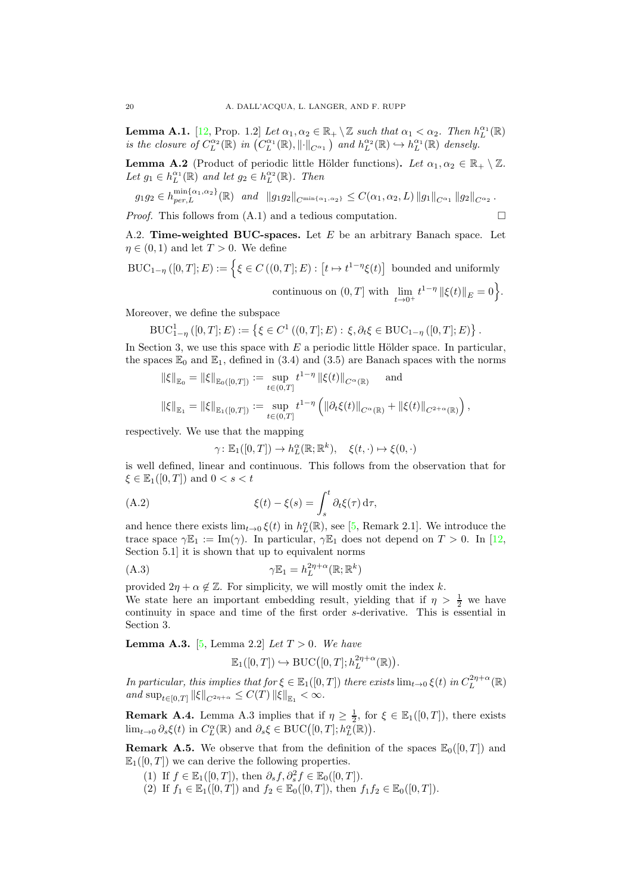<span id="page-19-5"></span>**Lemma A.1.** [\[12,](#page-27-12) Prop. 1.2] Let  $\alpha_1, \alpha_2 \in \mathbb{R}_+ \setminus \mathbb{Z}$  such that  $\alpha_1 < \alpha_2$ . Then  $h_L^{\alpha_1}(\mathbb{R})$ is the closure of  $C_{L}^{\alpha_2}(\mathbb{R})$  in  $(C_{L}^{\alpha_1}(\mathbb{R}), \|\cdot\|_{C^{\alpha_1}})$  and  $h_{L}^{\alpha_2}(\mathbb{R}) \hookrightarrow h_{L}^{\alpha_1}(\mathbb{R})$  densely.

<span id="page-19-6"></span>**Lemma A.2** (Product of periodic little Hölder functions). Let  $\alpha_1, \alpha_2 \in \mathbb{R}_+ \setminus \mathbb{Z}$ . Let  $g_1 \in h_L^{\alpha_1}(\mathbb{R})$  and let  $g_2 \in h_L^{\alpha_2}(\mathbb{R})$ . Then

$$
g_1 g_2 \in h_{per,L}^{\min{\{\alpha_1, \alpha_2\}}}(\mathbb{R}) \text{ and } ||g_1 g_2||_{C^{\min{\{\alpha_1, \alpha_2\}}}} \leq C(\alpha_1, \alpha_2, L) ||g_1||_{C^{\alpha_1}} ||g_2||_{C^{\alpha_2}}.
$$

<span id="page-19-3"></span>*Proof.* This follows from  $(A.1)$  and a tedious computation.

A.2. Time-weighted BUC-spaces. Let  $E$  be an arbitrary Banach space. Let  $\eta \in (0,1)$  and let  $T > 0$ . We define

$$
BUC_{1-\eta}([0,T];E) := \Big\{ \xi \in C\left( (0,T];E\right) : \left[t \mapsto t^{1-\eta} \xi(t) \right] \text{ bounded and uniformlycontinuous on } (0,T] \text{ with } \lim_{t \to 0^+} t^{1-\eta} \left\| \xi(t) \right\|_E = 0 \Big\}.
$$

Moreover, we define the subspace

$$
\mathrm{BUC}_{1-\eta}^1([0,T];E) := \left\{ \xi \in C^1\left( (0,T];E\right) : \xi, \partial_t \xi \in \mathrm{BUC}_{1-\eta}\left( [0,T];E\right) \right\}.
$$

In Section [3,](#page-4-0) we use this space with  $E$  a periodic little Hölder space. In particular, the spaces  $\mathbb{E}_0$  and  $\mathbb{E}_1$ , defined in [\(3.4\)](#page-5-2) and [\(3.5\)](#page-5-3) are Banach spaces with the norms

$$
\|\xi\|_{\mathbb{E}_0} = \|\xi\|_{\mathbb{E}_0([0,T])} := \sup_{t \in (0,T]} t^{1-\eta} \|\xi(t)\|_{C^{\alpha}(\mathbb{R})} \quad \text{and}
$$
  

$$
\|\xi\|_{\mathbb{E}_1} = \|\xi\|_{\mathbb{E}_1([0,T])} := \sup_{t \in (0,T]} t^{1-\eta} \left( \|\partial_t \xi(t)\|_{C^{\alpha}(\mathbb{R})} + \|\xi(t)\|_{C^{2+\alpha}(\mathbb{R})} \right),
$$

respectively. We use that the mapping

$$
\gamma \colon \mathbb{E}_1([0,T]) \to h_L^{\alpha}(\mathbb{R}; \mathbb{R}^k), \quad \xi(t, \cdot) \mapsto \xi(0, \cdot)
$$

is well defined, linear and continuous. This follows from the observation that for  $\xi \in \mathbb{E}_1([0,T])$  and  $0 < s < t$ 

<span id="page-19-7"></span>(A.2) 
$$
\xi(t) - \xi(s) = \int_s^t \partial_t \xi(\tau) d\tau,
$$

and hence there exists  $\lim_{t\to 0} \xi(t)$  in  $h_L^{\alpha}(\mathbb{R})$ , see [\[5,](#page-27-17) Remark 2.1]. We introduce the trace space  $\gamma \mathbb{E}_1 := \text{Im}(\gamma)$ . In particular,  $\gamma \mathbb{E}_1$  does not depend on  $T > 0$ . In [\[12,](#page-27-12) Section 5.1] it is shown that up to equivalent norms

<span id="page-19-1"></span>
$$
\gamma \mathbb{E}_1 = h_L^{2\eta + \alpha}(\mathbb{R}; \mathbb{R}^k)
$$

provided  $2\eta + \alpha \notin \mathbb{Z}$ . For simplicity, we will mostly omit the index k. We state here an important embedding result, yielding that if  $\eta > \frac{1}{2}$  we have continuity in space and time of the first order s-derivative. This is essential in Section [3.](#page-4-0)

<span id="page-19-2"></span>**Lemma A.3.** [\[5,](#page-27-17) Lemma 2.2] Let  $T > 0$ . We have

$$
\mathbb{E}_1([0,T]) \hookrightarrow \mathrm{BUC}([0,T]; h_L^{2\eta+\alpha}(\mathbb{R})).
$$

In particular, this implies that for  $\xi \in \mathbb{E}_1([0,T])$  there exists  $\lim_{t\to 0} \xi(t)$  in  $C_L^{2\eta+\alpha}(\mathbb{R})$ and  $\sup_{t \in [0,T]} ||\xi||_{C^{2\eta+\alpha}} \leq C(T) ||\xi||_{\mathbb{E}_1} < \infty.$ 

<span id="page-19-4"></span>**Remark A.4.** Lemma [A.3](#page-19-2) implies that if  $\eta \geq \frac{1}{2}$ , for  $\xi \in \mathbb{E}_1([0,T])$ , there exists  $\lim_{t\to 0} \partial_s \xi(t)$  in  $C_L^{\alpha}(\mathbb{R})$  and  $\partial_s \xi \in \text{BUC}([0,T]; h_L^{\alpha}(\mathbb{R}))$ .

<span id="page-19-0"></span>**Remark A.5.** We observe that from the definition of the spaces  $\mathbb{E}_{0}([0, T])$  and  $\mathbb{E}_1([0,T])$  we can derive the following properties.

- (1) If  $f \in \mathbb{E}_1([0,T])$ , then  $\partial_s f, \partial_s^2 f \in \mathbb{E}_0([0,T])$ .
- (2) If  $f_1 \in \mathbb{E}_1([0,T])$  and  $f_2 \in \mathbb{E}_0([0,T])$ , then  $f_1 f_2 \in \mathbb{E}_0([0,T])$ .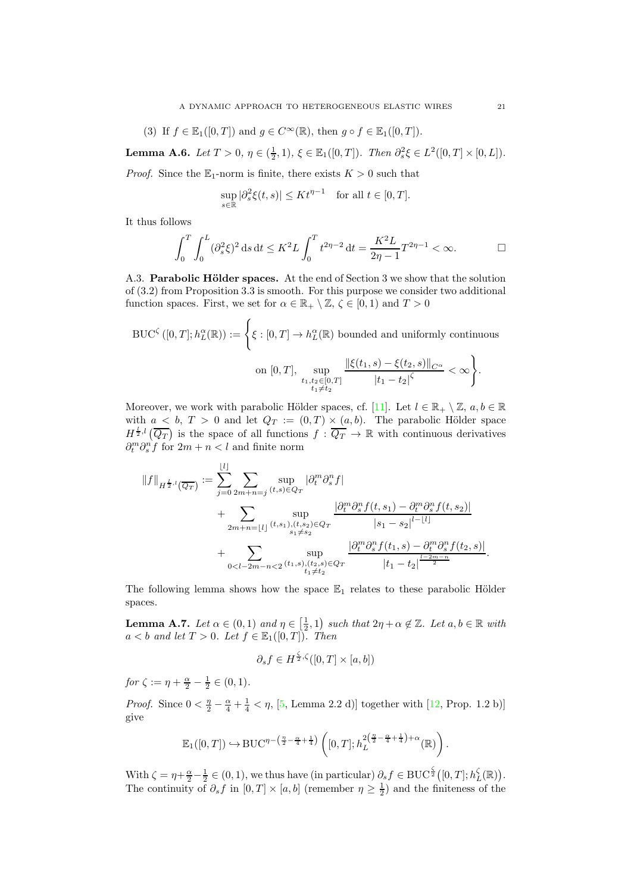(3) If 
$$
f \in \mathbb{E}_1([0,T])
$$
 and  $g \in C^{\infty}(\mathbb{R})$ , then  $g \circ f \in \mathbb{E}_1([0,T])$ .

<span id="page-20-0"></span>**Lemma A.6.** Let  $T > 0$ ,  $\eta \in (\frac{1}{2}, 1)$ ,  $\xi \in \mathbb{E}_1([0, T])$ . Then  $\partial_s^2 \xi \in L^2([0, T] \times [0, L])$ .

*Proof.* Since the  $\mathbb{E}_1$ -norm is finite, there exists  $K > 0$  such that

$$
\sup_{s \in \mathbb{R}} |\partial_s^2 \xi(t, s)| \le K t^{\eta - 1} \quad \text{for all } t \in [0, T].
$$

It thus follows

$$
\int_0^T \int_0^L (\partial_s^2 \xi)^2 ds dt \le K^2 L \int_0^T t^{2\eta - 2} dt = \frac{K^2 L}{2\eta - 1} T^{2\eta - 1} < \infty.
$$

<span id="page-20-1"></span>A.3. Parabolic Hölder spaces. At the end of Section [3](#page-4-0) we show that the solution of [\(3.2\)](#page-4-2) from Proposition [3.3](#page-6-0) is smooth. For this purpose we consider two additional function spaces. First, we set for  $\alpha \in \mathbb{R}_+ \setminus \mathbb{Z}, \zeta \in [0,1)$  and  $T > 0$ 

$$
\text{BUC}^{\zeta}([0,T]; h_L^{\alpha}(\mathbb{R})) := \left\{ \xi : [0,T] \to h_L^{\alpha}(\mathbb{R}) \text{ bounded and uniformly continuous} \right\}
$$
  
on  $[0,T], \sup_{\substack{t_1,t_2 \in [0,T] \\ t_1 \neq t_2}} \frac{\|\xi(t_1,s) - \xi(t_2,s)\|_{C^{\alpha}}}{|t_1 - t_2|^{\zeta}} < \infty \right\}.$ 

Moreover, we work with parabolic Hölder spaces, cf. [\[11\]](#page-27-13). Let  $l \in \mathbb{R}_+ \setminus \mathbb{Z}$ ,  $a, b \in \mathbb{R}$ with  $a < b$ ,  $T > 0$  and let  $Q_T := (0, T) \times (a, b)$ . The parabolic Hölder space  $H^{\frac{1}{2},l}(\overline{Q_T})$  is the space of all functions  $f: \overline{Q_T} \to \mathbb{R}$  with continuous derivatives  $\partial_t^m \partial_s^m f$  for  $2m + n < l$  and finite norm

$$
||f||_{H^{\frac{1}{2},l}(\overline{Q_T})} := \sum_{j=0}^{\lfloor l \rfloor} \sum_{2m+n=j} \sup_{(t,s)\in Q_T} |\partial_t^m \partial_s^n f|
$$
  
+ 
$$
\sum_{2m+n=\lfloor l \rfloor} \sup_{(t,s_1),(t,s_2)\in Q_T} \frac{|\partial_t^m \partial_s^n f(t,s_1) - \partial_t^m \partial_s^n f(t,s_2)|}{|s_1 - s_2|^{l - \lfloor l \rfloor}}
$$
  
+ 
$$
\sum_{0 < l-2m-n<2} \sup_{(t_1,s),(t_2,s)\in Q_T} \frac{|\partial_t^m \partial_s^n f(t_1,s) - \partial_t^m \partial_s^n f(t_2,s)|}{|t_1 - t_2|^{\frac{l-2m-n}{2}}}.
$$

The following lemma shows how the space  $\mathbb{E}_1$  relates to these parabolic Hölder spaces.

<span id="page-20-2"></span>**Lemma A.7.** Let  $\alpha \in (0,1)$  and  $\eta \in \left[\frac{1}{2},1\right]$  such that  $2\eta + \alpha \notin \mathbb{Z}$ . Let  $a, b \in \mathbb{R}$  with  $a < b$  and let  $T > 0$ . Let  $f \in \mathbb{E}_1([0,T])$ . Then

$$
\partial_s f \in H^{\frac{\zeta}{2},\zeta}([0,T] \times [a,b])
$$

for  $\zeta := \eta + \frac{\alpha}{2} - \frac{1}{2} \in (0, 1)$ .

*Proof.* Since  $0 < \frac{\eta}{2} - \frac{\alpha}{4} + \frac{1}{4} < \eta$ , [\[5,](#page-27-17) Lemma 2.2 d)] together with [\[12,](#page-27-12) Prop. 1.2 b)] give

$$
\mathbb{E}_1([0,T]) \hookrightarrow \text{BUC}^{\eta - \left(\frac{\eta}{2} - \frac{\alpha}{4} + \frac{1}{4}\right)} \left([0,T]; h_L^{\frac{2\left(\frac{\eta}{2} - \frac{\alpha}{4} + \frac{1}{4}\right) + \alpha}(\mathbb{R})\right).
$$

With  $\zeta = \eta + \frac{\alpha}{2} - \frac{1}{2} \in (0, 1)$ , we thus have (in particular)  $\partial_s f \in \text{BUC}^{\frac{\zeta}{2}}([0, T]; h_L^{\zeta}(\mathbb{R}))$ . The continuity of  $\partial_s f$  in  $[0,T] \times [a,b]$  (remember  $\eta \ge \frac{1}{2}$ ) and the finiteness of the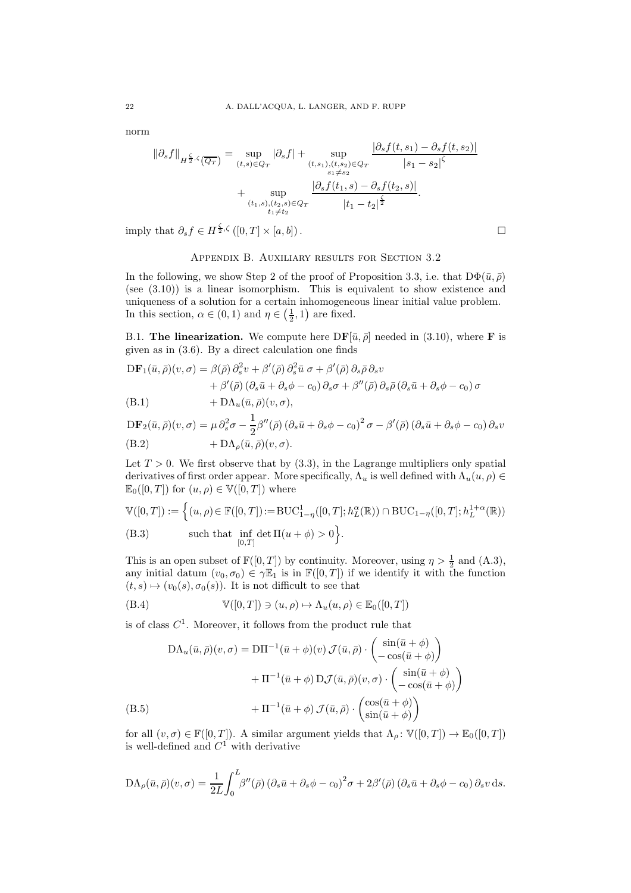norm

$$
\|\partial_s f\|_{H^{\frac{\zeta}{2},\zeta}(\overline{Q_T})} = \sup_{(t,s)\in Q_T} |\partial_s f| + \sup_{(t,s_1),(t,s_2)\in Q_T} \frac{|\partial_s f(t,s_1) - \partial_s f(t,s_2)|}{|s_1 - s_2|^\zeta}
$$

$$
+ \sup_{\substack{(t_1,s),(t_2,s)\in Q_T \\ t_1 \neq t_2}} \frac{|\partial_s f(t_1,s) - \partial_s f(t_2,s)|}{|t_1 - t_2|^\frac{\zeta}{2}}.
$$

<span id="page-21-0"></span>imply that  $\partial_s f \in H^{\frac{\zeta}{2},\zeta}([0,T] \times [a,b])$ .

# Appendix B. Auxiliary results for Section [3.2](#page-6-4)

In the following, we show Step 2 of the proof of Proposition [3.3,](#page-6-0) i.e. that  $D\Phi(\bar{u}, \bar{\rho})$ (see [\(3.10\)](#page-7-1)) is a linear isomorphism. This is equivalent to show existence and uniqueness of a solution for a certain inhomogeneous linear initial value problem. In this section,  $\alpha \in (0,1)$  and  $\eta \in (\frac{1}{2}, 1)$  are fixed.

B.1. The linearization. We compute here  $DF[\bar{u}, \bar{\rho}]$  needed in [\(3.10\)](#page-7-1), where **F** is given as in [\(3.6\)](#page-5-1). By a direct calculation one finds

$$
DF_1(\bar{u}, \bar{\rho})(v, \sigma) = \beta(\bar{\rho}) \partial_s^2 v + \beta'(\bar{\rho}) \partial_s^2 \bar{u} \sigma + \beta'(\bar{\rho}) \partial_s \bar{\rho} \partial_s v
$$
  
+  $\beta'(\bar{\rho}) (\partial_s \bar{u} + \partial_s \phi - c_0) \partial_s \sigma + \beta''(\bar{\rho}) \partial_s \bar{\rho} (\partial_s \bar{u} + \partial_s \phi - c_0) \sigma$   
(B.1) 
$$
+ D\Lambda_u(\bar{u}, \bar{\rho})(v, \sigma),
$$

<span id="page-21-2"></span><span id="page-21-1"></span>
$$
\begin{aligned} \text{DF}_2(\bar{u}, \bar{\rho})(v, \sigma) &= \mu \, \partial_s^2 \sigma - \frac{1}{2} \beta''(\bar{\rho}) \left(\partial_s \bar{u} + \partial_s \phi - c_0\right)^2 \sigma - \beta'(\bar{\rho}) \left(\partial_s \bar{u} + \partial_s \phi - c_0\right) \partial_s v \\ \text{(B.2)} &+ \text{DA}_{\rho}(\bar{u}, \bar{\rho})(v, \sigma). \end{aligned}
$$

Let  $T > 0$ . We first observe that by  $(3.3)$ , in the Lagrange multipliers only spatial derivatives of first order appear. More specifically,  $\Lambda_u$  is well defined with  $\Lambda_u(u, \rho) \in$  $\mathbb{E}_0([0,T])$  for  $(u,\rho) \in \mathbb{V}([0,T])$  where

<span id="page-21-3"></span>
$$
\mathbb{V}([0,T]) := \left\{ (u,\rho) \in \mathbb{F}([0,T]) := \text{BUC}_{1-\eta}^1([0,T]; h_L^{\alpha}(\mathbb{R})) \cap \text{BUC}_{1-\eta}([0,T]; h_L^{1+\alpha}(\mathbb{R})) \right\}
$$
\n(B.3) such that  $\inf_{[0,T]} \det \Pi(u+\phi) > 0$ .

This is an open subset of  $\mathbb{F}([0,T])$  by continuity. Moreover, using  $\eta > \frac{1}{2}$  and  $(A.3)$ , any initial datum  $(v_0, \sigma_0) \in \gamma \mathbb{E}_1$  is in  $\mathbb{F}([0,T])$  if we identify it with the function  $(t, s) \mapsto (v_0(s), \sigma_0(s))$ . It is not difficult to see that

<span id="page-21-4"></span>(B.4) 
$$
\mathbb{V}([0,T]) \ni (u,\rho) \mapsto \Lambda_u(u,\rho) \in \mathbb{E}_0([0,T])
$$

is of class  $C<sup>1</sup>$ . Moreover, it follows from the product rule that

$$
DA_u(\bar{u}, \bar{\rho})(v, \sigma) = DH^{-1}(\bar{u} + \phi)(v) \mathcal{J}(\bar{u}, \bar{\rho}) \cdot \begin{pmatrix} \sin(\bar{u} + \phi) \\ -\cos(\bar{u} + \phi) \end{pmatrix} + H^{-1}(\bar{u} + \phi) D\mathcal{J}(\bar{u}, \bar{\rho})(v, \sigma) \cdot \begin{pmatrix} \sin(\bar{u} + \phi) \\ -\cos(\bar{u} + \phi) \end{pmatrix} + H^{-1}(\bar{u} + \phi) \mathcal{J}(\bar{u}, \bar{\rho}) \cdot \begin{pmatrix} \cos(\bar{u} + \phi) \\ \sin(\bar{u} + \phi) \end{pmatrix}
$$
\n(B.5)

<span id="page-21-5"></span>for all  $(v, \sigma) \in \mathbb{F}([0, T])$ . A similar argument yields that  $\Lambda_{\rho} \colon \mathbb{V}([0, T]) \to \mathbb{E}_{0}([0, T])$ is well-defined and  $C^1$  with derivative

$$
D\Lambda_{\rho}(\bar{u},\bar{\rho})(v,\sigma) = \frac{1}{2L} \int_0^L \beta''(\bar{\rho}) (\partial_s \bar{u} + \partial_s \phi - c_0)^2 \sigma + 2\beta'(\bar{\rho}) (\partial_s \bar{u} + \partial_s \phi - c_0) \partial_s v \, ds.
$$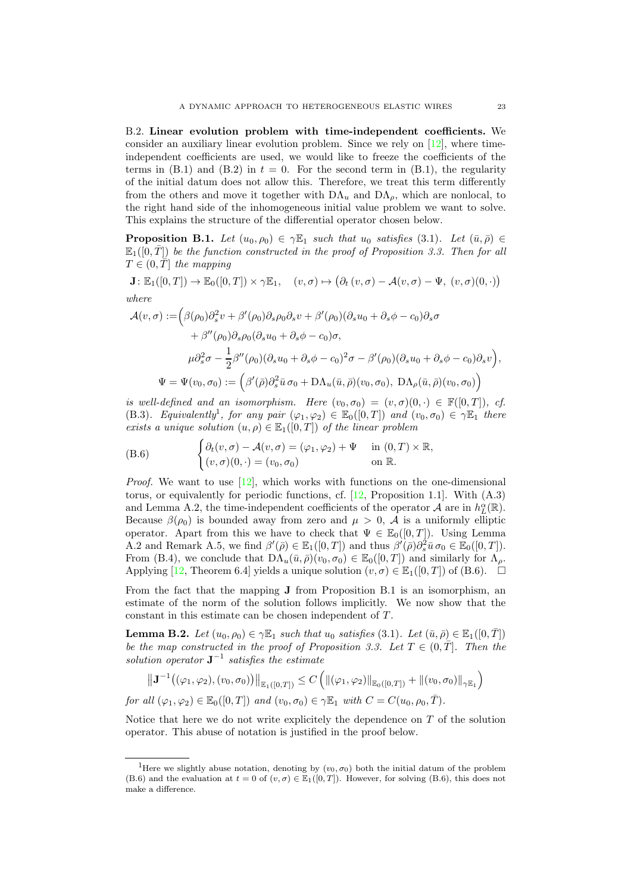B.2. Linear evolution problem with time-independent coefficients. We consider an auxiliary linear evolution problem. Since we rely on  $[12]$ , where timeindependent coefficients are used, we would like to freeze the coefficients of the terms in  $(B.1)$  and  $(B.2)$  in  $t = 0$ . For the second term in  $(B.1)$ , the regularity of the initial datum does not allow this. Therefore, we treat this term differently from the others and move it together with  $D\Lambda_u$  and  $D\Lambda_\rho$ , which are nonlocal, to the right hand side of the inhomogeneous initial value problem we want to solve. This explains the structure of the differential operator chosen below.

<span id="page-22-0"></span>**Proposition B.1.** Let  $(u_0, \rho_0) \in \gamma \mathbb{E}_1$  such that  $u_0$  satisfies [\(3.1\)](#page-4-1). Let  $(\bar{u}, \bar{\rho}) \in$  $\mathbb{E}_1([0,T])$  be the function constructed in the proof of Proposition [3.3.](#page-6-0) Then for all  $T \in (0, T]$  the mapping

 $\mathbf{J}: \mathbb{E}_1([0,T]) \to \mathbb{E}_0([0,T]) \times \gamma \mathbb{E}_1, \quad (v,\sigma) \mapsto (\partial_t(v,\sigma) - \mathcal{A}(v,\sigma) - \Psi, (v,\sigma)(0, \cdot))$ where

$$
\mathcal{A}(v,\sigma) := \left(\beta(\rho_0)\partial_s^2 v + \beta'(\rho_0)\partial_s \rho_0 \partial_s v + \beta'(\rho_0)(\partial_s u_0 + \partial_s \phi - c_0)\partial_s \sigma \n+ \beta''(\rho_0)\partial_s \rho_0(\partial_s u_0 + \partial_s \phi - c_0)\sigma, \n\mu \partial_s^2 \sigma - \frac{1}{2}\beta''(\rho_0)(\partial_s u_0 + \partial_s \phi - c_0)^2 \sigma - \beta'(\rho_0)(\partial_s u_0 + \partial_s \phi - c_0)\partial_s v\right), \n\Psi = \Psi(v_0, \sigma_0) := \left(\beta'(\bar{\rho})\partial_s^2 \bar{u} \,\sigma_0 + \mathrm{D}\Lambda_u(\bar{u}, \bar{\rho})(v_0, \sigma_0), \,\mathrm{D}\Lambda_\rho(\bar{u}, \bar{\rho})(v_0, \sigma_0)\right)
$$

is well-defined and an isomorphism. Here  $(v_0, \sigma_0) = (v, \sigma)(0, \cdot) \in \mathbb{F}([0, T])$ , cf. [\(B.3\)](#page-21-3). Equivalently<sup>[1](#page-22-1)</sup>, for any pair  $(\varphi_1, \varphi_2) \in \mathbb{E}_0([0,T])$  and  $(v_0, \sigma_0) \in \gamma \mathbb{E}_1$  there exists a unique solution  $(u, \rho) \in \mathbb{E}_1([0, T])$  of the linear problem

<span id="page-22-2"></span>(B.6) 
$$
\begin{cases} \partial_t (v, \sigma) - A(v, \sigma) = (\varphi_1, \varphi_2) + \Psi & \text{in } (0, T) \times \mathbb{R}, \\ (v, \sigma)(0, \cdot) = (v_0, \sigma_0) & \text{on } \mathbb{R}. \end{cases}
$$

*Proof.* We want to use  $[12]$ , which works with functions on the one-dimensional torus, or equivalently for periodic functions, cf. [\[12,](#page-27-12) Proposition 1.1]. With [\(A.3\)](#page-19-1) and Lemma [A.2,](#page-19-6) the time-independent coefficients of the operator  $\mathcal{A}$  are in  $h_L^{\alpha}(\mathbb{R})$ . Because  $\beta(\rho_0)$  is bounded away from zero and  $\mu > 0$ , A is a uniformly elliptic operator. Apart from this we have to check that  $\Psi \in \mathbb{E}_0([0,T])$ . Using Lemma [A.2](#page-19-6) and Remark [A.5,](#page-19-0) we find  $\beta'(\bar{\rho}) \in \mathbb{E}_1([0,T])$  and thus  $\beta'(\bar{\rho})\partial_s^2 \bar{u} \,\sigma_0 \in \mathbb{E}_0([0,T])$ . From [\(B.4\)](#page-21-4), we conclude that  $D\Lambda_u(\bar{u},\bar{\rho})(v_0,\sigma_0) \in \mathbb{E}_0([0,T])$  and similarly for  $\Lambda_{\rho}$ . Applying [\[12,](#page-27-12) Theorem 6.4] yields a unique solution  $(v, \sigma) \in \mathbb{E}_1([0, T])$  of  $(B.6)$ .  $\Box$ 

From the fact that the mapping J from Proposition [B.1](#page-22-0) is an isomorphism, an estimate of the norm of the solution follows implicitly. We now show that the constant in this estimate can be chosen independent of T.

<span id="page-22-3"></span>**Lemma B.2.** Let  $(u_0, \rho_0) \in \gamma \mathbb{E}_1$  such that  $u_0$  satisfies [\(3.1\)](#page-4-1). Let  $(\bar{u}, \bar{\rho}) \in \mathbb{E}_1([0, \bar{T}])$ be the map constructed in the proof of Proposition [3.3.](#page-6-0) Let  $T \in (0, \overline{T}]$ . Then the solution operator  $J^{-1}$  satisfies the estimate

$$
\left\| \mathbf{J}^{-1} \big( (\varphi_1, \varphi_2), (v_0, \sigma_0) \big) \right\|_{\mathbb{E}_1([0,T])} \le C \left( \| (\varphi_1, \varphi_2) \|_{\mathbb{E}_0([0,T])} + \| (v_0, \sigma_0) \|_{\gamma \mathbb{E}_1} \right)
$$

for all  $(\varphi_1, \varphi_2) \in \mathbb{E}_0([0,T])$  and  $(v_0, \sigma_0) \in \gamma \mathbb{E}_1$  with  $C = C(u_0, \rho_0, \overline{T}).$ 

Notice that here we do not write explicitely the dependence on  $T$  of the solution operator. This abuse of notation is justified in the proof below.

<span id="page-22-1"></span><sup>&</sup>lt;sup>1</sup>Here we slightly abuse notation, denoting by  $(v_0, \sigma_0)$  both the initial datum of the problem [\(B.6\)](#page-22-2) and the evaluation at  $t = 0$  of  $(v, \sigma) \in \mathbb{E}_1([0, T])$ . However, for solving [\(B.6\)](#page-22-2), this does not make a difference.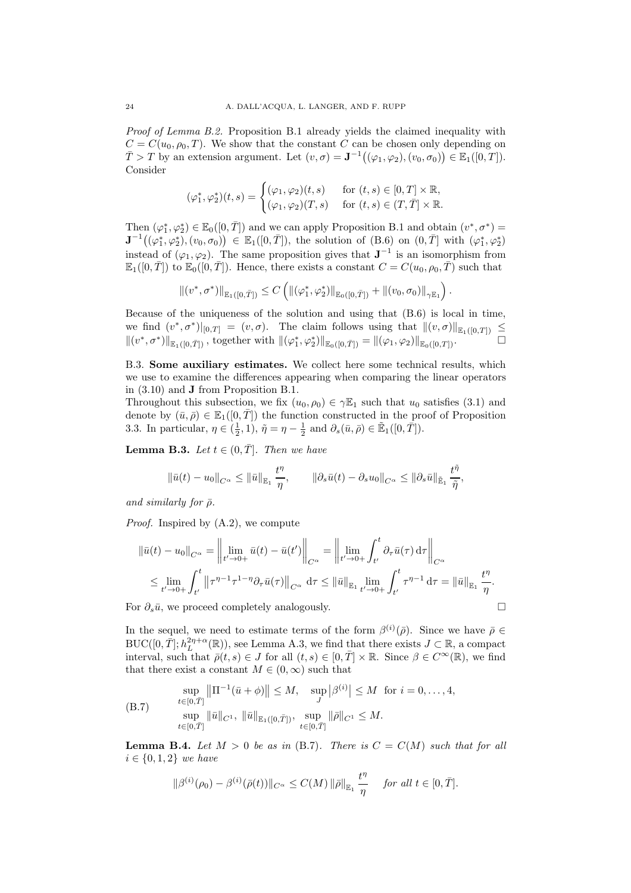Proof of Lemma [B.2.](#page-22-3) Proposition [B.1](#page-22-0) already yields the claimed inequality with  $C = C(u_0, \rho_0, T)$ . We show that the constant C can be chosen only depending on  $\overline{T} > T$  by an extension argument. Let  $(v, \sigma) = \mathbf{J}^{-1}((\varphi_1, \varphi_2), (v_0, \sigma_0)) \in \mathbb{E}_1([0, T]).$ Consider

$$
(\varphi_1^*, \varphi_2^*)(t, s) = \begin{cases} (\varphi_1, \varphi_2)(t, s) & \text{for } (t, s) \in [0, T] \times \mathbb{R}, \\ (\varphi_1, \varphi_2)(T, s) & \text{for } (t, s) \in (T, \overline{T}] \times \mathbb{R}. \end{cases}
$$

Then  $(\varphi_1^*, \varphi_2^*) \in \mathbb{E}_0([0, \bar{T}])$  and we can apply Proposition [B.1](#page-22-0) and obtain  $(v^*, \sigma^*)$  =  $J^{-1}((\varphi_1^*, \varphi_2^*), (v_0, \sigma_0)) \in \mathbb{E}_1([0, \bar{T}]),$  the solution of  $(B.6)$  on  $(0, \bar{T}]$  with  $(\varphi_1^*, \varphi_2^*)$ instead of  $(\varphi_1, \varphi_2)$ . The same proposition gives that  $J^{-1}$  is an isomorphism from  $\mathbb{E}_1([0,\overline{T}])$  to  $\mathbb{E}_0([0,\overline{T}])$ . Hence, there exists a constant  $C = C(u_0, \rho_0, \overline{T})$  such that

$$
\| (v^*, \sigma^*) \|_{\mathbb{E}_1([0,\bar{T}])} \leq C \left( \| (\varphi_1^*, \varphi_2^*) \|_{\mathbb{E}_0([0,\bar{T}])} + \| (v_0, \sigma_0) \|_{\gamma \mathbb{E}_1} \right).
$$

Because of the uniqueness of the solution and using that [\(B.6\)](#page-22-2) is local in time, we find  $(v^*, \sigma^*)|_{[0,T]} = (v, \sigma)$ . The claim follows using that  $||(v, \sigma)||_{\mathbb{E}_1([0,T])} \leq$  $||(v^*,\sigma^*)||_{\mathbb{E}_1([0,\bar{T}])}$ , together with  $||({\varphi_1^*,\varphi_2^*)}||_{\mathbb{E}_0([0,\bar{T}])} = ||(\varphi_1,\varphi_2)||_{\mathbb{E}_0([0,T])}$ .

B.3. Some auxiliary estimates. We collect here some technical results, which we use to examine the differences appearing when comparing the linear operators in [\(3.10\)](#page-7-1) and J from Proposition [B.1.](#page-22-0)

Throughout this subsection, we fix  $(u_0, \rho_0) \in \gamma \mathbb{E}_1$  such that  $u_0$  satisfies [\(3.1\)](#page-4-1) and denote by  $(\bar{u}, \bar{\rho}) \in \mathbb{E}_1([0, T])$  the function constructed in the proof of Proposition [3.3.](#page-6-0) In particular,  $\eta \in (\frac{1}{2}, 1)$ ,  $\tilde{\eta} = \eta - \frac{1}{2}$  and  $\partial_s(\bar{u}, \bar{\rho}) \in \tilde{\mathbb{E}}_1([0, \bar{T}]).$ 

<span id="page-23-0"></span>**Lemma B.3.** Let  $t \in (0, \overline{T}]$ . Then we have

$$
\|\bar{u}(t)-u_0\|_{C^{\alpha}} \le \|\bar{u}\|_{\mathbb{E}_1} \frac{t^{\eta}}{\eta}, \qquad \|\partial_s \bar{u}(t)-\partial_s u_0\|_{C^{\alpha}} \le \|\partial_s \bar{u}\|_{\mathbb{\tilde E}_1} \frac{t^{\tilde{\eta}}}{\tilde{\eta}},
$$

and similarly for  $\bar{\rho}$ .

Proof. Inspired by [\(A.2\)](#page-19-7), we compute

$$
\|\bar{u}(t) - u_0\|_{C^{\alpha}} = \left\| \lim_{t' \to 0+} \bar{u}(t) - \bar{u}(t') \right\|_{C^{\alpha}} = \left\| \lim_{t' \to 0+} \int_{t'}^{t} \partial_{\tau} \bar{u}(\tau) d\tau \right\|_{C^{\alpha}}
$$
  

$$
\leq \lim_{t' \to 0+} \int_{t'}^{t} \left\| \tau^{\eta-1} \tau^{1-\eta} \partial_{\tau} \bar{u}(\tau) \right\|_{C^{\alpha}} d\tau \leq \|\bar{u}\|_{\mathbb{E}_{1}} \lim_{t' \to 0+} \int_{t'}^{t} \tau^{\eta-1} d\tau = \|\bar{u}\|_{\mathbb{E}_{1}} \frac{t^{\eta}}{\eta}.
$$

For  $\partial_s \bar{u}$ , we proceed completely analogously.  $\Box$ 

In the sequel, we need to estimate terms of the form  $\beta^{(i)}(\bar{\rho})$ . Since we have  $\bar{\rho} \in$ BUC([0,  $\overline{T}$ ];  $h_L^{2\eta+\alpha}(\mathbb{R})$ ), see Lemma [A.3,](#page-19-2) we find that there exists  $J \subset \mathbb{R}$ , a compact interval, such that  $\bar{\rho}(t,s) \in J$  for all  $(t,s) \in [0,\bar{T}] \times \mathbb{R}$ . Since  $\beta \in C^{\infty}(\mathbb{R})$ , we find that there exist a constant  $M \in (0, \infty)$  such that

<span id="page-23-1"></span>(B.7) 
$$
\sup_{t \in [0,\bar{T}]} \|\Pi^{-1}(\bar{u} + \phi)\| \leq M, \quad \sup_{J} |\beta^{(i)}| \leq M \text{ for } i = 0,\ldots, 4,
$$

$$
\sup_{t \in [0,\bar{T}]} \|\bar{u}\|_{C^1}, \ \|\bar{u}\|_{\mathbb{E}_1([0,\bar{T}])}, \ \sup_{t \in [0,\bar{T}]} \|\bar{\rho}\|_{C^1} \leq M.
$$

<span id="page-23-2"></span>**Lemma B.4.** Let  $M > 0$  be as in [\(B.7\)](#page-23-1). There is  $C = C(M)$  such that for all  $i \in \{0, 1, 2\}$  we have

$$
\|\beta^{(i)}(\rho_0) - \beta^{(i)}(\bar{\rho}(t))\|_{C^{\alpha}} \le C(M) \|\bar{\rho}\|_{\mathbb{E}_1} \frac{t^{\eta}}{\eta} \quad \text{ for all } t \in [0, \bar{T}].
$$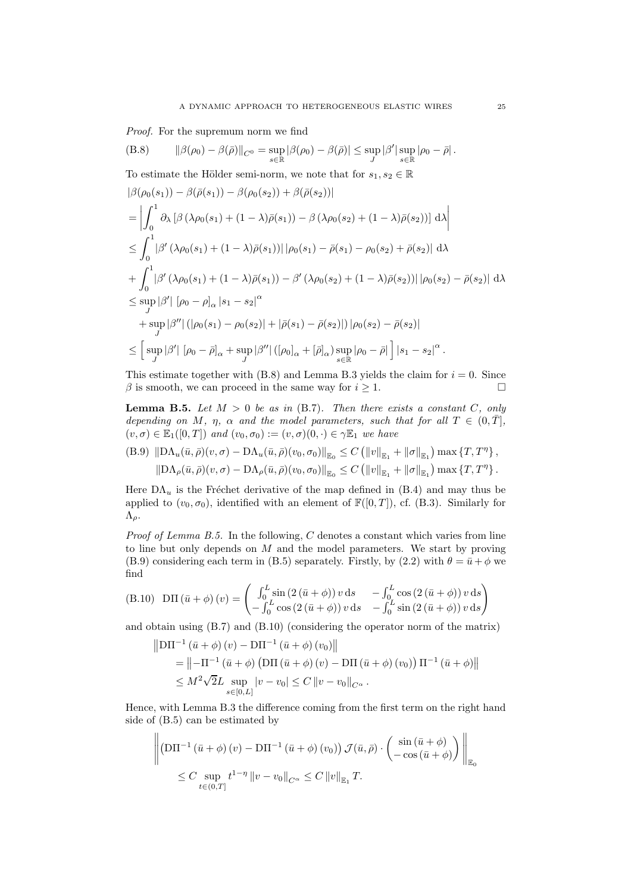Proof. For the supremum norm we find

<span id="page-24-0"></span>(B.8) 
$$
\|\beta(\rho_0) - \beta(\bar{\rho})\|_{C^0} = \sup_{s \in \mathbb{R}} |\beta(\rho_0) - \beta(\bar{\rho})| \leq \sup_{J} |\beta'| \sup_{s \in \mathbb{R}} |\rho_0 - \bar{\rho}|.
$$

To estimate the Hölder semi-norm, we note that for  $s_1, s_2 \in \mathbb{R}$ 

$$
\begin{split}\n&|\beta(\rho_{0}(s_{1})) - \beta(\bar{\rho}(s_{1})) - \beta(\rho_{0}(s_{2})) + \beta(\bar{\rho}(s_{2}))| \\
&= \left| \int_{0}^{1} \partial_{\lambda} \left[ \beta(\lambda \rho_{0}(s_{1}) + (1 - \lambda)\bar{\rho}(s_{1})) - \beta(\lambda \rho_{0}(s_{2}) + (1 - \lambda)\bar{\rho}(s_{2})) \right] d\lambda \right| \\
&\leq \int_{0}^{1} |\beta'(\lambda \rho_{0}(s_{1}) + (1 - \lambda)\bar{\rho}(s_{1}))| |\rho_{0}(s_{1}) - \bar{\rho}(s_{1}) - \rho_{0}(s_{2}) + \bar{\rho}(s_{2})| d\lambda \\
&+ \int_{0}^{1} |\beta'(\lambda \rho_{0}(s_{1}) + (1 - \lambda)\bar{\rho}(s_{1})) - \beta'(\lambda \rho_{0}(s_{2}) + (1 - \lambda)\bar{\rho}(s_{2}))| |\rho_{0}(s_{2}) - \bar{\rho}(s_{2})| d\lambda \\
&\leq \sup_{J} |\beta'| |\rho_{0} - \rho_{\alpha}| s_{1} - s_{2}|^{\alpha} \\
&+ \sup_{J} |\beta''| (|\rho_{0}(s_{1}) - \rho_{0}(s_{2})| + |\bar{\rho}(s_{1}) - \bar{\rho}(s_{2})|) |\rho_{0}(s_{2}) - \bar{\rho}(s_{2})| \\
&\leq \left[ \sup_{J} |\beta'| |\rho_{0} - \bar{\rho}_{\alpha}| + \sup_{J} |\beta''| (|\rho_{0\alpha} + [\bar{\rho}_{\alpha}) \sup_{s \in \mathbb{R}} |\rho_{0} - \bar{\rho}| \right] |s_{1} - s_{2}|^{\alpha} .\n\end{split}
$$

This estimate together with  $(B.8)$  and Lemma [B.3](#page-23-0) yields the claim for  $i = 0$ . Since  $\beta$  is smooth, we can proceed in the same way for  $i \geq 1$ .

<span id="page-24-1"></span>**Lemma B.5.** Let  $M > 0$  be as in [\(B.7\)](#page-23-1). Then there exists a constant C, only depending on M,  $\eta$ ,  $\alpha$  and the model parameters, such that for all  $T \in (0,\overline{T}],$  $(v, \sigma) \in \mathbb{E}_1([0,T])$  and  $(v_0, \sigma_0) := (v, \sigma)(0, \cdot) \in \gamma \mathbb{E}_1$  we have

<span id="page-24-2"></span>(B.9) 
$$
||D\Lambda_u(\bar{u}, \bar{\rho})(v, \sigma) - D\Lambda_u(\bar{u}, \bar{\rho})(v_0, \sigma_0)||_{\mathbb{E}_0} \leq C (||v||_{\mathbb{E}_1} + ||\sigma||_{\mathbb{E}_1}) \max \{T, T^{\eta}\},
$$
  
 $||D\Lambda_{\rho}(\bar{u}, \bar{\rho})(v, \sigma) - D\Lambda_{\rho}(\bar{u}, \bar{\rho})(v_0, \sigma_0)||_{\mathbb{E}_0} \leq C (||v||_{\mathbb{E}_1} + ||\sigma||_{\mathbb{E}_1}) \max \{T, T^{\eta}\}.$ 

Here  $DA_u$  is the Fréchet derivative of the map defined in [\(B.4\)](#page-21-4) and may thus be applied to  $(v_0, \sigma_0)$ , identified with an element of  $\mathbb{F}([0,T])$ , cf. [\(B.3\)](#page-21-3). Similarly for  $Λ<sub>ρ</sub>$ .

*Proof of Lemma [B.5.](#page-24-1)* In the following,  $C$  denotes a constant which varies from line to line but only depends on  $M$  and the model parameters. We start by proving [\(B.9\)](#page-24-2) considering each term in [\(B.5\)](#page-21-5) separately. Firstly, by [\(2.2\)](#page-3-6) with  $\theta = \bar{u} + \phi$  we find

<span id="page-24-3"></span>(B.10) 
$$
D\Pi(\bar{u}+\phi)(v) = \begin{pmatrix} \int_0^L \sin(2(\bar{u}+\phi)) v \,ds & -\int_0^L \cos(2(\bar{u}+\phi)) v \,ds \\ -\int_0^L \cos(2(\bar{u}+\phi)) v \,ds & -\int_0^L \sin(2(\bar{u}+\phi)) v \,ds \end{pmatrix}
$$

and obtain using [\(B.7\)](#page-23-1) and [\(B.10\)](#page-24-3) (considering the operator norm of the matrix)

$$
\|D\Pi^{-1}(\bar{u} + \phi)(v) - D\Pi^{-1}(\bar{u} + \phi)(v_0)\|
$$
  
=  $||- \Pi^{-1}(\bar{u} + \phi) (D\Pi(\bar{u} + \phi)(v) - D\Pi(\bar{u} + \phi)(v_0)) \Pi^{-1}(\bar{u} + \phi)||$   
 $\leq M^2 \sqrt{2}L \sup_{s \in [0,L]} |v - v_0| \leq C ||v - v_0||_{C^{\alpha}}.$ 

Hence, with Lemma [B.3](#page-23-0) the difference coming from the first term on the right hand side of [\(B.5\)](#page-21-5) can be estimated by

$$
\left\| \left( \mathbf{D} \Pi^{-1} \left( \bar{u} + \phi \right) (v) - \mathbf{D} \Pi^{-1} \left( \bar{u} + \phi \right) (v_0) \right) \mathcal{J}(\bar{u}, \bar{\rho}) \cdot \begin{pmatrix} \sin \left( \bar{u} + \phi \right) \\ -\cos \left( \bar{u} + \phi \right) \end{pmatrix} \right\|_{\mathbb{E}_0} \leq C \sup_{t \in (0, T]} t^{1 - \eta} \left\| v - v_0 \right\|_{C^{\alpha}} \leq C \left\| v \right\|_{\mathbb{E}_1} T.
$$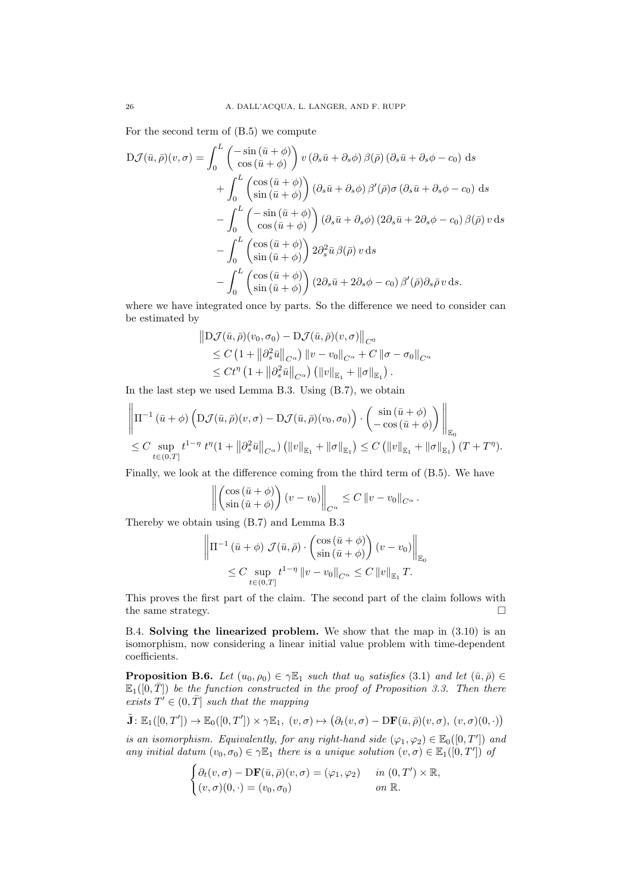For the second term of [\(B.5\)](#page-21-5) we compute

$$
D\mathcal{J}(\bar{u},\bar{\rho})(v,\sigma) = \int_0^L \begin{pmatrix} -\sin(\bar{u}+\phi) \\ \cos(\bar{u}+\phi) \end{pmatrix} v \left(\partial_s \bar{u} + \partial_s \phi\right) \beta(\bar{\rho}) \left(\partial_s \bar{u} + \partial_s \phi - c_0\right) ds + \int_0^L \begin{pmatrix} \cos(\bar{u}+\phi) \\ \sin(\bar{u}+\phi) \end{pmatrix} \left(\partial_s \bar{u} + \partial_s \phi\right) \beta'(\bar{\rho}) \sigma \left(\partial_s \bar{u} + \partial_s \phi - c_0\right) ds - \int_0^L \begin{pmatrix} -\sin(\bar{u}+\phi) \\ \cos(\bar{u}+\phi) \end{pmatrix} \left(\partial_s \bar{u} + \partial_s \phi\right) \left(2\partial_s \bar{u} + 2\partial_s \phi - c_0\right) \beta(\bar{\rho}) v ds - \int_0^L \begin{pmatrix} \cos(\bar{u}+\phi) \\ \sin(\bar{u}+\phi) \end{pmatrix} 2\partial_s^2 \bar{u} \beta(\bar{\rho}) v ds - \int_0^L \begin{pmatrix} \cos(\bar{u}+\phi) \\ \sin(\bar{u}+\phi) \end{pmatrix} \left(2\partial_s \bar{u} + 2\partial_s \phi - c_0\right) \beta'(\bar{\rho}) \partial_s \bar{\rho} v ds.
$$

where we have integrated once by parts. So the difference we need to consider can be estimated by

$$
\|D\mathcal{J}(\bar{u},\bar{\rho})(v_0,\sigma_0) - D\mathcal{J}(\bar{u},\bar{\rho})(v,\sigma)\|_{C^0}
$$
  
\n
$$
\leq C\left(1 + \left\|\partial_s^2 \bar{u}\right\|_{C^{\alpha}}\right) \|v - v_0\|_{C^{\alpha}} + C \left\|\sigma - \sigma_0\right\|_{C^{\alpha}}
$$
  
\n
$$
\leq Ct^{\eta} \left(1 + \left\|\partial_s^2 \bar{u}\right\|_{C^{\alpha}}\right) \left(\|v\|_{\mathbb{E}_1} + \|\sigma\|_{\mathbb{E}_1}\right).
$$

In the last step we used Lemma [B.3.](#page-23-0) Using [\(B.7\)](#page-23-1), we obtain

$$
\left\|\Pi^{-1}(\bar{u}+\phi)\left(D\mathcal{J}(\bar{u},\bar{\rho})(v,\sigma)-D\mathcal{J}(\bar{u},\bar{\rho})(v_0,\sigma_0)\right)\cdot\left(\begin{array}{c}\sin(\bar{u}+\phi)\\-\cos(\bar{u}+\phi)\end{array}\right)\right\|_{\mathbb{E}_0}
$$
  

$$
\leq C \sup_{t\in(0,T]} t^{1-\eta} t^{\eta}(1+\left\|\partial_s^2 \bar{u}\right\|_{C^{\alpha}})\left(\left\|v\right\|_{\mathbb{E}_1}+\left\|\sigma\right\|_{\mathbb{E}_1}\right) \leq C\left(\left\|v\right\|_{\mathbb{E}_1}+\left\|\sigma\right\|_{\mathbb{E}_1}\right)(T+T^{\eta}).
$$

Finally, we look at the difference coming from the third term of [\(B.5\)](#page-21-5). We have

$$
\left\| \begin{pmatrix} \cos\left(\bar{u} + \phi\right) \\ \sin\left(\bar{u} + \phi\right) \end{pmatrix} (v - v_0) \right\|_{C^{\alpha}} \leq C \left\| v - v_0 \right\|_{C^{\alpha}}.
$$

Thereby we obtain using [\(B.7\)](#page-23-1) and Lemma [B.3](#page-23-0)

 $\overline{\phantom{a}}$ 

$$
\left\| \Pi^{-1} \left( \bar{u} + \phi \right) \mathcal{J}(\bar{u}, \bar{\rho}) \cdot \begin{pmatrix} \cos \left( \bar{u} + \phi \right) \\ \sin \left( \bar{u} + \phi \right) \end{pmatrix} (v - v_0) \right\|_{\mathbb{E}_0}
$$
  

$$
\leq C \sup_{t \in (0,T]} t^{1-\eta} \left\| v - v_0 \right\|_{C^{\alpha}} \leq C \left\| v \right\|_{\mathbb{E}_1} T.
$$

This proves the first part of the claim. The second part of the claim follows with the same strategy.

B.4. Solving the linearized problem. We show that the map in [\(3.10\)](#page-7-1) is an isomorphism, now considering a linear initial value problem with time-dependent coefficients.

<span id="page-25-0"></span>**Proposition B.6.** Let  $(u_0, \rho_0) \in \gamma \mathbb{E}_1$  such that  $u_0$  satisfies [\(3.1\)](#page-4-1) and let  $(\bar{u}, \bar{\rho}) \in$  $\mathbb{E}_1([0,\overline{T}])$  be the function constructed in the proof of Proposition [3.3.](#page-6-0) Then there exists  $T' \in (0, \overline{T}]$  such that the mapping

$$
\tilde{\mathbf{J}}\colon\mathbb{E}_1([0,T'])\to\mathbb{E}_0([0,T'])\times\gamma\mathbb{E}_1,\ (v,\sigma)\mapsto\big(\partial_t(v,\sigma)-\mathrm{D}\mathbf{F}(\bar{u},\bar{\rho})(v,\sigma),\ (v,\sigma)(0,\cdot)\big)
$$

is an isomorphism. Equivalently, for any right-hand side  $(\varphi_1, \varphi_2) \in \mathbb{E}_0([0, T'])$  and any initial datum  $(v_0, \sigma_0) \in \gamma \mathbb{E}_1$  there is a unique solution  $(v, \sigma) \in \mathbb{E}_1([0, T'])$  of

$$
\begin{cases} \partial_t (v, \sigma) - \mathrm{D}\mathbf{F}(\bar{u}, \bar{\rho})(v, \sigma) = (\varphi_1, \varphi_2) & \text{in } (0, T') \times \mathbb{R}, \\ (v, \sigma)(0, \cdot) = (v_0, \sigma_0) & \text{on } \mathbb{R}. \end{cases}
$$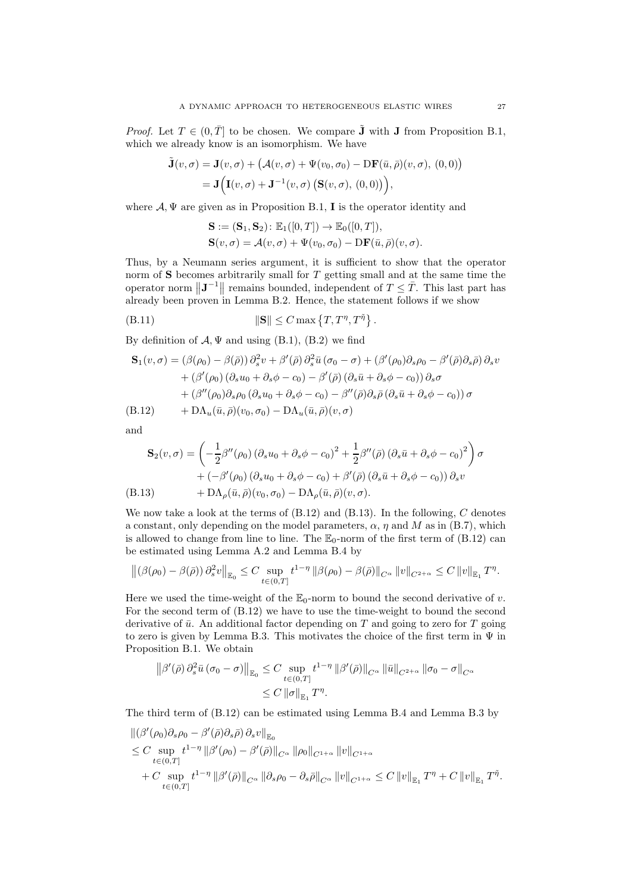*Proof.* Let  $T \in (0, \overline{T}]$  to be chosen. We compare  $\tilde{\mathbf{J}}$  with  $\mathbf{J}$  from Proposition [B.1,](#page-22-0) which we already know is an isomorphism. We have

$$
\tilde{\mathbf{J}}(v,\sigma) = \mathbf{J}(v,\sigma) + (\mathcal{A}(v,\sigma) + \Psi(v_0,\sigma_0) - \mathbf{DF}(\bar{u},\bar{\rho})(v,\sigma), (0,0))
$$
  
= 
$$
\mathbf{J}(\mathbf{I}(v,\sigma) + \mathbf{J}^{-1}(v,\sigma) (\mathbf{S}(v,\sigma), (0,0))),
$$

where  $A, \Psi$  are given as in Proposition [B.1,](#page-22-0) **I** is the operator identity and

$$
\mathbf{S} := (\mathbf{S}_1, \mathbf{S}_2) : \mathbb{E}_1([0, T]) \to \mathbb{E}_0([0, T]),
$$
  
\n
$$
\mathbf{S}(v, \sigma) = \mathcal{A}(v, \sigma) + \Psi(v_0, \sigma_0) - \mathbf{DF}(\bar{u}, \bar{\rho})(v, \sigma).
$$

Thus, by a Neumann series argument, it is sufficient to show that the operator norm of  $S$  becomes arbitrarily small for  $T$  getting small and at the same time the operator norm  $\|\mathbf{J}^{-1}\|$  remains bounded, independent of  $T \leq \overline{T}$ . This last part has already been proven in Lemma [B.2.](#page-22-3) Hence, the statement follows if we show

<span id="page-26-2"></span>
$$
||\mathbf{S}|| \leq C \max \left\{ T, T^{\eta}, T^{\tilde{\eta}} \right\}.
$$

By definition of  $\mathcal{A}, \Psi$  and using [\(B.1\)](#page-21-1), [\(B.2\)](#page-21-2) we find

$$
\mathbf{S}_{1}(v,\sigma) = (\beta(\rho_{0}) - \beta(\bar{\rho})) \partial_{s}^{2} v + \beta'(\bar{\rho}) \partial_{s}^{2} \bar{u} (\sigma_{0} - \sigma) + (\beta'(\rho_{0}) \partial_{s} \rho_{0} - \beta'(\bar{\rho}) \partial_{s} \bar{\rho}) \partial_{s} v + (\beta'(\rho_{0}) (\partial_{s} u_{0} + \partial_{s} \phi - c_{0}) - \beta'(\bar{\rho}) (\partial_{s} \bar{u} + \partial_{s} \phi - c_{0})) \partial_{s} \sigma + (\beta''(\rho_{0}) \partial_{s} \rho_{0} (\partial_{s} u_{0} + \partial_{s} \phi - c_{0}) - \beta''(\bar{\rho}) \partial_{s} \bar{\rho} (\partial_{s} \bar{u} + \partial_{s} \phi - c_{0})) \sigma (B.12) \qquad + \mathrm{D} \Lambda_{u}(\bar{u}, \bar{\rho})(v_{0}, \sigma_{0}) - \mathrm{D} \Lambda_{u}(\bar{u}, \bar{\rho})(v, \sigma)
$$

<span id="page-26-0"></span>and

$$
\mathbf{S}_{2}(v,\sigma) = \left(-\frac{1}{2}\beta''(\rho_{0})\left(\partial_{s}u_{0} + \partial_{s}\phi - c_{0}\right)^{2} + \frac{1}{2}\beta''(\bar{\rho})\left(\partial_{s}\bar{u} + \partial_{s}\phi - c_{0}\right)^{2}\right)\sigma
$$

$$
+ \left(-\beta'(\rho_{0})\left(\partial_{s}u_{0} + \partial_{s}\phi - c_{0}\right) + \beta'(\bar{\rho})\left(\partial_{s}\bar{u} + \partial_{s}\phi - c_{0}\right)\right)\partial_{s}v
$$
  
(B.13) 
$$
+ \mathrm{D}\Lambda_{\rho}(\bar{u},\bar{\rho})(v_{0},\sigma_{0}) - \mathrm{D}\Lambda_{\rho}(\bar{u},\bar{\rho})(v,\sigma).
$$

<span id="page-26-1"></span>We now take a look at the terms of  $(B.12)$  and  $(B.13)$ . In the following, C denotes a constant, only depending on the model parameters,  $\alpha$ ,  $\eta$  and M as in [\(B.7\)](#page-23-1), which is allowed to change from line to line. The  $\mathbb{E}_{0}$ -norm of the first term of [\(B.12\)](#page-26-0) can be estimated using Lemma [A.2](#page-19-6) and Lemma [B.4](#page-23-2) by

$$
\left\| \left(\beta(\rho_0) - \beta(\bar{\rho})\right) \partial_s^2 v \right\|_{\mathbb{E}_0} \leq C \sup_{t \in (0,T]} t^{1-\eta} \left\| \beta(\rho_0) - \beta(\bar{\rho}) \right\|_{C^{\alpha}} \left\| v \right\|_{C^{2+\alpha}} \leq C \left\| v \right\|_{\mathbb{E}_1} T^{\eta}.
$$

Here we used the time-weight of the  $\mathbb{E}_0$ -norm to bound the second derivative of v. For the second term of [\(B.12\)](#page-26-0) we have to use the time-weight to bound the second derivative of  $\bar{u}$ . An additional factor depending on T and going to zero for T going to zero is given by Lemma [B.3.](#page-23-0) This motivates the choice of the first term in  $\Psi$  in Proposition [B.1.](#page-22-0) We obtain

$$
\begin{aligned} \left\| \beta'(\bar{\rho}) \, \partial_s^2 \bar{u} \, (\sigma_0 - \sigma) \right\|_{\mathbb{E}_0} &\leq C \sup_{t \in (0,T]} t^{1-\eta} \left\| \beta'(\bar{\rho}) \right\|_{C^\alpha} \left\| \bar{u} \right\|_{C^{2+\alpha}} \left\| \sigma_0 - \sigma \right\|_{C^\alpha} \\ &\leq C \left\| \sigma \right\|_{\mathbb{E}_1} T^\eta. \end{aligned}
$$

The third term of [\(B.12\)](#page-26-0) can be estimated using Lemma [B.4](#page-23-2) and Lemma [B.3](#page-23-0) by

$$
\begin{split} &\left\| \left( \beta'(\rho_0) \partial_s \rho_0 - \beta'(\bar{\rho}) \partial_s \bar{\rho} \right) \partial_s v \right\|_{\mathbb{E}_0} \\ &\leq C \sup_{t \in (0,T]} t^{1-\eta} \left\| \beta'(\rho_0) - \beta'(\bar{\rho}) \right\|_{C^{\alpha}} \left\| \rho_0 \right\|_{C^{1+\alpha}} \left\| v \right\|_{C^{1+\alpha}} \\ &+ C \sup_{t \in (0,T]} t^{1-\eta} \left\| \beta'(\bar{\rho}) \right\|_{C^{\alpha}} \left\| \partial_s \rho_0 - \partial_s \bar{\rho} \right\|_{C^{\alpha}} \left\| v \right\|_{C^{1+\alpha}} \leq C \left\| v \right\|_{\mathbb{E}_1} T^{\eta} + C \left\| v \right\|_{\mathbb{E}_1} T^{\bar{\eta}} . \end{split}
$$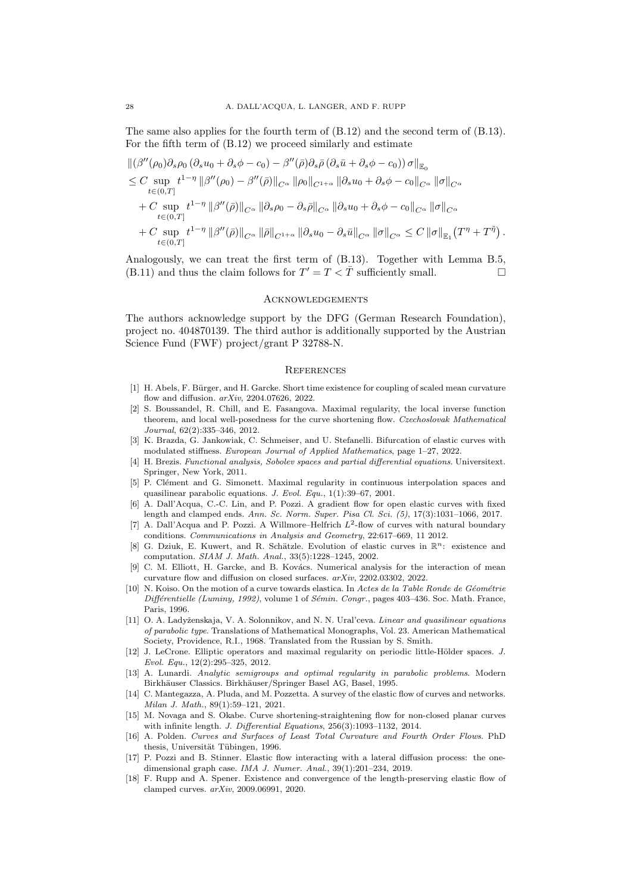The same also applies for the fourth term of [\(B.12\)](#page-26-0) and the second term of [\(B.13\)](#page-26-1). For the fifth term of [\(B.12\)](#page-26-0) we proceed similarly and estimate

$$
\begin{split}\n&\|(\beta''(\rho_0)\partial_s\rho_0(\partial_s u_0 + \partial_s\phi - c_0) - \beta''(\bar{\rho})\partial_s\bar{\rho}(\partial_s\bar{u} + \partial_s\phi - c_0))\sigma\|_{\mathbb{E}_0} \\
&\leq C \sup_{t\in(0,T]} t^{1-\eta} \|\beta''(\rho_0) - \beta''(\bar{\rho})\|_{C^{\alpha}} \|\rho_0\|_{C^{1+\alpha}} \|\partial_s u_0 + \partial_s\phi - c_0\|_{C^{\alpha}} \|\sigma\|_{C^{\alpha}} \\
&+ C \sup_{t\in(0,T]} t^{1-\eta} \|\beta''(\bar{\rho})\|_{C^{\alpha}} \|\partial_s\rho_0 - \partial_s\bar{\rho}\|_{C^{\alpha}} \|\partial_s u_0 + \partial_s\phi - c_0\|_{C^{\alpha}} \|\sigma\|_{C^{\alpha}} \\
&+ C \sup_{t\in(0,T]} t^{1-\eta} \|\beta''(\bar{\rho})\|_{C^{\alpha}} \|\bar{\rho}\|_{C^{1+\alpha}} \|\partial_s u_0 - \partial_s\bar{u}\|_{C^{\alpha}} \|\sigma\|_{C^{\alpha}} \leq C \|\sigma\|_{\mathbb{E}_1}(T^{\eta} + T^{\tilde{\eta}})\n\end{split}
$$

Analogously, we can treat the first term of [\(B.13\)](#page-26-1). Together with Lemma [B.5,](#page-24-1) [\(B.11\)](#page-26-2) and thus the claim follows for  $T' = T < \overline{T}$  sufficiently small.

#### **ACKNOWLEDGEMENTS**

The authors acknowledge support by the DFG (German Research Foundation), project no. 404870139. The third author is additionally supported by the Austrian Science Fund (FWF) project/grant P 32788-N.

#### **REFERENCES**

- <span id="page-27-10"></span>[1] H. Abels, F. Bürger, and H. Garcke. Short time existence for coupling of scaled mean curvature flow and diffusion. arXiv, 2204.07626, 2022.
- <span id="page-27-14"></span>[2] S. Boussandel, R. Chill, and E. Fasangova. Maximal regularity, the local inverse function theorem, and local well-posedness for the curve shortening flow. Czechoslovak Mathematical Journal, 62(2):335–346, 2012.
- <span id="page-27-0"></span>[3] K. Brazda, G. Jankowiak, C. Schmeiser, and U. Stefanelli. Bifurcation of elastic curves with modulated stiffness. European Journal of Applied Mathematics, page 1–27, 2022.
- <span id="page-27-15"></span>[4] H. Brezis. Functional analysis, Sobolev spaces and partial differential equations. Universitext. Springer, New York, 2011.
- <span id="page-27-17"></span>[5] P. Clément and G. Simonett. Maximal regularity in continuous interpolation spaces and quasilinear parabolic equations. J. Evol. Equ., 1(1):39–67, 2001.
- <span id="page-27-6"></span>[6] A. Dall'Acqua, C.-C. Lin, and P. Pozzi. A gradient flow for open elastic curves with fixed length and clamped ends. Ann. Sc. Norm. Super. Pisa Cl. Sci. (5), 17(3):1031–1066, 2017.
- <span id="page-27-4"></span>[7] A. Dall'Acqua and P. Pozzi. A Willmore–Helfrich  $L^2$ -flow of curves with natural boundary conditions. Communications in Analysis and Geometry, 22:617–669, 11 2012.
- <span id="page-27-3"></span>[8] G. Dziuk, E. Kuwert, and R. Schätzle. Evolution of elastic curves in  $\mathbb{R}^n$ : existence and computation. SIAM J. Math. Anal., 33(5):1228–1245, 2002.
- <span id="page-27-11"></span>[9] C. M. Elliott, H. Garcke, and B. Kovács. Numerical analysis for the interaction of mean curvature flow and diffusion on closed surfaces. arXiv, 2202.03302, 2022.
- <span id="page-27-1"></span> $[10]$  N. Koiso. On the motion of a curve towards elastica. In Actes de la Table Ronde de Géométrie Différentielle (Luminy, 1992), volume 1 of Sémin. Congr., pages 403-436. Soc. Math. France, Paris, 1996.
- <span id="page-27-13"></span>[11] O. A. Ladyženskaja, V. A. Solonnikov, and N. N. Ural'ceva. *Linear and quasilinear equations* of parabolic type. Translations of Mathematical Monographs, Vol. 23. American Mathematical Society, Providence, R.I., 1968. Translated from the Russian by S. Smith.
- <span id="page-27-12"></span>[12] J. LeCrone. Elliptic operators and maximal regularity on periodic little-Hölder spaces. J. Evol. Equ., 12(2):295–325, 2012.
- <span id="page-27-16"></span>[13] A. Lunardi. Analytic semigroups and optimal regularity in parabolic problems. Modern Birkhäuser Classics. Birkhäuser/Springer Basel AG, Basel, 1995.
- <span id="page-27-9"></span>[14] C. Mantegazza, A. Pluda, and M. Pozzetta. A survey of the elastic flow of curves and networks. Milan J. Math., 89(1):59–121, 2021.
- <span id="page-27-5"></span>[15] M. Novaga and S. Okabe. Curve shortening-straightening flow for non-closed planar curves with infinite length. J. Differential Equations,  $256(3)$ :1093-1132, 2014.
- <span id="page-27-2"></span>[16] A. Polden. Curves and Surfaces of Least Total Curvature and Fourth Order Flows. PhD thesis, Universität Tübingen, 1996.
- <span id="page-27-7"></span>[17] P. Pozzi and B. Stinner. Elastic flow interacting with a lateral diffusion process: the onedimensional graph case. IMA J. Numer. Anal., 39(1):201–234, 2019.
- <span id="page-27-8"></span>[18] F. Rupp and A. Spener. Existence and convergence of the length-preserving elastic flow of clamped curves. arXiv, 2009.06991, 2020.